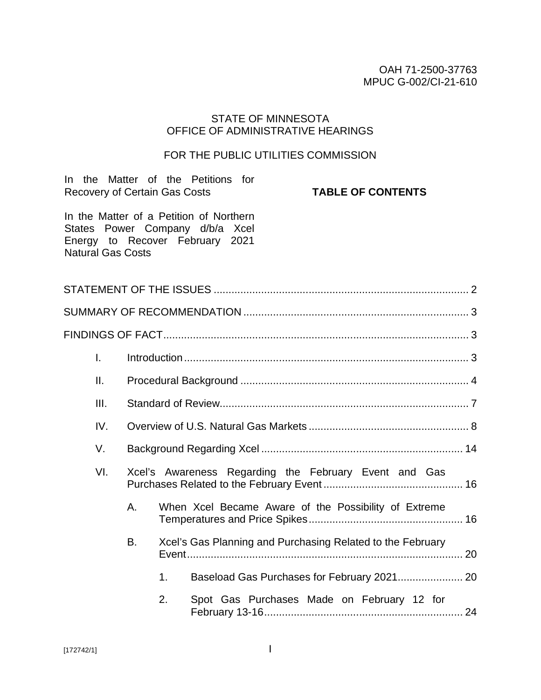### OAH 71-2500-37763 MPUC G-002/CI-21-610

## STATE OF MINNESOTA OFFICE OF ADMINISTRATIVE HEARINGS

## FOR THE PUBLIC UTILITIES COMMISSION

| <b>Recovery of Certain Gas Costs</b> |    |    | In the Matter of the Petitions for<br><b>TABLE OF CONTENTS</b>                                                |  |
|--------------------------------------|----|----|---------------------------------------------------------------------------------------------------------------|--|
| <b>Natural Gas Costs</b>             |    |    | In the Matter of a Petition of Northern<br>States Power Company d/b/a Xcel<br>Energy to Recover February 2021 |  |
|                                      |    |    |                                                                                                               |  |
|                                      |    |    |                                                                                                               |  |
|                                      |    |    |                                                                                                               |  |
| $\mathbf{I}$ .                       |    |    |                                                                                                               |  |
| Ш.                                   |    |    |                                                                                                               |  |
| Ш.                                   |    |    |                                                                                                               |  |
| IV.                                  |    |    |                                                                                                               |  |
| V.                                   |    |    |                                                                                                               |  |
| VI.                                  |    |    | Xcel's Awareness Regarding the February Event and Gas                                                         |  |
|                                      | А. |    | When Xcel Became Aware of the Possibility of Extreme                                                          |  |
|                                      | В. |    | Xcel's Gas Planning and Purchasing Related to the February                                                    |  |
|                                      |    | 1. | Baseload Gas Purchases for February 2021 20                                                                   |  |
|                                      |    | 2. | Spot Gas Purchases Made on February 12 for                                                                    |  |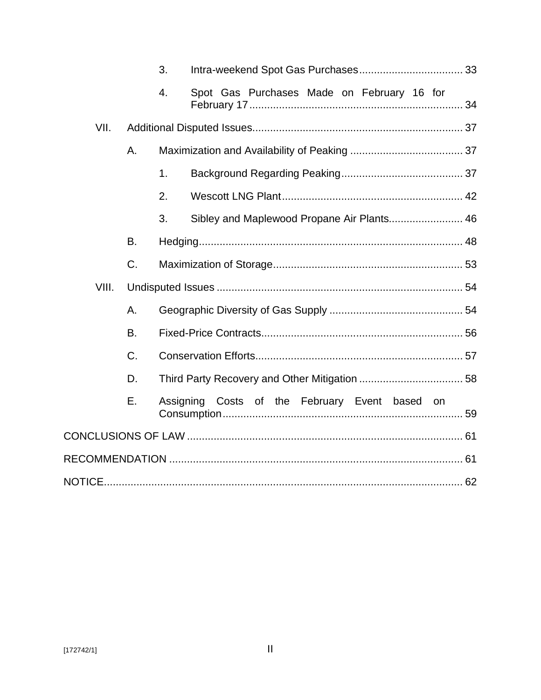|       |           | 3. |                                                |  |
|-------|-----------|----|------------------------------------------------|--|
|       |           | 4. | Spot Gas Purchases Made on February 16 for     |  |
| VII.  |           |    |                                                |  |
|       | Α.        |    |                                                |  |
|       |           | 1. |                                                |  |
|       |           | 2. |                                                |  |
|       |           | 3. | Sibley and Maplewood Propane Air Plants 46     |  |
|       | <b>B.</b> |    |                                                |  |
|       | C.        |    |                                                |  |
| VIII. |           |    |                                                |  |
|       | Α.        |    |                                                |  |
|       | <b>B.</b> |    |                                                |  |
|       | C.        |    |                                                |  |
|       | D.        |    |                                                |  |
|       | Е.        |    | Assigning Costs of the February Event based on |  |
|       |           |    |                                                |  |
|       |           |    |                                                |  |
|       |           |    |                                                |  |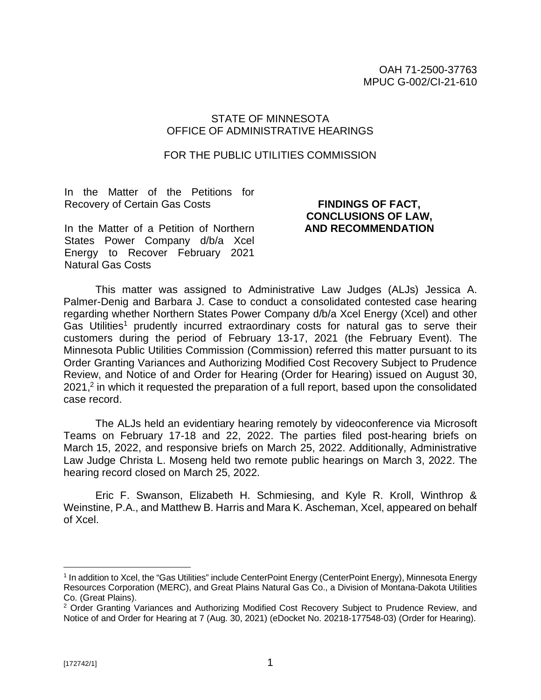### STATE OF MINNESOTA OFFICE OF ADMINISTRATIVE HEARINGS

#### FOR THE PUBLIC UTILITIES COMMISSION

In the Matter of the Petitions for Recovery of Certain Gas Costs

## **FINDINGS OF FACT, CONCLUSIONS OF LAW, AND RECOMMENDATION**

In the Matter of a Petition of Northern States Power Company d/b/a Xcel Energy to Recover February 2021 Natural Gas Costs

This matter was assigned to Administrative Law Judges (ALJs) Jessica A. Palmer-Denig and Barbara J. Case to conduct a consolidated contested case hearing regarding whether Northern States Power Company d/b/a Xcel Energy (Xcel) and other Gas Utilities<sup>1</sup> prudently incurred extraordinary costs for natural gas to serve their customers during the period of February 13-17, 2021 (the February Event). The Minnesota Public Utilities Commission (Commission) referred this matter pursuant to its Order Granting Variances and Authorizing Modified Cost Recovery Subject to Prudence Review, and Notice of and Order for Hearing (Order for Hearing) issued on August 30, 2021,<sup>2</sup> in which it requested the preparation of a full report, based upon the consolidated case record.

The ALJs held an evidentiary hearing remotely by videoconference via Microsoft Teams on February 17-18 and 22, 2022. The parties filed post-hearing briefs on March 15, 2022, and responsive briefs on March 25, 2022. Additionally, Administrative Law Judge Christa L. Moseng held two remote public hearings on March 3, 2022. The hearing record closed on March 25, 2022.

Eric F. Swanson, Elizabeth H. Schmiesing, and Kyle R. Kroll, Winthrop & Weinstine, P.A., and Matthew B. Harris and Mara K. Ascheman, Xcel, appeared on behalf of Xcel.

<sup>&</sup>lt;sup>1</sup> In addition to Xcel, the "Gas Utilities" include CenterPoint Energy (CenterPoint Energy), Minnesota Energy Resources Corporation (MERC), and Great Plains Natural Gas Co., a Division of Montana-Dakota Utilities Co. (Great Plains).

<sup>&</sup>lt;sup>2</sup> Order Granting Variances and Authorizing Modified Cost Recovery Subject to Prudence Review, and Notice of and Order for Hearing at 7 (Aug. 30, 2021) (eDocket No. 20218-177548-03) (Order for Hearing).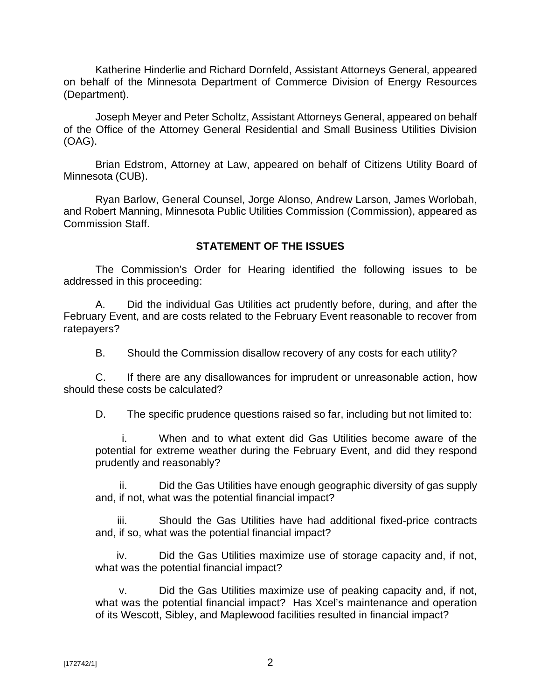Katherine Hinderlie and Richard Dornfeld, Assistant Attorneys General, appeared on behalf of the Minnesota Department of Commerce Division of Energy Resources (Department).

Joseph Meyer and Peter Scholtz, Assistant Attorneys General, appeared on behalf of the Office of the Attorney General Residential and Small Business Utilities Division (OAG).

Brian Edstrom, Attorney at Law, appeared on behalf of Citizens Utility Board of Minnesota (CUB).

Ryan Barlow, General Counsel, Jorge Alonso, Andrew Larson, James Worlobah, and Robert Manning, Minnesota Public Utilities Commission (Commission), appeared as Commission Staff.

## **STATEMENT OF THE ISSUES**

The Commission's Order for Hearing identified the following issues to be addressed in this proceeding:

A. Did the individual Gas Utilities act prudently before, during, and after the February Event, and are costs related to the February Event reasonable to recover from ratepayers?

B. Should the Commission disallow recovery of any costs for each utility?

C. If there are any disallowances for imprudent or unreasonable action, how should these costs be calculated?

D. The specific prudence questions raised so far, including but not limited to:

i. When and to what extent did Gas Utilities become aware of the potential for extreme weather during the February Event, and did they respond prudently and reasonably?

ii. Did the Gas Utilities have enough geographic diversity of gas supply and, if not, what was the potential financial impact?

iii. Should the Gas Utilities have had additional fixed-price contracts and, if so, what was the potential financial impact?

iv. Did the Gas Utilities maximize use of storage capacity and, if not, what was the potential financial impact?

v. Did the Gas Utilities maximize use of peaking capacity and, if not, what was the potential financial impact? Has Xcel's maintenance and operation of its Wescott, Sibley, and Maplewood facilities resulted in financial impact?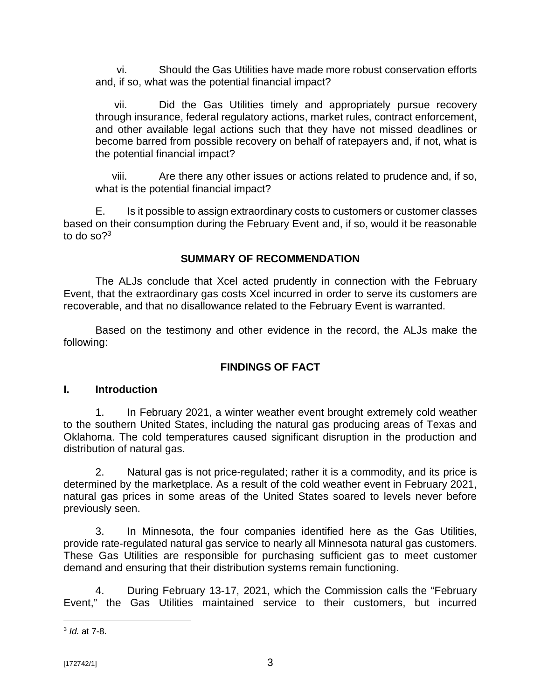vi. Should the Gas Utilities have made more robust conservation efforts and, if so, what was the potential financial impact?

vii. Did the Gas Utilities timely and appropriately pursue recovery through insurance, federal regulatory actions, market rules, contract enforcement, and other available legal actions such that they have not missed deadlines or become barred from possible recovery on behalf of ratepayers and, if not, what is the potential financial impact?

viii. Are there any other issues or actions related to prudence and, if so, what is the potential financial impact?

E. Is it possible to assign extraordinary costs to customers or customer classes based on their consumption during the February Event and, if so, would it be reasonable to do so $?$ <sup>3</sup>

## **SUMMARY OF RECOMMENDATION**

The ALJs conclude that Xcel acted prudently in connection with the February Event, that the extraordinary gas costs Xcel incurred in order to serve its customers are recoverable, and that no disallowance related to the February Event is warranted.

Based on the testimony and other evidence in the record, the ALJs make the following:

## **FINDINGS OF FACT**

### **I. Introduction**

1. In February 2021, a winter weather event brought extremely cold weather to the southern United States, including the natural gas producing areas of Texas and Oklahoma. The cold temperatures caused significant disruption in the production and distribution of natural gas.

2. Natural gas is not price-regulated; rather it is a commodity, and its price is determined by the marketplace. As a result of the cold weather event in February 2021, natural gas prices in some areas of the United States soared to levels never before previously seen.

3. In Minnesota, the four companies identified here as the Gas Utilities, provide rate-regulated natural gas service to nearly all Minnesota natural gas customers. These Gas Utilities are responsible for purchasing sufficient gas to meet customer demand and ensuring that their distribution systems remain functioning.

4. During February 13-17, 2021, which the Commission calls the "February Event," the Gas Utilities maintained service to their customers, but incurred

<sup>3</sup> *Id.* at 7-8.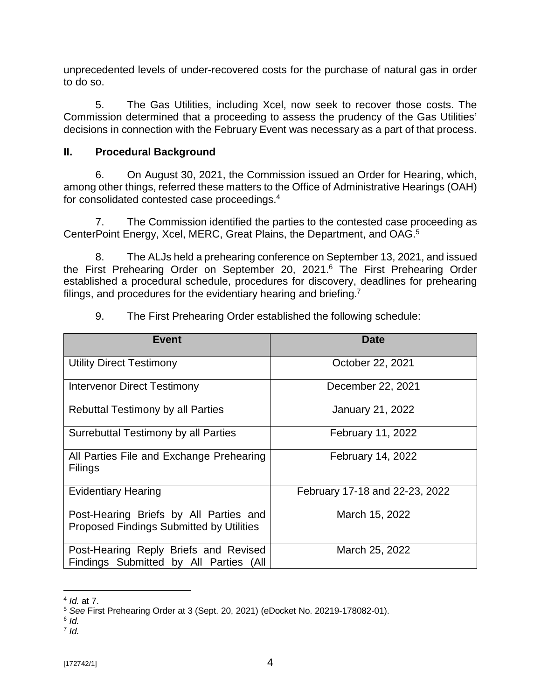unprecedented levels of under-recovered costs for the purchase of natural gas in order to do so.

5. The Gas Utilities, including Xcel, now seek to recover those costs. The Commission determined that a proceeding to assess the prudency of the Gas Utilities' decisions in connection with the February Event was necessary as a part of that process.

## **II. Procedural Background**

6. On August 30, 2021, the Commission issued an Order for Hearing, which, among other things, referred these matters to the Office of Administrative Hearings (OAH) for consolidated contested case proceedings. 4

7. The Commission identified the parties to the contested case proceeding as CenterPoint Energy, Xcel, MERC, Great Plains, the Department, and OAG.<sup>5</sup>

8. The ALJs held a prehearing conference on September 13, 2021, and issued the First Prehearing Order on September 20, 2021.<sup>6</sup> The First Prehearing Order established a procedural schedule, procedures for discovery, deadlines for prehearing filings, and procedures for the evidentiary hearing and briefing.<sup>7</sup>

| <b>Event</b>                                                                              | <b>Date</b>                    |  |
|-------------------------------------------------------------------------------------------|--------------------------------|--|
| <b>Utility Direct Testimony</b>                                                           | October 22, 2021               |  |
| <b>Intervenor Direct Testimony</b>                                                        | December 22, 2021              |  |
| <b>Rebuttal Testimony by all Parties</b>                                                  | <b>January 21, 2022</b>        |  |
| Surrebuttal Testimony by all Parties                                                      | February 11, 2022              |  |
| All Parties File and Exchange Prehearing<br><b>Filings</b>                                | February 14, 2022              |  |
| <b>Evidentiary Hearing</b>                                                                | February 17-18 and 22-23, 2022 |  |
| Post-Hearing Briefs by All Parties and<br><b>Proposed Findings Submitted by Utilities</b> | March 15, 2022                 |  |
| Post-Hearing Reply Briefs and Revised<br>Findings Submitted by All Parties (All           | March 25, 2022                 |  |

9. The First Prehearing Order established the following schedule:

<sup>4</sup> *Id.* at 7.

<sup>5</sup> *See* First Prehearing Order at 3 (Sept. 20, 2021) (eDocket No. 20219-178082-01).

<sup>6</sup> *Id.*

<sup>7</sup> *Id.*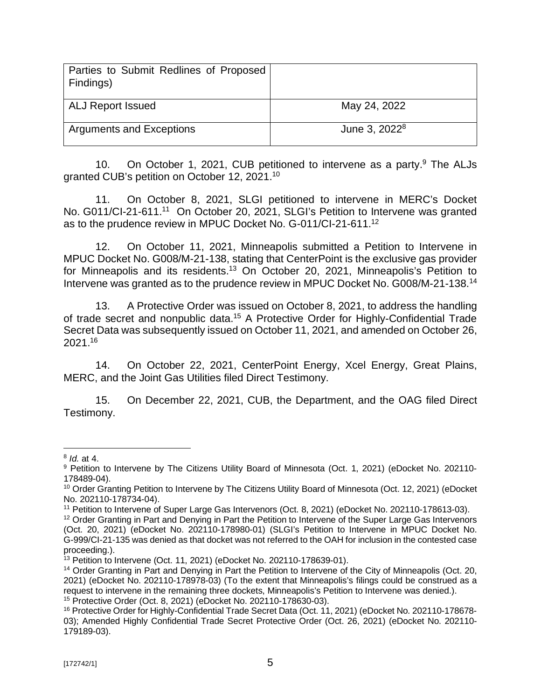| Parties to Submit Redlines of Proposed<br>Findings) |                           |
|-----------------------------------------------------|---------------------------|
| <b>ALJ Report Issued</b>                            | May 24, 2022              |
| <b>Arguments and Exceptions</b>                     | June 3, 2022 <sup>8</sup> |

10. On October 1, 2021, CUB petitioned to intervene as a party.<sup>9</sup> The ALJs granted CUB's petition on October 12, 2021.<sup>10</sup>

11. On October 8, 2021, SLGI petitioned to intervene in MERC's Docket No. G011/CI-21-611.<sup>11</sup> On October 20, 2021, SLGI's Petition to Intervene was granted as to the prudence review in MPUC Docket No. G-011/CI-21-611.<sup>12</sup>

12. On October 11, 2021, Minneapolis submitted a Petition to Intervene in MPUC Docket No. G008/M-21-138, stating that CenterPoint is the exclusive gas provider for Minneapolis and its residents.<sup>13</sup> On October 20, 2021, Minneapolis's Petition to Intervene was granted as to the prudence review in MPUC Docket No. G008/M-21-138.<sup>14</sup>

13. A Protective Order was issued on October 8, 2021, to address the handling of trade secret and nonpublic data.<sup>15</sup> A Protective Order for Highly-Confidential Trade Secret Data was subsequently issued on October 11, 2021, and amended on October 26, 2021.<sup>16</sup>

14. On October 22, 2021, CenterPoint Energy, Xcel Energy, Great Plains, MERC, and the Joint Gas Utilities filed Direct Testimony.

15. On December 22, 2021, CUB, the Department, and the OAG filed Direct Testimony.

<sup>8</sup> *Id.* at 4.

<sup>&</sup>lt;sup>9</sup> Petition to Intervene by The Citizens Utility Board of Minnesota (Oct. 1, 2021) (eDocket No. 202110-178489-04).

<sup>&</sup>lt;sup>10</sup> Order Granting Petition to Intervene by The Citizens Utility Board of Minnesota (Oct. 12, 2021) (eDocket No. 202110-178734-04).

<sup>11</sup> Petition to Intervene of Super Large Gas Intervenors (Oct. 8, 2021) (eDocket No. 202110-178613-03).

<sup>&</sup>lt;sup>12</sup> Order Granting in Part and Denying in Part the Petition to Intervene of the Super Large Gas Intervenors (Oct. 20, 2021) (eDocket No. 202110-178980-01) (SLGI's Petition to Intervene in MPUC Docket No. G-999/CI-21-135 was denied as that docket was not referred to the OAH for inclusion in the contested case proceeding.).

 $13$  Petition to Intervene (Oct. 11, 2021) (eDocket No. 202110-178639-01).

<sup>&</sup>lt;sup>14</sup> Order Granting in Part and Denying in Part the Petition to Intervene of the City of Minneapolis (Oct. 20, 2021) (eDocket No. 202110-178978-03) (To the extent that Minneapolis's filings could be construed as a request to intervene in the remaining three dockets, Minneapolis's Petition to Intervene was denied.). <sup>15</sup> Protective Order (Oct. 8, 2021) (eDocket No. 202110-178630-03).

<sup>&</sup>lt;sup>16</sup> Protective Order for Highly-Confidential Trade Secret Data (Oct. 11, 2021) (eDocket No. 202110-178678-03); Amended Highly Confidential Trade Secret Protective Order (Oct. 26, 2021) (eDocket No. 202110- 179189-03).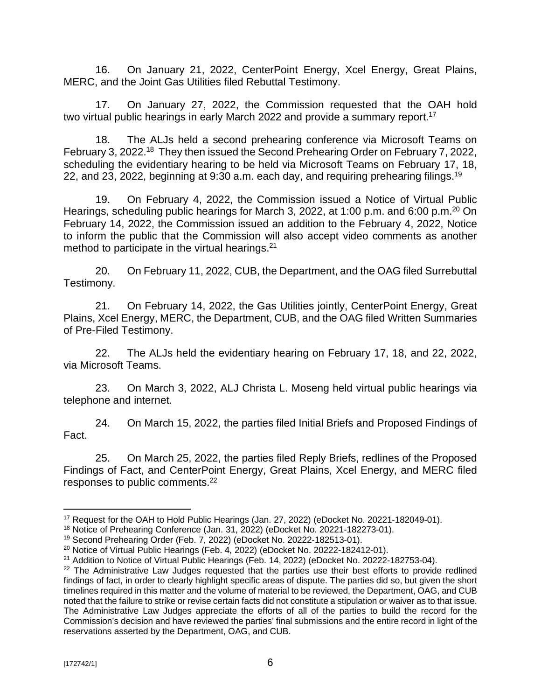16. On January 21, 2022, CenterPoint Energy, Xcel Energy, Great Plains, MERC, and the Joint Gas Utilities filed Rebuttal Testimony.

17. On January 27, 2022, the Commission requested that the OAH hold two virtual public hearings in early March 2022 and provide a summary report.<sup>17</sup>

18. The ALJs held a second prehearing conference via Microsoft Teams on February 3, 2022.<sup>18</sup> They then issued the Second Prehearing Order on February 7, 2022, scheduling the evidentiary hearing to be held via Microsoft Teams on February 17, 18, 22, and 23, 2022, beginning at 9:30 a.m. each day, and requiring prehearing filings.<sup>19</sup>

19. On February 4, 2022, the Commission issued a Notice of Virtual Public Hearings, scheduling public hearings for March 3, 2022, at 1:00 p.m. and 6:00 p.m.<sup>20</sup> On February 14, 2022, the Commission issued an addition to the February 4, 2022, Notice to inform the public that the Commission will also accept video comments as another method to participate in the virtual hearings.<sup>21</sup>

20. On February 11, 2022, CUB, the Department, and the OAG filed Surrebuttal Testimony.

21. On February 14, 2022, the Gas Utilities jointly, CenterPoint Energy, Great Plains, Xcel Energy, MERC, the Department, CUB, and the OAG filed Written Summaries of Pre-Filed Testimony.

22. The ALJs held the evidentiary hearing on February 17, 18, and 22, 2022, via Microsoft Teams.

23. On March 3, 2022, ALJ Christa L. Moseng held virtual public hearings via telephone and internet.

24. On March 15, 2022, the parties filed Initial Briefs and Proposed Findings of Fact.

25. On March 25, 2022, the parties filed Reply Briefs, redlines of the Proposed Findings of Fact, and CenterPoint Energy, Great Plains, Xcel Energy, and MERC filed responses to public comments.<sup>22</sup>

<sup>&</sup>lt;sup>17</sup> Request for the OAH to Hold Public Hearings (Jan. 27, 2022) (eDocket No. 20221-182049-01).

<sup>18</sup> Notice of Prehearing Conference (Jan. 31, 2022) (eDocket No. 20221-182273-01).

<sup>19</sup> Second Prehearing Order (Feb. 7, 2022) (eDocket No. 20222-182513-01).

<sup>20</sup> Notice of Virtual Public Hearings (Feb. 4, 2022) (eDocket No. 20222-182412-01).

<sup>&</sup>lt;sup>21</sup> Addition to Notice of Virtual Public Hearings (Feb. 14, 2022) (eDocket No. 20222-182753-04).

 $22$  The Administrative Law Judges requested that the parties use their best efforts to provide redlined findings of fact, in order to clearly highlight specific areas of dispute. The parties did so, but given the short timelines required in this matter and the volume of material to be reviewed, the Department, OAG, and CUB noted that the failure to strike or revise certain facts did not constitute a stipulation or waiver as to that issue. The Administrative Law Judges appreciate the efforts of all of the parties to build the record for the Commission's decision and have reviewed the parties' final submissions and the entire record in light of the reservations asserted by the Department, OAG, and CUB.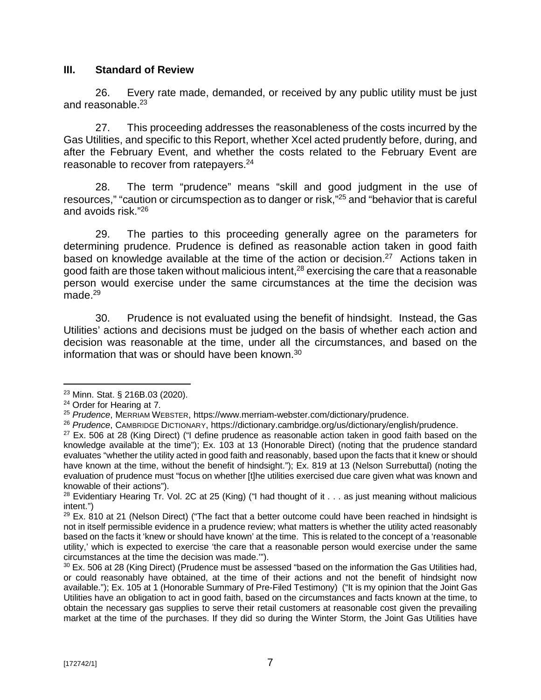### **III. Standard of Review**

26. Every rate made, demanded, or received by any public utility must be just and reasonable.<sup>23</sup>

27. This proceeding addresses the reasonableness of the costs incurred by the Gas Utilities, and specific to this Report, whether Xcel acted prudently before, during, and after the February Event, and whether the costs related to the February Event are reasonable to recover from ratepayers.<sup>24</sup>

28. The term "prudence" means "skill and good judgment in the use of resources," "caution or circumspection as to danger or risk,"<sup>25</sup> and "behavior that is careful and avoids risk."<sup>26</sup>

29. The parties to this proceeding generally agree on the parameters for determining prudence. Prudence is defined as reasonable action taken in good faith based on knowledge available at the time of the action or decision.<sup>27</sup> Actions taken in good faith are those taken without malicious intent, $^{28}$  exercising the care that a reasonable person would exercise under the same circumstances at the time the decision was made. $29$ 

30. Prudence is not evaluated using the benefit of hindsight. Instead, the Gas Utilities' actions and decisions must be judged on the basis of whether each action and decision was reasonable at the time, under all the circumstances, and based on the information that was or should have been known.<sup>30</sup>

<sup>23</sup> Minn. Stat. § 216B.03 (2020).

<sup>&</sup>lt;sup>24</sup> Order for Hearing at 7.

<sup>25</sup> *Prudence*, MERRIAM WEBSTER,<https://www.merriam-webster.com/dictionary/prudence.>

<sup>26</sup> *Prudence*, CAMBRIDGE DICTIONARY, <https://dictionary.cambridge.org/us/dictionary/english/prudence.>

 $27$  Ex. 506 at 28 (King Direct) ("I define prudence as reasonable action taken in good faith based on the knowledge available at the time"); Ex. 103 at 13 (Honorable Direct) (noting that the prudence standard evaluates "whether the utility acted in good faith and reasonably, based upon the facts that it knew or should have known at the time, without the benefit of hindsight."); Ex. 819 at 13 (Nelson Surrebuttal) (noting the evaluation of prudence must "focus on whether [t]he utilities exercised due care given what was known and knowable of their actions").

<sup>&</sup>lt;sup>28</sup> Evidentiary Hearing Tr. Vol. 2C at 25 (King) ("I had thought of it  $\ldots$  as just meaning without malicious intent.")

 $29$  Ex. 810 at 21 (Nelson Direct) ("The fact that a better outcome could have been reached in hindsight is not in itself permissible evidence in a prudence review; what matters is whether the utility acted reasonably based on the facts it 'knew or should have known' at the time. This is related to the concept of a 'reasonable utility,' which is expected to exercise 'the care that a reasonable person would exercise under the same circumstances at the time the decision was made.'").

 $30$  Ex. 506 at 28 (King Direct) (Prudence must be assessed "based on the information the Gas Utilities had, or could reasonably have obtained, at the time of their actions and not the benefit of hindsight now available."); Ex. 105 at 1 (Honorable Summary of Pre-Filed Testimony) ("It is my opinion that the Joint Gas Utilities have an obligation to act in good faith, based on the circumstances and facts known at the time, to obtain the necessary gas supplies to serve their retail customers at reasonable cost given the prevailing market at the time of the purchases. If they did so during the Winter Storm, the Joint Gas Utilities have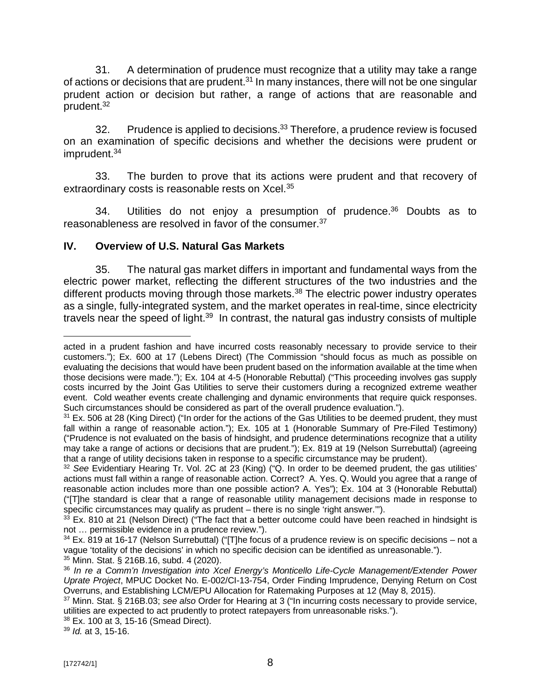31. A determination of prudence must recognize that a utility may take a range of actions or decisions that are prudent.<sup>31</sup> In many instances, there will not be one singular prudent action or decision but rather, a range of actions that are reasonable and prudent.<sup>32</sup>

32. Prudence is applied to decisions.<sup>33</sup> Therefore, a prudence review is focused on an examination of specific decisions and whether the decisions were prudent or imprudent.<sup>34</sup>

33. The burden to prove that its actions were prudent and that recovery of extraordinary costs is reasonable rests on Xcel.<sup>35</sup>

34. Utilities do not enjoy a presumption of prudence.<sup>36</sup> Doubts as to reasonableness are resolved in favor of the consumer.<sup>37</sup>

## **IV. Overview of U.S. Natural Gas Markets**

35. The natural gas market differs in important and fundamental ways from the electric power market, reflecting the different structures of the two industries and the different products moving through those markets.<sup>38</sup> The electric power industry operates as a single, fully-integrated system, and the market operates in real-time, since electricity travels near the speed of light.<sup>39</sup> In contrast, the natural gas industry consists of multiple

<sup>39</sup> *Id.* at 3, 15-16.

acted in a prudent fashion and have incurred costs reasonably necessary to provide service to their customers."); Ex. 600 at 17 (Lebens Direct) (The Commission "should focus as much as possible on evaluating the decisions that would have been prudent based on the information available at the time when those decisions were made."); Ex. 104 at 4-5 (Honorable Rebuttal) ("This proceeding involves gas supply costs incurred by the Joint Gas Utilities to serve their customers during a recognized extreme weather event. Cold weather events create challenging and dynamic environments that require quick responses. Such circumstances should be considered as part of the overall prudence evaluation.").

<sup>&</sup>lt;sup>31</sup> Ex. 506 at 28 (King Direct) ("In order for the actions of the Gas Utilities to be deemed prudent, they must fall within a range of reasonable action."); Ex. 105 at 1 (Honorable Summary of Pre-Filed Testimony) ("Prudence is not evaluated on the basis of hindsight, and prudence determinations recognize that a utility may take a range of actions or decisions that are prudent."); Ex. 819 at 19 (Nelson Surrebuttal) (agreeing that a range of utility decisions taken in response to a specific circumstance may be prudent).

<sup>&</sup>lt;sup>32</sup> See Evidentiary Hearing Tr. Vol. 2C at 23 (King) ("Q. In order to be deemed prudent, the gas utilities' actions must fall within a range of reasonable action. Correct? A. Yes. Q. Would you agree that a range of reasonable action includes more than one possible action? A. Yes"); Ex. 104 at 3 (Honorable Rebuttal) ("[T]he standard is clear that a range of reasonable utility management decisions made in response to specific circumstances may qualify as prudent – there is no single 'right answer.'").

 $33$  Ex. 810 at 21 (Nelson Direct) ("The fact that a better outcome could have been reached in hindsight is not … permissible evidence in a prudence review.").

<sup>&</sup>lt;sup>34</sup> Ex. 819 at 16-17 (Nelson Surrebuttal) ("[T]he focus of a prudence review is on specific decisions – not a vague 'totality of the decisions' in which no specific decision can be identified as unreasonable."). <sup>35</sup> Minn. Stat. § 216B.16, subd. 4 (2020).

<sup>36</sup> *In re a Comm'n Investigation into Xcel Energy's Monticello Life-Cycle Management/Extender Power Uprate Project*, MPUC Docket No. E-002/CI-13-754, Order Finding Imprudence, Denying Return on Cost Overruns, and Establishing LCM/EPU Allocation for Ratemaking Purposes at 12 (May 8, 2015).

<sup>37</sup> Minn. Stat. § 216B.03; *see also* Order for Hearing at 3 ("In incurring costs necessary to provide service, utilities are expected to act prudently to protect ratepayers from unreasonable risks.").

<sup>38</sup> Ex. 100 at 3, 15-16 (Smead Direct).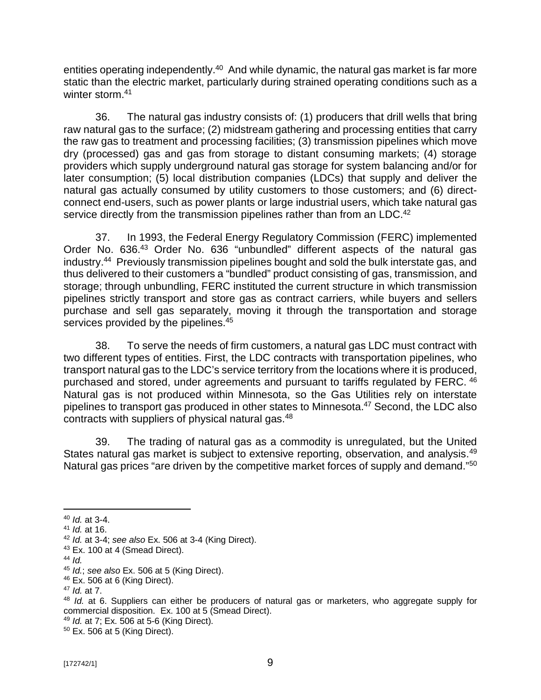entities operating independently.<sup>40</sup> And while dynamic, the natural gas market is far more static than the electric market, particularly during strained operating conditions such as a winter storm.<sup>41</sup>

36. The natural gas industry consists of: (1) producers that drill wells that bring raw natural gas to the surface; (2) midstream gathering and processing entities that carry the raw gas to treatment and processing facilities; (3) transmission pipelines which move dry (processed) gas and gas from storage to distant consuming markets; (4) storage providers which supply underground natural gas storage for system balancing and/or for later consumption; (5) local distribution companies (LDCs) that supply and deliver the natural gas actually consumed by utility customers to those customers; and (6) directconnect end-users, such as power plants or large industrial users, which take natural gas service directly from the transmission pipelines rather than from an LDC.<sup>42</sup>

37. In 1993, the Federal Energy Regulatory Commission (FERC) implemented Order No. 636.<sup>43</sup> Order No. 636 "unbundled" different aspects of the natural gas industry.<sup>44</sup> Previously transmission pipelines bought and sold the bulk interstate gas, and thus delivered to their customers a "bundled" product consisting of gas, transmission, and storage; through unbundling, FERC instituted the current structure in which transmission pipelines strictly transport and store gas as contract carriers, while buyers and sellers purchase and sell gas separately, moving it through the transportation and storage services provided by the pipelines.<sup>45</sup>

38. To serve the needs of firm customers, a natural gas LDC must contract with two different types of entities. First, the LDC contracts with transportation pipelines, who transport natural gas to the LDC's service territory from the locations where it is produced, purchased and stored, under agreements and pursuant to tariffs regulated by FERC. <sup>46</sup> Natural gas is not produced within Minnesota, so the Gas Utilities rely on interstate pipelines to transport gas produced in other states to Minnesota.<sup>47</sup> Second, the LDC also contracts with suppliers of physical natural gas.<sup>48</sup>

39. The trading of natural gas as a commodity is unregulated, but the United States natural gas market is subject to extensive reporting, observation, and analysis.<sup>49</sup> Natural gas prices "are driven by the competitive market forces of supply and demand."<sup>50</sup>

<sup>48</sup> *Id.* at 6. Suppliers can either be producers of natural gas or marketers, who aggregate supply for commercial disposition. Ex. 100 at 5 (Smead Direct).

<sup>40</sup> *Id.* at 3-4.

<sup>41</sup> *Id.* at 16.

<sup>42</sup> *Id.* at 3-4; *see also* Ex. 506 at 3-4 (King Direct).

<sup>43</sup> Ex. 100 at 4 (Smead Direct).

<sup>44</sup> *Id.*

<sup>45</sup> *Id.*; *see also* Ex. 506 at 5 (King Direct).

 $46$  Ex. 506 at 6 (King Direct).

<sup>47</sup> *Id.* at 7.

<sup>49</sup> *Id.* at 7; Ex. 506 at 5-6 (King Direct).

<sup>50</sup> Ex. 506 at 5 (King Direct).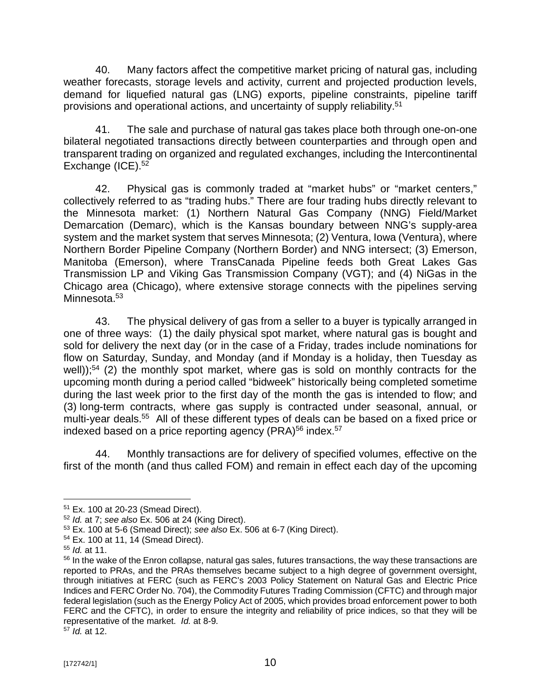40. Many factors affect the competitive market pricing of natural gas, including weather forecasts, storage levels and activity, current and projected production levels, demand for liquefied natural gas (LNG) exports, pipeline constraints, pipeline tariff provisions and operational actions, and uncertainty of supply reliability.<sup>51</sup>

41. The sale and purchase of natural gas takes place both through one-on-one bilateral negotiated transactions directly between counterparties and through open and transparent trading on organized and regulated exchanges, including the Intercontinental Exchange (ICE).<sup>52</sup>

42. Physical gas is commonly traded at "market hubs" or "market centers," collectively referred to as "trading hubs." There are four trading hubs directly relevant to the Minnesota market: (1) Northern Natural Gas Company (NNG) Field/Market Demarcation (Demarc), which is the Kansas boundary between NNG's supply-area system and the market system that serves Minnesota; (2) Ventura, Iowa (Ventura), where Northern Border Pipeline Company (Northern Border) and NNG intersect; (3) Emerson, Manitoba (Emerson), where TransCanada Pipeline feeds both Great Lakes Gas Transmission LP and Viking Gas Transmission Company (VGT); and (4) NiGas in the Chicago area (Chicago), where extensive storage connects with the pipelines serving Minnesota.<sup>53</sup>

43. The physical delivery of gas from a seller to a buyer is typically arranged in one of three ways: (1) the daily physical spot market, where natural gas is bought and sold for delivery the next day (or in the case of a Friday, trades include nominations for flow on Saturday, Sunday, and Monday (and if Monday is a holiday, then Tuesday as well));<sup>54</sup> (2) the monthly spot market, where gas is sold on monthly contracts for the upcoming month during a period called "bidweek" historically being completed sometime during the last week prior to the first day of the month the gas is intended to flow; and (3) long-term contracts, where gas supply is contracted under seasonal, annual, or multi-year deals.<sup>55</sup> All of these different types of deals can be based on a fixed price or indexed based on a price reporting agency (PRA) $^{56}$  index. $^{57}$ 

44. Monthly transactions are for delivery of specified volumes, effective on the first of the month (and thus called FOM) and remain in effect each day of the upcoming

<sup>51</sup> Ex. 100 at 20-23 (Smead Direct).

<sup>52</sup> *Id.* at 7; *see also* Ex. 506 at 24 (King Direct).

<sup>53</sup> Ex. 100 at 5-6 (Smead Direct); *see also* Ex. 506 at 6-7 (King Direct).

<sup>54</sup> Ex. 100 at 11, 14 (Smead Direct).

<sup>55</sup> *Id.* at 11.

<sup>&</sup>lt;sup>56</sup> In the wake of the Enron collapse, natural gas sales, futures transactions, the way these transactions are reported to PRAs, and the PRAs themselves became subject to a high degree of government oversight, through initiatives at FERC (such as FERC's 2003 Policy Statement on Natural Gas and Electric Price Indices and FERC Order No. 704), the Commodity Futures Trading Commission (CFTC) and through major federal legislation (such as the Energy Policy Act of 2005, which provides broad enforcement power to both FERC and the CFTC), in order to ensure the integrity and reliability of price indices, so that they will be representative of the market. *Id.* at 8-9.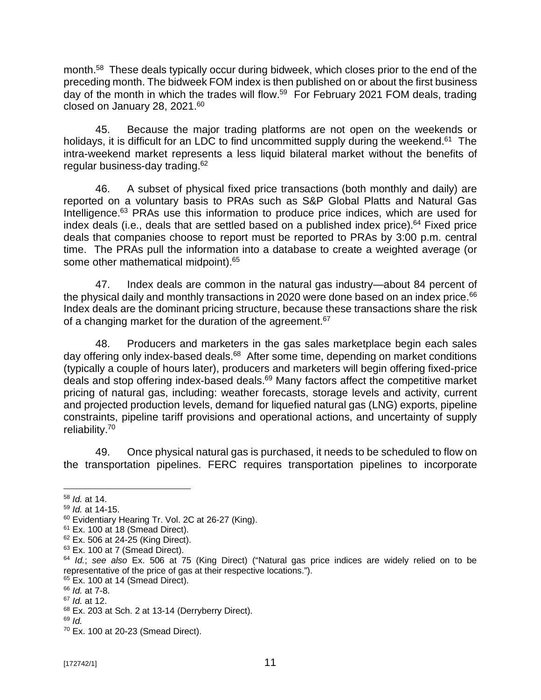month.<sup>58</sup> These deals typically occur during bidweek, which closes prior to the end of the preceding month. The bidweek FOM index is then published on or about the first business day of the month in which the trades will flow.<sup>59</sup> For February 2021 FOM deals, trading closed on January 28, 2021.<sup>60</sup>

45. Because the major trading platforms are not open on the weekends or holidays, it is difficult for an LDC to find uncommitted supply during the weekend.<sup>61</sup> The intra-weekend market represents a less liquid bilateral market without the benefits of regular business-day trading.<sup>62</sup>

46. A subset of physical fixed price transactions (both monthly and daily) are reported on a voluntary basis to PRAs such as S&P Global Platts and Natural Gas Intelligence.<sup>63</sup> PRAs use this information to produce price indices, which are used for index deals (i.e., deals that are settled based on a published index price).<sup>64</sup> Fixed price deals that companies choose to report must be reported to PRAs by 3:00 p.m. central time. The PRAs pull the information into a database to create a weighted average (or some other mathematical midpoint).<sup>65</sup>

47. Index deals are common in the natural gas industry—about 84 percent of the physical daily and monthly transactions in 2020 were done based on an index price.<sup>66</sup> Index deals are the dominant pricing structure, because these transactions share the risk of a changing market for the duration of the agreement.<sup>67</sup>

48. Producers and marketers in the gas sales marketplace begin each sales day offering only index-based deals.<sup>68</sup> After some time, depending on market conditions (typically a couple of hours later), producers and marketers will begin offering fixed-price deals and stop offering index-based deals. $69$  Many factors affect the competitive market pricing of natural gas, including: weather forecasts, storage levels and activity, current and projected production levels, demand for liquefied natural gas (LNG) exports, pipeline constraints, pipeline tariff provisions and operational actions, and uncertainty of supply reliability.<sup>70</sup>

49. Once physical natural gas is purchased, it needs to be scheduled to flow on the transportation pipelines. FERC requires transportation pipelines to incorporate

<sup>58</sup> *Id.* at 14.

<sup>59</sup> *Id.* at 14-15.

<sup>&</sup>lt;sup>60</sup> Evidentiary Hearing Tr. Vol. 2C at 26-27 (King).

 $61$  Ex. 100 at 18 (Smead Direct).

<sup>62</sup> Ex. 506 at 24-25 (King Direct).

<sup>&</sup>lt;sup>63</sup> Ex. 100 at 7 (Smead Direct).

<sup>64</sup> *Id.*; *see also* Ex. 506 at 75 (King Direct) ("Natural gas price indices are widely relied on to be representative of the price of gas at their respective locations.").

 $65$  Ex. 100 at 14 (Smead Direct).

<sup>66</sup> *Id.* at 7-8. <sup>67</sup> *Id.* at 12.

<sup>68</sup> Ex. 203 at Sch. 2 at 13-14 (Derryberry Direct).

<sup>69</sup> *Id.*

<sup>70</sup> Ex. 100 at 20-23 (Smead Direct).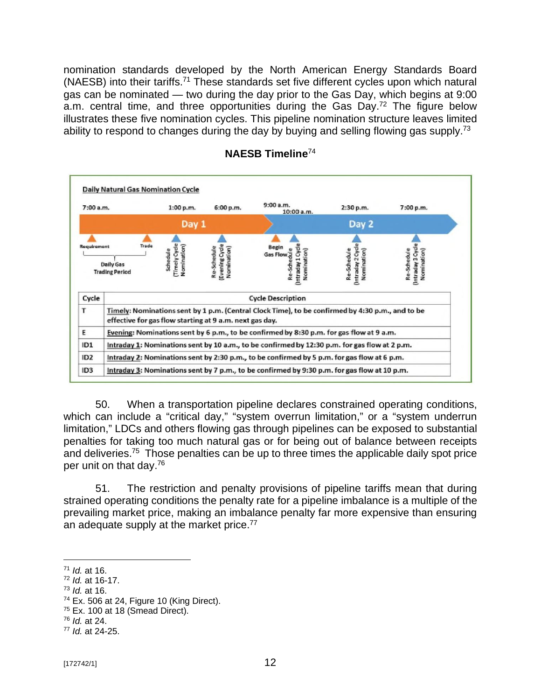nomination standards developed by the North American Energy Standards Board (NAESB) into their tariffs.<sup>71</sup> These standards set five different cycles upon which natural gas can be nominated — two during the day prior to the Gas Day, which begins at 9:00 a.m. central time, and three opportunities during the Gas Day.<sup>72</sup> The figure below illustrates these five nomination cycles. This pipeline nomination structure leaves limited ability to respond to changes during the day by buying and selling flowing gas supply.<sup>73</sup>



### **NAESB Timeline**<sup>74</sup>

50. When a transportation pipeline declares constrained operating conditions, which can include a "critical day," "system overrun limitation," or a "system underrun limitation," LDCs and others flowing gas through pipelines can be exposed to substantial penalties for taking too much natural gas or for being out of balance between receipts and deliveries.<sup>75</sup> Those penalties can be up to three times the applicable daily spot price per unit on that day.<sup>76</sup>

51. The restriction and penalty provisions of pipeline tariffs mean that during strained operating conditions the penalty rate for a pipeline imbalance is a multiple of the prevailing market price, making an imbalance penalty far more expensive than ensuring an adequate supply at the market price. $^{77}$ 

- <sup>73</sup> *Id.* at 16.
- $74$  Ex. 506 at 24, Figure 10 (King Direct).

<sup>71</sup> *Id.* at 16.

<sup>72</sup> *Id.* at 16-17.

 $75$  Ex. 100 at 18 (Smead Direct).

<sup>76</sup> *Id.* at 24.

<sup>77</sup> *Id.* at 24-25.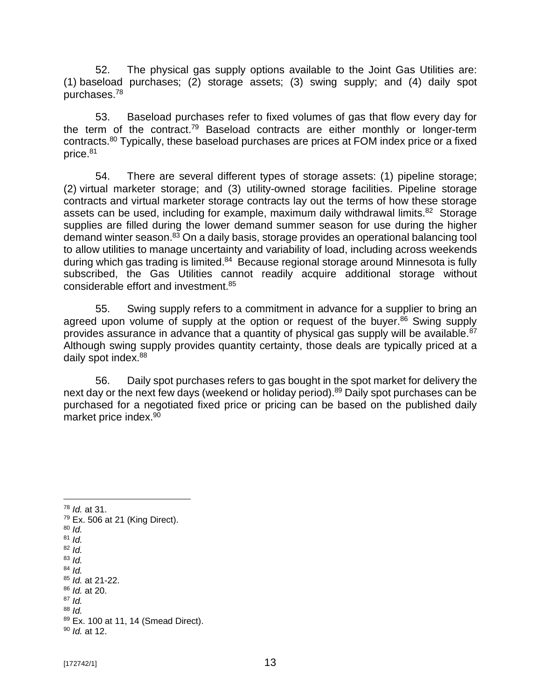52. The physical gas supply options available to the Joint Gas Utilities are: (1) baseload purchases; (2) storage assets; (3) swing supply; and (4) daily spot purchases.<sup>78</sup>

53. Baseload purchases refer to fixed volumes of gas that flow every day for the term of the contract.<sup>79</sup> Baseload contracts are either monthly or longer-term contracts.<sup>80</sup> Typically, these baseload purchases are prices at FOM index price or a fixed price.<sup>81</sup>

54. There are several different types of storage assets: (1) pipeline storage; (2) virtual marketer storage; and (3) utility-owned storage facilities. Pipeline storage contracts and virtual marketer storage contracts lay out the terms of how these storage assets can be used, including for example, maximum daily withdrawal limits.<sup>82</sup> Storage supplies are filled during the lower demand summer season for use during the higher demand winter season.<sup>83</sup> On a daily basis, storage provides an operational balancing tool to allow utilities to manage uncertainty and variability of load, including across weekends during which gas trading is limited.<sup>84</sup> Because regional storage around Minnesota is fully subscribed, the Gas Utilities cannot readily acquire additional storage without considerable effort and investment.<sup>85</sup>

55. Swing supply refers to a commitment in advance for a supplier to bring an agreed upon volume of supply at the option or request of the buyer.<sup>86</sup> Swing supply provides assurance in advance that a quantity of physical gas supply will be available.<sup>87</sup> Although swing supply provides quantity certainty, those deals are typically priced at a daily spot index.<sup>88</sup>

56. Daily spot purchases refers to gas bought in the spot market for delivery the next day or the next few days (weekend or holiday period).<sup>89</sup> Daily spot purchases can be purchased for a negotiated fixed price or pricing can be based on the published daily market price index.<sup>90</sup>

<sup>78</sup> *Id.* at 31.

 $79$  Ex. 506 at 21 (King Direct).

- <sup>80</sup> *Id.*
- <sup>81</sup> *Id.* <sup>82</sup> *Id.*
- <sup>83</sup> *Id.*
- <sup>84</sup> *Id.*
- <sup>85</sup> *Id.* at 21-22.
- <sup>86</sup> *Id.* at 20.
- <sup>87</sup> *Id.*
- <sup>88</sup> *Id.*
- 89 Ex. 100 at 11, 14 (Smead Direct).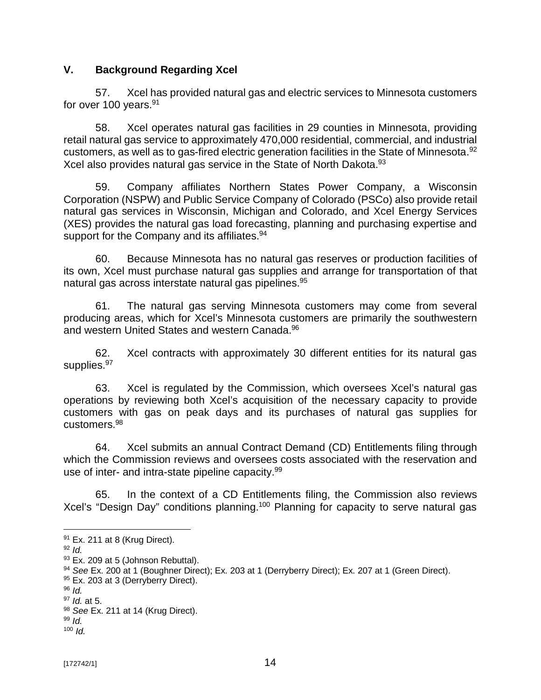## **V. Background Regarding Xcel**

57. Xcel has provided natural gas and electric services to Minnesota customers for over 100 years.<sup>91</sup>

58. Xcel operates natural gas facilities in 29 counties in Minnesota, providing retail natural gas service to approximately 470,000 residential, commercial, and industrial customers, as well as to gas-fired electric generation facilities in the State of Minnesota. $92$ Xcel also provides natural gas service in the State of North Dakota.<sup>93</sup>

59. Company affiliates Northern States Power Company, a Wisconsin Corporation (NSPW) and Public Service Company of Colorado (PSCo) also provide retail natural gas services in Wisconsin, Michigan and Colorado, and Xcel Energy Services (XES) provides the natural gas load forecasting, planning and purchasing expertise and support for the Company and its affiliates.<sup>94</sup>

60. Because Minnesota has no natural gas reserves or production facilities of its own, Xcel must purchase natural gas supplies and arrange for transportation of that natural gas across interstate natural gas pipelines.<sup>95</sup>

61. The natural gas serving Minnesota customers may come from several producing areas, which for Xcel's Minnesota customers are primarily the southwestern and western United States and western Canada.<sup>96</sup>

62. Xcel contracts with approximately 30 different entities for its natural gas supplies.<sup>97</sup>

63. Xcel is regulated by the Commission, which oversees Xcel's natural gas operations by reviewing both Xcel's acquisition of the necessary capacity to provide customers with gas on peak days and its purchases of natural gas supplies for customers.<sup>98</sup>

64. Xcel submits an annual Contract Demand (CD) Entitlements filing through which the Commission reviews and oversees costs associated with the reservation and use of inter- and intra-state pipeline capacity.<sup>99</sup>

65. In the context of a CD Entitlements filing, the Commission also reviews Xcel's "Design Day" conditions planning.<sup>100</sup> Planning for capacity to serve natural gas

<sup>91</sup> Ex. 211 at 8 (Krug Direct).

<sup>92</sup> *Id.*

<sup>93</sup> Ex. 209 at 5 (Johnson Rebuttal).

<sup>94</sup> *See* Ex. 200 at 1 (Boughner Direct); Ex. 203 at 1 (Derryberry Direct); Ex. 207 at 1 (Green Direct).

<sup>95</sup> Ex. 203 at 3 (Derryberry Direct).

<sup>96</sup> *Id.*

<sup>97</sup> *Id.* at 5.

<sup>98</sup> *See* Ex. 211 at 14 (Krug Direct).

<sup>99</sup> *Id.*  $100$  *Id.*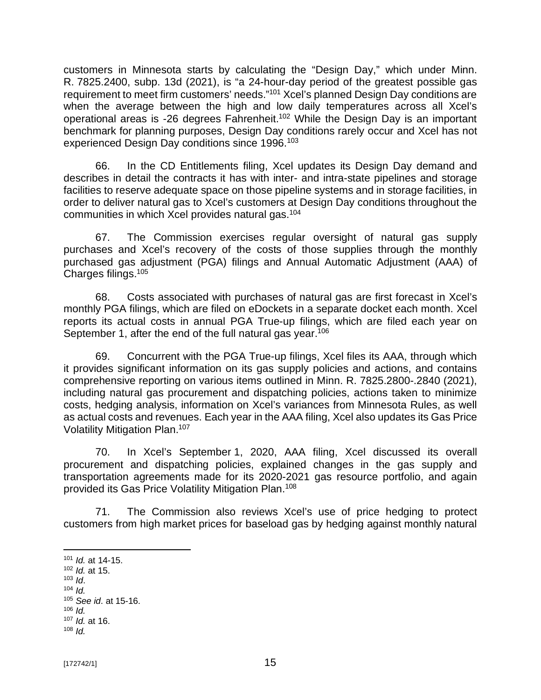customers in Minnesota starts by calculating the "Design Day," which under Minn. R. 7825.2400, subp. 13d (2021), is "a 24-hour-day period of the greatest possible gas requirement to meet firm customers' needs."<sup>101</sup> Xcel's planned Design Day conditions are when the average between the high and low daily temperatures across all Xcel's operational areas is -26 degrees Fahrenheit.<sup>102</sup> While the Design Day is an important benchmark for planning purposes, Design Day conditions rarely occur and Xcel has not experienced Design Day conditions since 1996.<sup>103</sup>

66. In the CD Entitlements filing, Xcel updates its Design Day demand and describes in detail the contracts it has with inter- and intra-state pipelines and storage facilities to reserve adequate space on those pipeline systems and in storage facilities, in order to deliver natural gas to Xcel's customers at Design Day conditions throughout the communities in which Xcel provides natural gas.<sup>104</sup>

67. The Commission exercises regular oversight of natural gas supply purchases and Xcel's recovery of the costs of those supplies through the monthly purchased gas adjustment (PGA) filings and Annual Automatic Adjustment (AAA) of Charges filings.<sup>105</sup>

68. Costs associated with purchases of natural gas are first forecast in Xcel's monthly PGA filings, which are filed on eDockets in a separate docket each month. Xcel reports its actual costs in annual PGA True-up filings, which are filed each year on September 1, after the end of the full natural gas year.<sup>106</sup>

69. Concurrent with the PGA True-up filings, Xcel files its AAA, through which it provides significant information on its gas supply policies and actions, and contains comprehensive reporting on various items outlined in Minn. R. 7825.2800-.2840 (2021), including natural gas procurement and dispatching policies, actions taken to minimize costs, hedging analysis, information on Xcel's variances from Minnesota Rules, as well as actual costs and revenues. Each year in the AAA filing, Xcel also updates its Gas Price Volatility Mitigation Plan.<sup>107</sup>

70. In Xcel's September 1, 2020, AAA filing, Xcel discussed its overall procurement and dispatching policies, explained changes in the gas supply and transportation agreements made for its 2020-2021 gas resource portfolio, and again provided its Gas Price Volatility Mitigation Plan. 108

71. The Commission also reviews Xcel's use of price hedging to protect customers from high market prices for baseload gas by hedging against monthly natural

<sup>103</sup> *Id*.

 $106$  *Id.* 

<sup>101</sup> *Id.* at 14-15.

<sup>102</sup> *Id.* at 15.

 $104$  *Id.* <sup>105</sup> *See id*. at 15-16.

<sup>107</sup> *Id.* at 16.

<sup>108</sup> *Id.*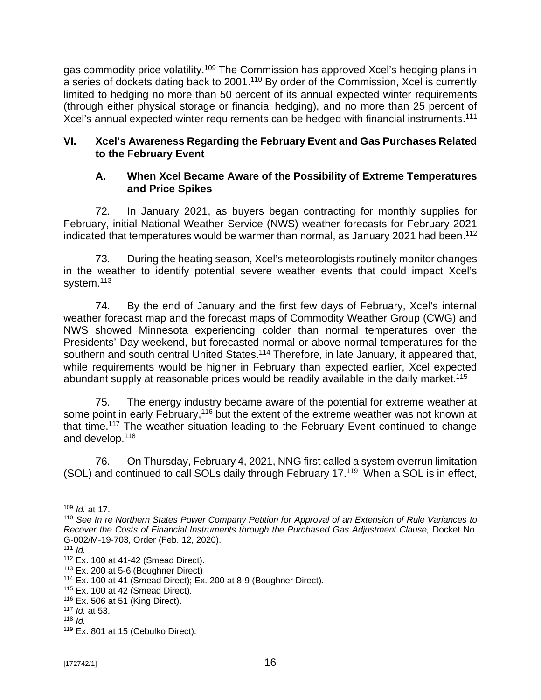gas commodity price volatility.<sup>109</sup> The Commission has approved Xcel's hedging plans in a series of dockets dating back to 2001.<sup>110</sup> By order of the Commission, Xcel is currently limited to hedging no more than 50 percent of its annual expected winter requirements (through either physical storage or financial hedging), and no more than 25 percent of Xcel's annual expected winter requirements can be hedged with financial instruments.<sup>111</sup>

### **VI. Xcel's Awareness Regarding the February Event and Gas Purchases Related to the February Event**

### **A. When Xcel Became Aware of the Possibility of Extreme Temperatures and Price Spikes**

72. In January 2021, as buyers began contracting for monthly supplies for February, initial National Weather Service (NWS) weather forecasts for February 2021 indicated that temperatures would be warmer than normal, as January 2021 had been.<sup>112</sup>

73. During the heating season, Xcel's meteorologists routinely monitor changes in the weather to identify potential severe weather events that could impact Xcel's system.<sup>113</sup>

74. By the end of January and the first few days of February, Xcel's internal weather forecast map and the forecast maps of Commodity Weather Group (CWG) and NWS showed Minnesota experiencing colder than normal temperatures over the Presidents' Day weekend, but forecasted normal or above normal temperatures for the southern and south central United States.<sup>114</sup> Therefore, in late January, it appeared that, while requirements would be higher in February than expected earlier, Xcel expected abundant supply at reasonable prices would be readily available in the daily market.<sup>115</sup>

75. The energy industry became aware of the potential for extreme weather at some point in early February,<sup>116</sup> but the extent of the extreme weather was not known at that time.<sup>117</sup> The weather situation leading to the February Event continued to change and develop.<sup>118</sup>

76. On Thursday, February 4, 2021, NNG first called a system overrun limitation (SOL) and continued to call SOLs daily through February 17.<sup>119</sup> When a SOL is in effect,

<sup>109</sup> *Id.* at 17.

<sup>110</sup> *See In re Northern States Power Company Petition for Approval of an Extension of Rule Variances to*  Recover the Costs of Financial Instruments through the Purchased Gas Adjustment Clause, Docket No. G-002/M-19-703, Order (Feb. 12, 2020).

 $111$  *Id.* 

<sup>112</sup> Ex. 100 at 41-42 (Smead Direct).

 $113$  Ex. 200 at 5-6 (Boughner Direct)

 $114$  Ex. 100 at 41 (Smead Direct); Ex. 200 at 8-9 (Boughner Direct).

<sup>115</sup> Ex. 100 at 42 (Smead Direct).

<sup>116</sup> Ex. 506 at 51 (King Direct).

<sup>117</sup> *Id.* at 53.

<sup>118</sup> *Id.*

 $119$  Ex. 801 at 15 (Cebulko Direct).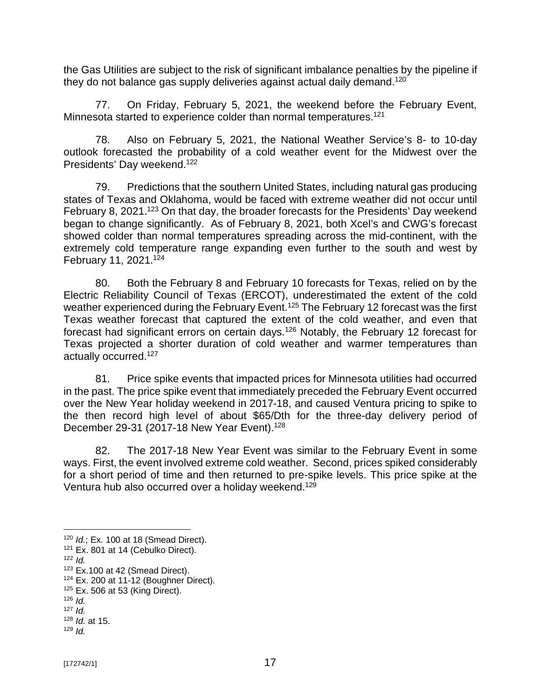the Gas Utilities are subject to the risk of significant imbalance penalties by the pipeline if they do not balance gas supply deliveries against actual daily demand.<sup>120</sup>

77. On Friday, February 5, 2021, the weekend before the February Event, Minnesota started to experience colder than normal temperatures.<sup>121</sup>

78. Also on February 5, 2021, the National Weather Service's 8- to 10-day outlook forecasted the probability of a cold weather event for the Midwest over the Presidents' Day weekend.<sup>122</sup>

79. Predictions that the southern United States, including natural gas producing states of Texas and Oklahoma, would be faced with extreme weather did not occur until February 8, 2021.<sup>123</sup> On that day, the broader forecasts for the Presidents' Day weekend began to change significantly. As of February 8, 2021, both Xcel's and CWG's forecast showed colder than normal temperatures spreading across the mid-continent, with the extremely cold temperature range expanding even further to the south and west by February 11, 2021.<sup>124</sup>

80. Both the February 8 and February 10 forecasts for Texas, relied on by the Electric Reliability Council of Texas (ERCOT), underestimated the extent of the cold weather experienced during the February Event.<sup>125</sup> The February 12 forecast was the first Texas weather forecast that captured the extent of the cold weather, and even that forecast had significant errors on certain days.<sup>126</sup> Notably, the February 12 forecast for Texas projected a shorter duration of cold weather and warmer temperatures than actually occurred.<sup>127</sup>

81. Price spike events that impacted prices for Minnesota utilities had occurred in the past. The price spike event that immediately preceded the February Event occurred over the New Year holiday weekend in 2017-18, and caused Ventura pricing to spike to the then record high level of about \$65/Dth for the three-day delivery period of December 29-31 (2017-18 New Year Event).<sup>128</sup>

82. The 2017-18 New Year Event was similar to the February Event in some ways. First, the event involved extreme cold weather. Second, prices spiked considerably for a short period of time and then returned to pre-spike levels. This price spike at the Ventura hub also occurred over a holiday weekend.<sup>129</sup>

<sup>120</sup> *Id.*; Ex. 100 at 18 (Smead Direct).

<sup>&</sup>lt;sup>121</sup> Ex. 801 at 14 (Cebulko Direct).

<sup>122</sup> *Id.*

 $123$  Ex.100 at 42 (Smead Direct).

 $124$  Ex. 200 at 11-12 (Boughner Direct).

 $125$  Ex. 506 at 53 (King Direct).

 $126$  *Id.*  $127$  *Id.* 

<sup>128</sup> *Id.* at 15. <sup>129</sup> *Id.*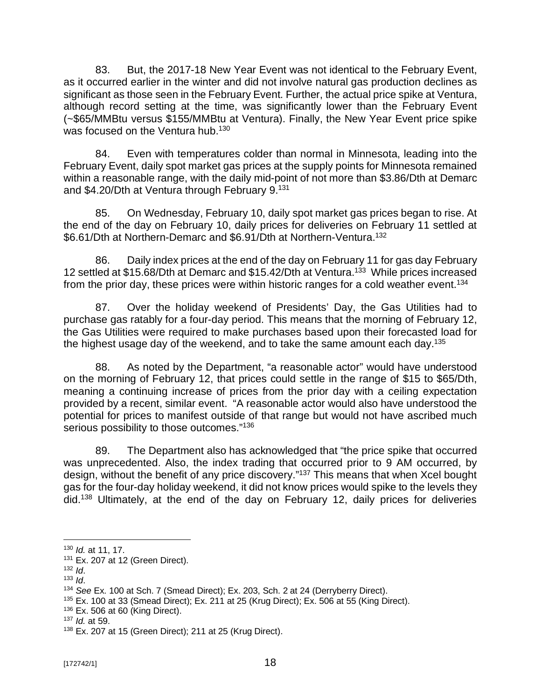83. But, the 2017-18 New Year Event was not identical to the February Event, as it occurred earlier in the winter and did not involve natural gas production declines as significant as those seen in the February Event. Further, the actual price spike at Ventura, although record setting at the time, was significantly lower than the February Event (~\$65/MMBtu versus \$155/MMBtu at Ventura). Finally, the New Year Event price spike was focused on the Ventura hub.<sup>130</sup>

84. Even with temperatures colder than normal in Minnesota, leading into the February Event, daily spot market gas prices at the supply points for Minnesota remained within a reasonable range, with the daily mid-point of not more than \$3.86/Dth at Demarc and \$4.20/Dth at Ventura through February 9.<sup>131</sup>

85. On Wednesday, February 10, daily spot market gas prices began to rise. At the end of the day on February 10, daily prices for deliveries on February 11 settled at \$6.61/Dth at Northern-Demarc and \$6.91/Dth at Northern-Ventura.<sup>132</sup>

86. Daily index prices at the end of the day on February 11 for gas day February 12 settled at \$15.68/Dth at Demarc and \$15.42/Dth at Ventura.<sup>133</sup> While prices increased from the prior day, these prices were within historic ranges for a cold weather event.<sup>134</sup>

87. Over the holiday weekend of Presidents' Day, the Gas Utilities had to purchase gas ratably for a four-day period. This means that the morning of February 12, the Gas Utilities were required to make purchases based upon their forecasted load for the highest usage day of the weekend, and to take the same amount each day.<sup>135</sup>

88. As noted by the Department, "a reasonable actor" would have understood on the morning of February 12, that prices could settle in the range of \$15 to \$65/Dth, meaning a continuing increase of prices from the prior day with a ceiling expectation provided by a recent, similar event. "A reasonable actor would also have understood the potential for prices to manifest outside of that range but would not have ascribed much serious possibility to those outcomes."<sup>136</sup>

89. The Department also has acknowledged that "the price spike that occurred was unprecedented. Also, the index trading that occurred prior to 9 AM occurred, by design, without the benefit of any price discovery."<sup>137</sup> This means that when Xcel bought gas for the four-day holiday weekend, it did not know prices would spike to the levels they did. <sup>138</sup> Ultimately, at the end of the day on February 12, daily prices for deliveries

<sup>130</sup> *Id.* at 11, 17.

<sup>131</sup> Ex. 207 at 12 (Green Direct).

<sup>132</sup> *Id*.

<sup>133</sup> *Id*.

<sup>134</sup> *See* Ex. 100 at Sch. 7 (Smead Direct); Ex. 203, Sch. 2 at 24 (Derryberry Direct).

<sup>&</sup>lt;sup>135</sup> Ex. 100 at 33 (Smead Direct); Ex. 211 at 25 (Krug Direct); Ex. 506 at 55 (King Direct).

 $136$  Ex. 506 at 60 (King Direct).

<sup>137</sup> *Id.* at 59.

<sup>138</sup> Ex. 207 at 15 (Green Direct); 211 at 25 (Krug Direct).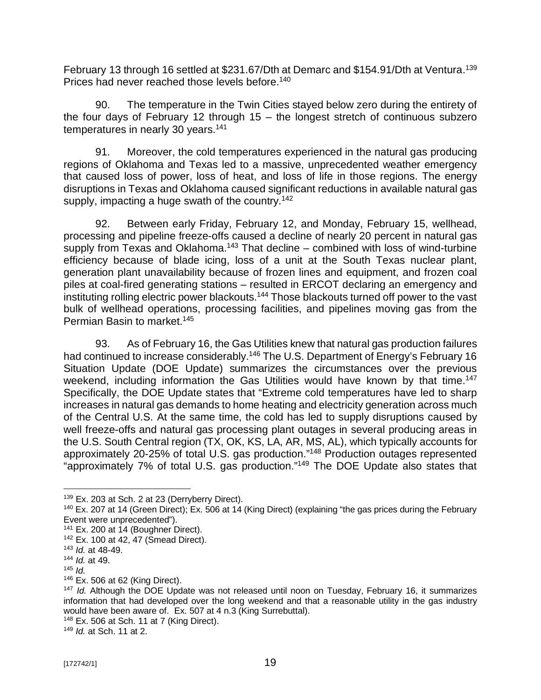February 13 through 16 settled at \$231.67/Dth at Demarc and \$154.91/Dth at Ventura.<sup>139</sup> Prices had never reached those levels before.<sup>140</sup>

90. The temperature in the Twin Cities stayed below zero during the entirety of the four days of February 12 through 15 – the longest stretch of continuous subzero temperatures in nearly 30 years.<sup>141</sup>

91. Moreover, the cold temperatures experienced in the natural gas producing regions of Oklahoma and Texas led to a massive, unprecedented weather emergency that caused loss of power, loss of heat, and loss of life in those regions. The energy disruptions in Texas and Oklahoma caused significant reductions in available natural gas supply, impacting a huge swath of the country.<sup>142</sup>

92. Between early Friday, February 12, and Monday, February 15, wellhead, processing and pipeline freeze-offs caused a decline of nearly 20 percent in natural gas supply from Texas and Oklahoma.<sup>143</sup> That decline – combined with loss of wind-turbine efficiency because of blade icing, loss of a unit at the South Texas nuclear plant, generation plant unavailability because of frozen lines and equipment, and frozen coal piles at coal-fired generating stations – resulted in ERCOT declaring an emergency and instituting rolling electric power blackouts.<sup>144</sup> Those blackouts turned off power to the vast bulk of wellhead operations, processing facilities, and pipelines moving gas from the Permian Basin to market.<sup>145</sup>

93. As of February 16, the Gas Utilities knew that natural gas production failures had continued to increase considerably.<sup>146</sup> The U.S. Department of Energy's February 16 Situation Update (DOE Update) summarizes the circumstances over the previous weekend, including information the Gas Utilities would have known by that time.<sup>147</sup> Specifically, the DOE Update states that "Extreme cold temperatures have led to sharp increases in natural gas demands to home heating and electricity generation across much of the Central U.S. At the same time, the cold has led to supply disruptions caused by well freeze-offs and natural gas processing plant outages in several producing areas in the U.S. South Central region (TX, OK, KS, LA, AR, MS, AL), which typically accounts for approximately 20-25% of total U.S. gas production."<sup>148</sup> Production outages represented "approximately 7% of total U.S. gas production."<sup>149</sup> The DOE Update also states that

<sup>149</sup> *Id.* at Sch. 11 at 2.

<sup>&</sup>lt;sup>139</sup> Ex. 203 at Sch. 2 at 23 (Derryberry Direct).

<sup>&</sup>lt;sup>140</sup> Ex. 207 at 14 (Green Direct); Ex. 506 at 14 (King Direct) (explaining "the gas prices during the February Event were unprecedented").

<sup>&</sup>lt;sup>141</sup> Ex. 200 at 14 (Boughner Direct).

<sup>142</sup> Ex. 100 at 42, 47 (Smead Direct).

<sup>143</sup> *Id.* at 48-49.

<sup>144</sup> *Id.* at 49.

 $145$  *Id.* 

<sup>146</sup> Ex. 506 at 62 (King Direct).

<sup>147</sup> *Id.* Although the DOE Update was not released until noon on Tuesday, February 16, it summarizes information that had developed over the long weekend and that a reasonable utility in the gas industry would have been aware of. Ex. 507 at 4 n.3 (King Surrebuttal).

<sup>148</sup> Ex. 506 at Sch. 11 at 7 (King Direct).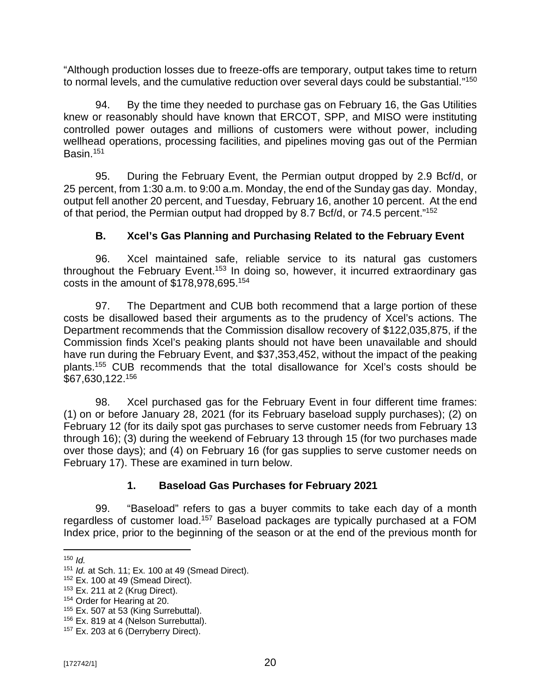"Although production losses due to freeze-offs are temporary, output takes time to return to normal levels, and the cumulative reduction over several days could be substantial."<sup>150</sup>

94. By the time they needed to purchase gas on February 16, the Gas Utilities knew or reasonably should have known that ERCOT, SPP, and MISO were instituting controlled power outages and millions of customers were without power, including wellhead operations, processing facilities, and pipelines moving gas out of the Permian Basin.<sup>151</sup>

95. During the February Event, the Permian output dropped by 2.9 Bcf/d, or 25 percent, from 1:30 a.m. to 9:00 a.m. Monday, the end of the Sunday gas day. Monday, output fell another 20 percent, and Tuesday, February 16, another 10 percent. At the end of that period, the Permian output had dropped by 8.7 Bcf/d, or 74.5 percent."<sup>152</sup>

## **B. Xcel's Gas Planning and Purchasing Related to the February Event**

96. Xcel maintained safe, reliable service to its natural gas customers throughout the February Event.<sup>153</sup> In doing so, however, it incurred extraordinary gas costs in the amount of \$178,978,695.<sup>154</sup>

97. The Department and CUB both recommend that a large portion of these costs be disallowed based their arguments as to the prudency of Xcel's actions. The Department recommends that the Commission disallow recovery of \$122,035,875, if the Commission finds Xcel's peaking plants should not have been unavailable and should have run during the February Event, and \$37,353,452, without the impact of the peaking plants.<sup>155</sup> CUB recommends that the total disallowance for Xcel's costs should be \$67,630,122.<sup>156</sup>

98. Xcel purchased gas for the February Event in four different time frames: (1) on or before January 28, 2021 (for its February baseload supply purchases); (2) on February 12 (for its daily spot gas purchases to serve customer needs from February 13 through 16); (3) during the weekend of February 13 through 15 (for two purchases made over those days); and (4) on February 16 (for gas supplies to serve customer needs on February 17). These are examined in turn below.

## **1. Baseload Gas Purchases for February 2021**

99. "Baseload" refers to gas a buyer commits to take each day of a month regardless of customer load.<sup>157</sup> Baseload packages are typically purchased at a FOM Index price, prior to the beginning of the season or at the end of the previous month for

 $150$  *Id.* 

<sup>151</sup> *Id.* at Sch. 11; Ex. 100 at 49 (Smead Direct).

 $152$  Ex. 100 at 49 (Smead Direct).

<sup>153</sup> Ex. 211 at 2 (Krug Direct).

<sup>154</sup> Order for Hearing at 20.

<sup>&</sup>lt;sup>155</sup> Ex. 507 at 53 (King Surrebuttal).

<sup>&</sup>lt;sup>156</sup> Ex. 819 at 4 (Nelson Surrebuttal).

<sup>&</sup>lt;sup>157</sup> Ex. 203 at 6 (Derryberry Direct).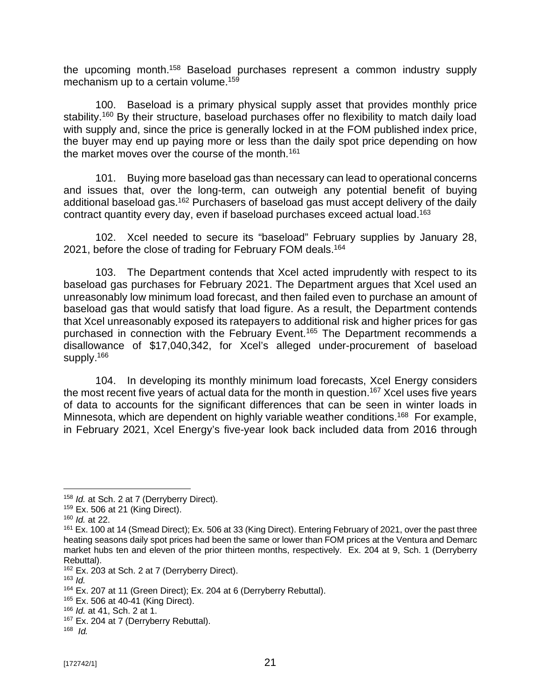the upcoming month.<sup>158</sup> Baseload purchases represent a common industry supply mechanism up to a certain volume.<sup>159</sup>

100. Baseload is a primary physical supply asset that provides monthly price stability.<sup>160</sup> By their structure, baseload purchases offer no flexibility to match daily load with supply and, since the price is generally locked in at the FOM published index price, the buyer may end up paying more or less than the daily spot price depending on how the market moves over the course of the month.<sup>161</sup>

101. Buying more baseload gas than necessary can lead to operational concerns and issues that, over the long-term, can outweigh any potential benefit of buying additional baseload gas.<sup>162</sup> Purchasers of baseload gas must accept delivery of the daily contract quantity every day, even if baseload purchases exceed actual load.<sup>163</sup>

102. Xcel needed to secure its "baseload" February supplies by January 28, 2021, before the close of trading for February FOM deals.<sup>164</sup>

103. The Department contends that Xcel acted imprudently with respect to its baseload gas purchases for February 2021. The Department argues that Xcel used an unreasonably low minimum load forecast, and then failed even to purchase an amount of baseload gas that would satisfy that load figure. As a result, the Department contends that Xcel unreasonably exposed its ratepayers to additional risk and higher prices for gas purchased in connection with the February Event.<sup>165</sup> The Department recommends a disallowance of \$17,040,342, for Xcel's alleged under-procurement of baseload supply.<sup>166</sup>

104. In developing its monthly minimum load forecasts, Xcel Energy considers the most recent five years of actual data for the month in question.<sup>167</sup> Xcel uses five years of data to accounts for the significant differences that can be seen in winter loads in Minnesota, which are dependent on highly variable weather conditions.<sup>168</sup> For example, in February 2021, Xcel Energy's five-year look back included data from 2016 through

<sup>158</sup> *Id.* at Sch. 2 at 7 (Derryberry Direct).

<sup>159</sup> Ex. 506 at 21 (King Direct).

<sup>160</sup> *Id.* at 22.

<sup>&</sup>lt;sup>161</sup> Ex. 100 at 14 (Smead Direct); Ex. 506 at 33 (King Direct). Entering February of 2021, over the past three heating seasons daily spot prices had been the same or lower than FOM prices at the Ventura and Demarc market hubs ten and eleven of the prior thirteen months, respectively. Ex. 204 at 9, Sch. 1 (Derryberry Rebuttal).

<sup>&</sup>lt;sup>162</sup> Ex. 203 at Sch. 2 at 7 (Derryberry Direct).

<sup>163</sup> *Id.*

<sup>164</sup> Ex. 207 at 11 (Green Direct); Ex. 204 at 6 (Derryberry Rebuttal).

<sup>165</sup> Ex. 506 at 40-41 (King Direct).

<sup>166</sup> *Id.* at 41, Sch. 2 at 1.

<sup>&</sup>lt;sup>167</sup> Ex. 204 at 7 (Derryberry Rebuttal).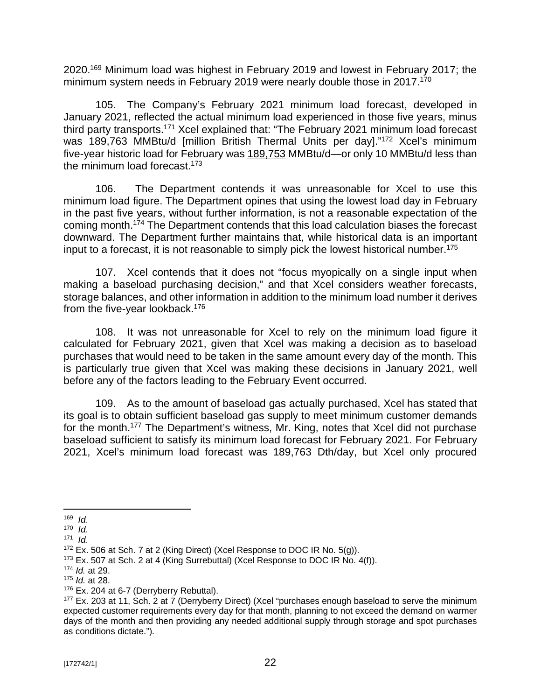2020.<sup>169</sup> Minimum load was highest in February 2019 and lowest in February 2017; the minimum system needs in February 2019 were nearly double those in 2017.<sup>170</sup>

105. The Company's February 2021 minimum load forecast, developed in January 2021, reflected the actual minimum load experienced in those five years, minus third party transports.<sup>171</sup> Xcel explained that: "The February 2021 minimum load forecast was 189,763 MMBtu/d [million British Thermal Units per day]."<sup>172</sup> Xcel's minimum five-year historic load for February was 189,753 MMBtu/d—or only 10 MMBtu/d less than the minimum load forecast.<sup>173</sup>

106. The Department contends it was unreasonable for Xcel to use this minimum load figure. The Department opines that using the lowest load day in February in the past five years, without further information, is not a reasonable expectation of the coming month.<sup>174</sup> The Department contends that this load calculation biases the forecast downward. The Department further maintains that, while historical data is an important input to a forecast, it is not reasonable to simply pick the lowest historical number.<sup>175</sup>

107. Xcel contends that it does not "focus myopically on a single input when making a baseload purchasing decision," and that Xcel considers weather forecasts, storage balances, and other information in addition to the minimum load number it derives from the five-year lookback.<sup>176</sup>

108. It was not unreasonable for Xcel to rely on the minimum load figure it calculated for February 2021, given that Xcel was making a decision as to baseload purchases that would need to be taken in the same amount every day of the month. This is particularly true given that Xcel was making these decisions in January 2021, well before any of the factors leading to the February Event occurred.

109. As to the amount of baseload gas actually purchased, Xcel has stated that its goal is to obtain sufficient baseload gas supply to meet minimum customer demands for the month.<sup>177</sup> The Department's witness, Mr. King, notes that Xcel did not purchase baseload sufficient to satisfy its minimum load forecast for February 2021. For February 2021, Xcel's minimum load forecast was 189,763 Dth/day, but Xcel only procured

<sup>169</sup> *Id.*

<sup>170</sup> *Id.*

<sup>171</sup> *Id.*

<sup>&</sup>lt;sup>172</sup> Ex. 506 at Sch. 7 at 2 (King Direct) (Xcel Response to DOC IR No. 5(g)).

<sup>&</sup>lt;sup>173</sup> Ex. 507 at Sch. 2 at 4 (King Surrebuttal) (Xcel Response to DOC IR No. 4(f)).

<sup>174</sup> *Id.* at 29.

<sup>175</sup> *Id.* at 28.

<sup>&</sup>lt;sup>176</sup> Ex. 204 at 6-7 (Derryberry Rebuttal).

<sup>177</sup> Ex. 203 at 11, Sch. 2 at 7 (Derryberry Direct) (Xcel "purchases enough baseload to serve the minimum expected customer requirements every day for that month, planning to not exceed the demand on warmer days of the month and then providing any needed additional supply through storage and spot purchases as conditions dictate.").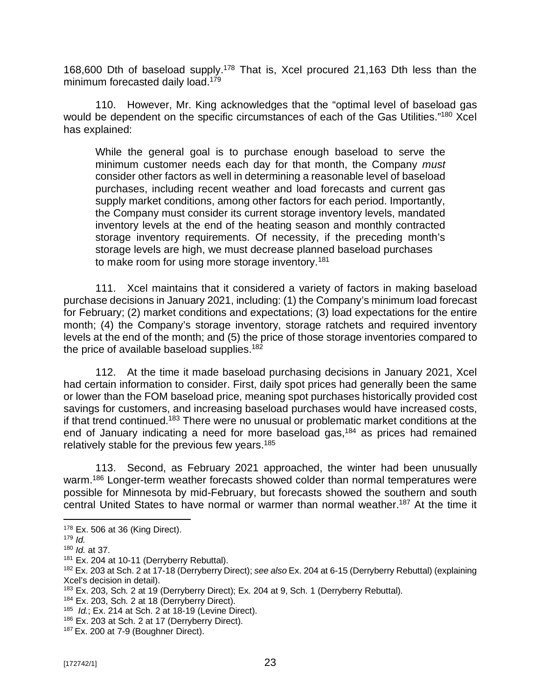168,600 Dth of baseload supply.<sup>178</sup> That is, Xcel procured 21,163 Dth less than the minimum forecasted daily load.<sup>179</sup>

110. However, Mr. King acknowledges that the "optimal level of baseload gas would be dependent on the specific circumstances of each of the Gas Utilities."<sup>180</sup> Xcel has explained:

While the general goal is to purchase enough baseload to serve the minimum customer needs each day for that month, the Company *must*  consider other factors as well in determining a reasonable level of baseload purchases, including recent weather and load forecasts and current gas supply market conditions, among other factors for each period. Importantly, the Company must consider its current storage inventory levels, mandated inventory levels at the end of the heating season and monthly contracted storage inventory requirements. Of necessity, if the preceding month's storage levels are high, we must decrease planned baseload purchases to make room for using more storage inventory.<sup>181</sup>

111. Xcel maintains that it considered a variety of factors in making baseload purchase decisions in January 2021, including: (1) the Company's minimum load forecast for February; (2) market conditions and expectations; (3) load expectations for the entire month; (4) the Company's storage inventory, storage ratchets and required inventory levels at the end of the month; and (5) the price of those storage inventories compared to the price of available baseload supplies.<sup>182</sup>

112. At the time it made baseload purchasing decisions in January 2021, Xcel had certain information to consider. First, daily spot prices had generally been the same or lower than the FOM baseload price, meaning spot purchases historically provided cost savings for customers, and increasing baseload purchases would have increased costs, if that trend continued.<sup>183</sup> There were no unusual or problematic market conditions at the end of January indicating a need for more baseload gas, <sup>184</sup> as prices had remained relatively stable for the previous few years.<sup>185</sup>

113. Second, as February 2021 approached, the winter had been unusually warm.<sup>186</sup> Longer-term weather forecasts showed colder than normal temperatures were possible for Minnesota by mid-February, but forecasts showed the southern and south central United States to have normal or warmer than normal weather.<sup>187</sup> At the time it

<sup>178</sup> Ex. 506 at 36 (King Direct).

<sup>179</sup> *Id.*

<sup>180</sup> *Id.* at 37.

<sup>&</sup>lt;sup>181</sup> Ex. 204 at 10-11 (Derryberry Rebuttal).

<sup>182</sup> Ex. 203 at Sch. 2 at 17-18 (Derryberry Direct); *see also* Ex. 204 at 6-15 (Derryberry Rebuttal) (explaining Xcel's decision in detail).

<sup>183</sup> Ex. 203, Sch. 2 at 19 (Derryberry Direct); Ex. 204 at 9, Sch. 1 (Derryberry Rebuttal).

<sup>184</sup> Ex. 203, Sch. 2 at 18 (Derryberry Direct).

<sup>185</sup> *Id.*; Ex. 214 at Sch. 2 at 18-19 (Levine Direct).

<sup>186</sup> Ex. 203 at Sch. 2 at 17 (Derryberry Direct).

<sup>187</sup> Ex. 200 at 7-9 (Boughner Direct).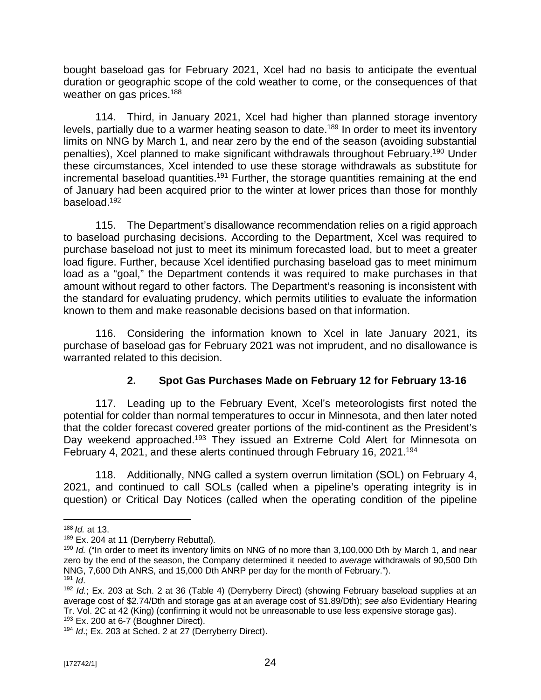bought baseload gas for February 2021, Xcel had no basis to anticipate the eventual duration or geographic scope of the cold weather to come, or the consequences of that weather on gas prices.<sup>188</sup>

114. Third, in January 2021, Xcel had higher than planned storage inventory levels, partially due to a warmer heating season to date.<sup>189</sup> In order to meet its inventory limits on NNG by March 1, and near zero by the end of the season (avoiding substantial penalties), Xcel planned to make significant withdrawals throughout February.<sup>190</sup> Under these circumstances, Xcel intended to use these storage withdrawals as substitute for incremental baseload quantities.<sup>191</sup> Further, the storage quantities remaining at the end of January had been acquired prior to the winter at lower prices than those for monthly baseload. 192

115. The Department's disallowance recommendation relies on a rigid approach to baseload purchasing decisions. According to the Department, Xcel was required to purchase baseload not just to meet its minimum forecasted load, but to meet a greater load figure. Further, because Xcel identified purchasing baseload gas to meet minimum load as a "goal," the Department contends it was required to make purchases in that amount without regard to other factors. The Department's reasoning is inconsistent with the standard for evaluating prudency, which permits utilities to evaluate the information known to them and make reasonable decisions based on that information.

116. Considering the information known to Xcel in late January 2021, its purchase of baseload gas for February 2021 was not imprudent, and no disallowance is warranted related to this decision.

## **2. Spot Gas Purchases Made on February 12 for February 13-16**

117. Leading up to the February Event, Xcel's meteorologists first noted the potential for colder than normal temperatures to occur in Minnesota, and then later noted that the colder forecast covered greater portions of the mid-continent as the President's Day weekend approached.<sup>193</sup> They issued an Extreme Cold Alert for Minnesota on February 4, 2021, and these alerts continued through February 16, 2021.<sup>194</sup>

118. Additionally, NNG called a system overrun limitation (SOL) on February 4, 2021, and continued to call SOLs (called when a pipeline's operating integrity is in question) or Critical Day Notices (called when the operating condition of the pipeline

<sup>188</sup> *Id.* at 13.

<sup>189</sup> Ex. 204 at 11 (Derryberry Rebuttal).

<sup>&</sup>lt;sup>190</sup> *Id.* ("In order to meet its inventory limits on NNG of no more than 3,100,000 Dth by March 1, and near zero by the end of the season, the Company determined it needed to *average* withdrawals of 90,500 Dth NNG, 7,600 Dth ANRS, and 15,000 Dth ANRP per day for the month of February.").  $191$  *Id.* 

<sup>192</sup> *Id.*; Ex. 203 at Sch. 2 at 36 (Table 4) (Derryberry Direct) (showing February baseload supplies at an average cost of \$2.74/Dth and storage gas at an average cost of \$1.89/Dth); *see also* Evidentiary Hearing Tr. Vol. 2C at 42 (King) (confirming it would not be unreasonable to use less expensive storage gas).  $193$  Ex. 200 at 6-7 (Boughner Direct).

<sup>194</sup> *Id*.; Ex. 203 at Sched. 2 at 27 (Derryberry Direct).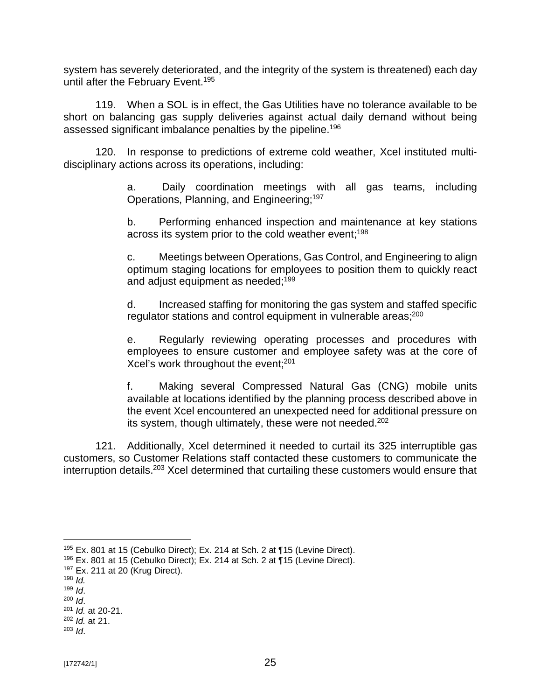system has severely deteriorated, and the integrity of the system is threatened) each day until after the February Event.<sup>195</sup>

119. When a SOL is in effect, the Gas Utilities have no tolerance available to be short on balancing gas supply deliveries against actual daily demand without being assessed significant imbalance penalties by the pipeline.<sup>196</sup>

120. In response to predictions of extreme cold weather, Xcel instituted multidisciplinary actions across its operations, including:

> a. Daily coordination meetings with all gas teams, including Operations, Planning, and Engineering;<sup>197</sup>

> b. Performing enhanced inspection and maintenance at key stations across its system prior to the cold weather event; 198

> c. Meetings between Operations, Gas Control, and Engineering to align optimum staging locations for employees to position them to quickly react and adjust equipment as needed; 199

> d. Increased staffing for monitoring the gas system and staffed specific regulator stations and control equipment in vulnerable areas;<sup>200</sup>

> e. Regularly reviewing operating processes and procedures with employees to ensure customer and employee safety was at the core of Xcel's work throughout the event;<sup>201</sup>

> f. Making several Compressed Natural Gas (CNG) mobile units available at locations identified by the planning process described above in the event Xcel encountered an unexpected need for additional pressure on its system, though ultimately, these were not needed.<sup>202</sup>

121. Additionally, Xcel determined it needed to curtail its 325 interruptible gas customers, so Customer Relations staff contacted these customers to communicate the interruption details.<sup>203</sup> Xcel determined that curtailing these customers would ensure that

<sup>195</sup> Ex. 801 at 15 (Cebulko Direct); Ex. 214 at Sch. 2 at ¶15 (Levine Direct).

<sup>196</sup> Ex. 801 at 15 (Cebulko Direct); Ex. 214 at Sch. 2 at ¶15 (Levine Direct).

 $197$  Ex. 211 at 20 (Krug Direct).

 $198$  *Id.* 

 $199$  *Id.* 

<sup>200</sup> *Id*. <sup>201</sup> *Id.* at 20-21.

<sup>202</sup> *Id.* at 21.

<sup>203</sup> *Id*.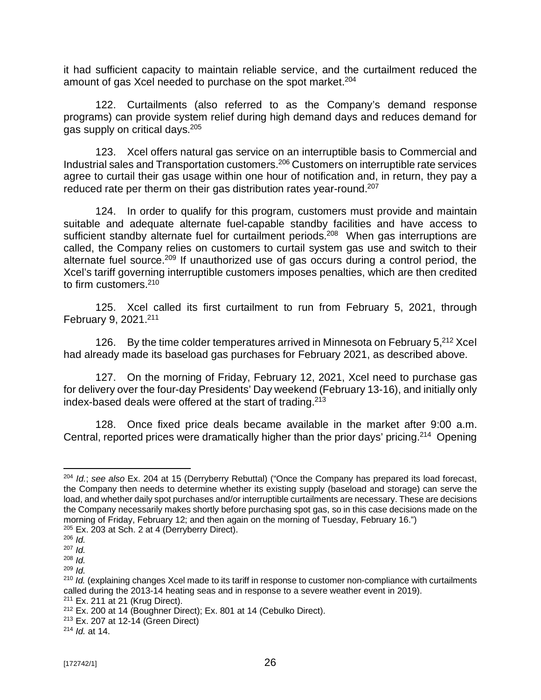it had sufficient capacity to maintain reliable service, and the curtailment reduced the amount of gas Xcel needed to purchase on the spot market.<sup>204</sup>

122. Curtailments (also referred to as the Company's demand response programs) can provide system relief during high demand days and reduces demand for gas supply on critical days.<sup>205</sup>

123. Xcel offers natural gas service on an interruptible basis to Commercial and Industrial sales and Transportation customers.<sup>206</sup> Customers on interruptible rate services agree to curtail their gas usage within one hour of notification and, in return, they pay a reduced rate per therm on their gas distribution rates year-round.<sup>207</sup>

124. In order to qualify for this program, customers must provide and maintain suitable and adequate alternate fuel-capable standby facilities and have access to sufficient standby alternate fuel for curtailment periods.<sup>208</sup> When gas interruptions are called, the Company relies on customers to curtail system gas use and switch to their alternate fuel source.<sup>209</sup> If unauthorized use of gas occurs during a control period, the Xcel's tariff governing interruptible customers imposes penalties, which are then credited to firm customers.<sup>210</sup>

125. Xcel called its first curtailment to run from February 5, 2021, through February 9, 2021.<sup>211</sup>

126. By the time colder temperatures arrived in Minnesota on February 5,<sup>212</sup> Xcel had already made its baseload gas purchases for February 2021, as described above.

127. On the morning of Friday, February 12, 2021, Xcel need to purchase gas for delivery over the four-day Presidents' Day weekend (February 13-16), and initially only index-based deals were offered at the start of trading.<sup>213</sup>

128. Once fixed price deals became available in the market after 9:00 a.m. Central, reported prices were dramatically higher than the prior days' pricing.<sup>214</sup> Opening

<sup>204</sup> *Id.*; *see also* Ex. 204 at 15 (Derryberry Rebuttal) ("Once the Company has prepared its load forecast, the Company then needs to determine whether its existing supply (baseload and storage) can serve the load, and whether daily spot purchases and/or interruptible curtailments are necessary. These are decisions the Company necessarily makes shortly before purchasing spot gas, so in this case decisions made on the morning of Friday, February 12; and then again on the morning of Tuesday, February 16.")

<sup>205</sup> Ex. 203 at Sch. 2 at 4 (Derryberry Direct).

<sup>206</sup> *Id.*

<sup>207</sup> *Id.*

<sup>208</sup> *Id.* <sup>209</sup> *Id.*

<sup>210</sup> *Id.* (explaining changes Xcel made to its tariff in response to customer non-compliance with curtailments called during the 2013-14 heating seas and in response to a severe weather event in 2019). <sup>211</sup> Ex. 211 at 21 (Krug Direct).

<sup>212</sup> Ex. 200 at 14 (Boughner Direct); Ex. 801 at 14 (Cebulko Direct).

<sup>213</sup> Ex. 207 at 12-14 (Green Direct)

<sup>214</sup> *Id.* at 14.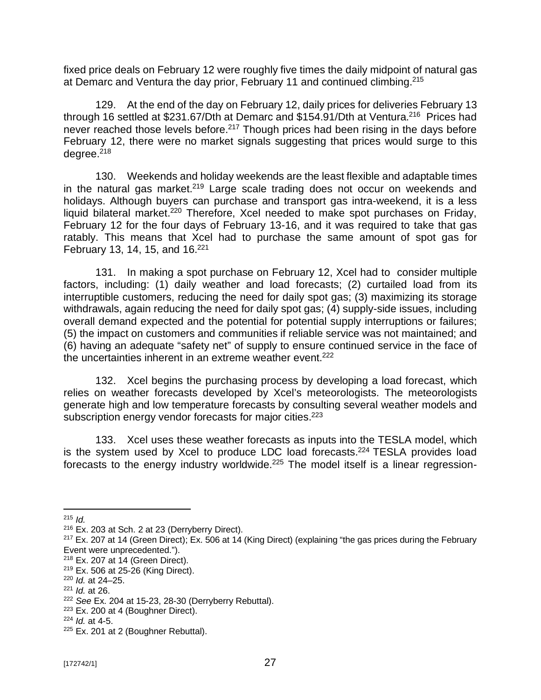fixed price deals on February 12 were roughly five times the daily midpoint of natural gas at Demarc and Ventura the day prior, February 11 and continued climbing.<sup>215</sup>

129. At the end of the day on February 12, daily prices for deliveries February 13 through 16 settled at \$231.67/Dth at Demarc and \$154.91/Dth at Ventura.<sup>216</sup> Prices had never reached those levels before.<sup>217</sup> Though prices had been rising in the days before February 12, there were no market signals suggesting that prices would surge to this degree.<sup>218</sup>

130. Weekends and holiday weekends are the least flexible and adaptable times in the natural gas market.<sup>219</sup> Large scale trading does not occur on weekends and holidays. Although buyers can purchase and transport gas intra-weekend, it is a less liquid bilateral market.<sup>220</sup> Therefore, Xcel needed to make spot purchases on Friday, February 12 for the four days of February 13-16, and it was required to take that gas ratably. This means that Xcel had to purchase the same amount of spot gas for February 13, 14, 15, and  $16.<sup>221</sup>$ 

131. In making a spot purchase on February 12, Xcel had to consider multiple factors, including: (1) daily weather and load forecasts; (2) curtailed load from its interruptible customers, reducing the need for daily spot gas; (3) maximizing its storage withdrawals, again reducing the need for daily spot gas; (4) supply-side issues, including overall demand expected and the potential for potential supply interruptions or failures; (5) the impact on customers and communities if reliable service was not maintained; and (6) having an adequate "safety net" of supply to ensure continued service in the face of the uncertainties inherent in an extreme weather event.<sup>222</sup>

132. Xcel begins the purchasing process by developing a load forecast, which relies on weather forecasts developed by Xcel's meteorologists. The meteorologists generate high and low temperature forecasts by consulting several weather models and subscription energy vendor forecasts for major cities.<sup>223</sup>

133. Xcel uses these weather forecasts as inputs into the TESLA model, which is the system used by Xcel to produce LDC load forecasts.<sup>224</sup> TESLA provides load forecasts to the energy industry worldwide.<sup>225</sup> The model itself is a linear regression-

<sup>215</sup> *Id.*

<sup>216</sup> Ex. 203 at Sch. 2 at 23 (Derryberry Direct).

<sup>&</sup>lt;sup>217</sup> Ex. 207 at 14 (Green Direct); Ex. 506 at 14 (King Direct) (explaining "the gas prices during the February Event were unprecedented.").

<sup>218</sup> Ex. 207 at 14 (Green Direct).

<sup>219</sup> Ex. 506 at 25-26 (King Direct).

<sup>220</sup> *Id.* at 24–25.

<sup>221</sup> *Id.* at 26.

<sup>222</sup> *See* Ex. 204 at 15-23, 28-30 (Derryberry Rebuttal).

 $223$  Ex. 200 at 4 (Boughner Direct).

<sup>224</sup> *Id.* at 4-5.

 $225$  Ex. 201 at 2 (Boughner Rebuttal).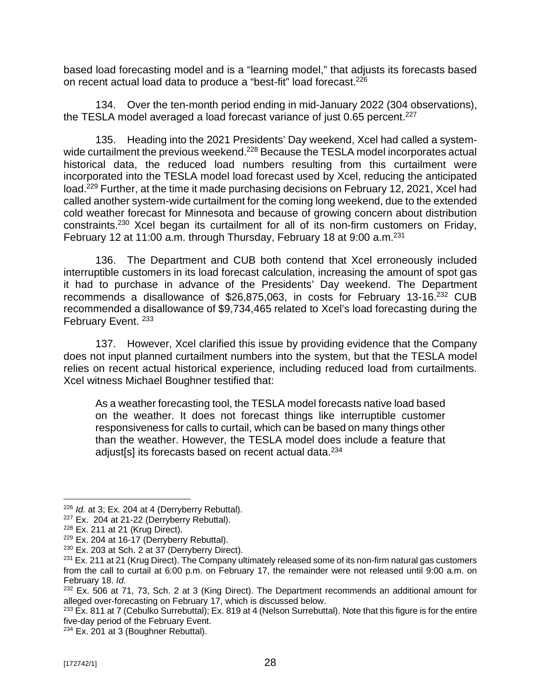based load forecasting model and is a "learning model," that adjusts its forecasts based on recent actual load data to produce a "best-fit" load forecast.<sup>226</sup>

134. Over the ten-month period ending in mid-January 2022 (304 observations), the TESLA model averaged a load forecast variance of just 0.65 percent.<sup>227</sup>

135. Heading into the 2021 Presidents' Day weekend, Xcel had called a systemwide curtailment the previous weekend.<sup>228</sup> Because the TESLA model incorporates actual historical data, the reduced load numbers resulting from this curtailment were incorporated into the TESLA model load forecast used by Xcel, reducing the anticipated load.<sup>229</sup> Further, at the time it made purchasing decisions on February 12, 2021, Xcel had called another system-wide curtailment for the coming long weekend, due to the extended cold weather forecast for Minnesota and because of growing concern about distribution constraints.<sup>230</sup> Xcel began its curtailment for all of its non-firm customers on Friday, February 12 at 11:00 a.m. through Thursday, February 18 at 9:00 a.m.<sup>231</sup>

136. The Department and CUB both contend that Xcel erroneously included interruptible customers in its load forecast calculation, increasing the amount of spot gas it had to purchase in advance of the Presidents' Day weekend. The Department recommends a disallowance of \$26,875,063, in costs for February 13-16.<sup>232</sup> CUB recommended a disallowance of \$9,734,465 related to Xcel's load forecasting during the February Event.<sup>233</sup>

137. However, Xcel clarified this issue by providing evidence that the Company does not input planned curtailment numbers into the system, but that the TESLA model relies on recent actual historical experience, including reduced load from curtailments. Xcel witness Michael Boughner testified that:

As a weather forecasting tool, the TESLA model forecasts native load based on the weather. It does not forecast things like interruptible customer responsiveness for calls to curtail, which can be based on many things other than the weather. However, the TESLA model does include a feature that adjust[s] its forecasts based on recent actual data.<sup>234</sup>

<sup>226</sup> *Id.* at 3; Ex. 204 at 4 (Derryberry Rebuttal).

 $227$  Ex. 204 at 21-22 (Derryberry Rebuttal).

 $228$  Ex. 211 at 21 (Krug Direct).

 $229$  Ex. 204 at 16-17 (Derryberry Rebuttal).

<sup>230</sup> Ex. 203 at Sch. 2 at 37 (Derryberry Direct).

 $231$  Ex. 211 at 21 (Krug Direct). The Company ultimately released some of its non-firm natural gas customers from the call to curtail at 6:00 p.m. on February 17, the remainder were not released until 9:00 a.m. on February 18. *Id.*

 $232$  Ex. 506 at 71, 73, Sch. 2 at 3 (King Direct). The Department recommends an additional amount for alleged over-forecasting on February 17, which is discussed below.

 $^{233}$  Ex. 811 at 7 (Cebulko Surrebuttal); Ex. 819 at 4 (Nelson Surrebuttal). Note that this figure is for the entire five-day period of the February Event.

<sup>&</sup>lt;sup>234</sup> Ex. 201 at 3 (Boughner Rebuttal).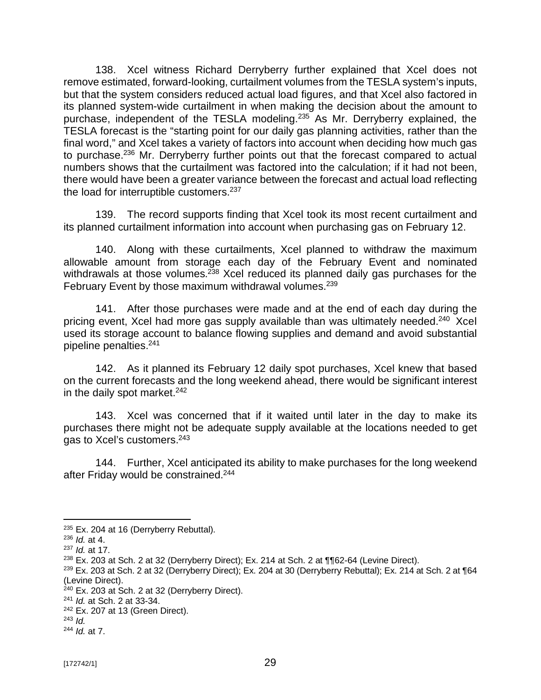138. Xcel witness Richard Derryberry further explained that Xcel does not remove estimated, forward-looking, curtailment volumes from the TESLA system's inputs, but that the system considers reduced actual load figures, and that Xcel also factored in its planned system-wide curtailment in when making the decision about the amount to purchase, independent of the TESLA modeling.<sup>235</sup> As Mr. Derryberry explained, the TESLA forecast is the "starting point for our daily gas planning activities, rather than the final word," and Xcel takes a variety of factors into account when deciding how much gas to purchase.<sup>236</sup> Mr. Derryberry further points out that the forecast compared to actual numbers shows that the curtailment was factored into the calculation; if it had not been, there would have been a greater variance between the forecast and actual load reflecting the load for interruptible customers.<sup>237</sup>

139. The record supports finding that Xcel took its most recent curtailment and its planned curtailment information into account when purchasing gas on February 12.

140. Along with these curtailments, Xcel planned to withdraw the maximum allowable amount from storage each day of the February Event and nominated withdrawals at those volumes.<sup>238</sup> Xcel reduced its planned daily gas purchases for the February Event by those maximum withdrawal volumes.<sup>239</sup>

141. After those purchases were made and at the end of each day during the pricing event, Xcel had more gas supply available than was ultimately needed.<sup>240</sup> Xcel used its storage account to balance flowing supplies and demand and avoid substantial pipeline penalties.<sup>241</sup>

142. As it planned its February 12 daily spot purchases, Xcel knew that based on the current forecasts and the long weekend ahead, there would be significant interest in the daily spot market. $242$ 

143. Xcel was concerned that if it waited until later in the day to make its purchases there might not be adequate supply available at the locations needed to get gas to Xcel's customers.<sup>243</sup>

144. Further, Xcel anticipated its ability to make purchases for the long weekend after Friday would be constrained. 244

 $235$  Ex. 204 at 16 (Derryberry Rebuttal).

<sup>236</sup> *Id.* at 4.

<sup>237</sup> *Id.* at 17.

 $238$  Ex. 203 at Sch. 2 at 32 (Derryberry Direct); Ex. 214 at Sch. 2 at  $\P$  $62$ -64 (Levine Direct).

 $^{239}$  Ex. 203 at Sch. 2 at 32 (Derryberry Direct); Ex. 204 at 30 (Derryberry Rebuttal); Ex. 214 at Sch. 2 at ¶64 (Levine Direct).

 $240$  Ex. 203 at Sch. 2 at 32 (Derryberry Direct).

<sup>241</sup> *Id.* at Sch. 2 at 33-34.

<sup>242</sup> Ex. 207 at 13 (Green Direct).

<sup>243</sup> *Id.*

<sup>244</sup> *Id.* at 7.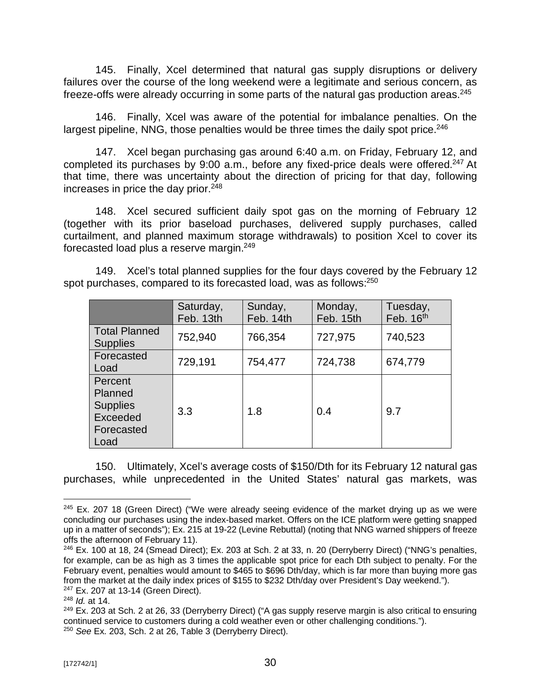145. Finally, Xcel determined that natural gas supply disruptions or delivery failures over the course of the long weekend were a legitimate and serious concern, as freeze-offs were already occurring in some parts of the natural gas production areas.<sup>245</sup>

146. Finally, Xcel was aware of the potential for imbalance penalties. On the largest pipeline, NNG, those penalties would be three times the daily spot price.<sup>246</sup>

147. Xcel began purchasing gas around 6:40 a.m. on Friday, February 12, and completed its purchases by 9:00 a.m., before any fixed-price deals were offered.<sup>247</sup> At that time, there was uncertainty about the direction of pricing for that day, following increases in price the day prior.<sup>248</sup>

148. Xcel secured sufficient daily spot gas on the morning of February 12 (together with its prior baseload purchases, delivered supply purchases, called curtailment, and planned maximum storage withdrawals) to position Xcel to cover its forecasted load plus a reserve margin.<sup>249</sup>

149. Xcel's total planned supplies for the four days covered by the February 12 spot purchases, compared to its forecasted load, was as follows: $^{250}$ 

|                                                                         | Saturday,<br>Feb. 13th | Sunday,<br>Feb. 14th | Monday,<br>Feb. 15th | Tuesday,<br>Feb. $16th$ |
|-------------------------------------------------------------------------|------------------------|----------------------|----------------------|-------------------------|
| <b>Total Planned</b><br><b>Supplies</b>                                 | 752,940                | 766,354              | 727,975              | 740,523                 |
| Forecasted<br>Load                                                      | 729,191                | 754,477              | 724,738              | 674,779                 |
| Percent<br>Planned<br><b>Supplies</b><br>Exceeded<br>Forecasted<br>Load | 3.3                    | 1.8                  | 0.4                  | 9.7                     |

150. Ultimately, Xcel's average costs of \$150/Dth for its February 12 natural gas purchases, while unprecedented in the United States' natural gas markets, was

<sup>&</sup>lt;sup>245</sup> Ex. 207 18 (Green Direct) ("We were already seeing evidence of the market drying up as we were concluding our purchases using the index-based market. Offers on the ICE platform were getting snapped up in a matter of seconds"); Ex. 215 at 19-22 (Levine Rebuttal) (noting that NNG warned shippers of freeze offs the afternoon of February 11).

 $246$  Ex. 100 at 18, 24 (Smead Direct); Ex. 203 at Sch. 2 at 33, n. 20 (Derryberry Direct) ("NNG's penalties, for example, can be as high as 3 times the applicable spot price for each Dth subject to penalty. For the February event, penalties would amount to \$465 to \$696 Dth/day, which is far more than buying more gas from the market at the daily index prices of \$155 to \$232 Dth/day over President's Day weekend.").

<sup>247</sup> Ex. 207 at 13-14 (Green Direct).

<sup>248</sup> *Id.* at 14.

 $^{249}$  Ex. 203 at Sch. 2 at 26, 33 (Derryberry Direct) ("A gas supply reserve margin is also critical to ensuring continued service to customers during a cold weather even or other challenging conditions."). <sup>250</sup> *See* Ex. 203, Sch. 2 at 26, Table 3 (Derryberry Direct).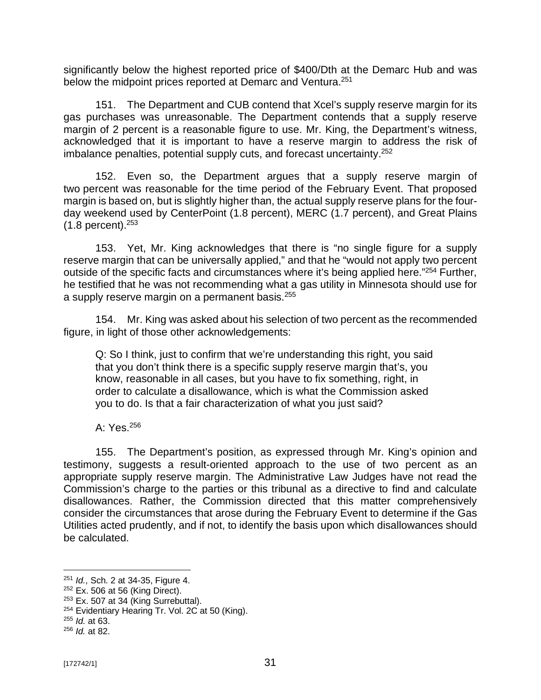significantly below the highest reported price of \$400/Dth at the Demarc Hub and was below the midpoint prices reported at Demarc and Ventura.<sup>251</sup>

151. The Department and CUB contend that Xcel's supply reserve margin for its gas purchases was unreasonable. The Department contends that a supply reserve margin of 2 percent is a reasonable figure to use. Mr. King, the Department's witness, acknowledged that it is important to have a reserve margin to address the risk of imbalance penalties, potential supply cuts, and forecast uncertainty.<sup>252</sup>

152. Even so, the Department argues that a supply reserve margin of two percent was reasonable for the time period of the February Event. That proposed margin is based on, but is slightly higher than, the actual supply reserve plans for the fourday weekend used by CenterPoint (1.8 percent), MERC (1.7 percent), and Great Plains  $(1.8 \text{ percent})$ .  $253$ 

153. Yet, Mr. King acknowledges that there is "no single figure for a supply reserve margin that can be universally applied," and that he "would not apply two percent outside of the specific facts and circumstances where it's being applied here."<sup>254</sup> Further, he testified that he was not recommending what a gas utility in Minnesota should use for a supply reserve margin on a permanent basis.<sup>255</sup>

154. Mr. King was asked about his selection of two percent as the recommended figure, in light of those other acknowledgements:

Q: So I think, just to confirm that we're understanding this right, you said that you don't think there is a specific supply reserve margin that's, you know, reasonable in all cases, but you have to fix something, right, in order to calculate a disallowance, which is what the Commission asked you to do. Is that a fair characterization of what you just said?

A: Yes.<sup>256</sup>

155. The Department's position, as expressed through Mr. King's opinion and testimony, suggests a result-oriented approach to the use of two percent as an appropriate supply reserve margin. The Administrative Law Judges have not read the Commission's charge to the parties or this tribunal as a directive to find and calculate disallowances. Rather, the Commission directed that this matter comprehensively consider the circumstances that arose during the February Event to determine if the Gas Utilities acted prudently, and if not, to identify the basis upon which disallowances should be calculated.

<sup>251</sup> *Id.*, Sch. 2 at 34-35, Figure 4.

<sup>252</sup> Ex. 506 at 56 (King Direct).

 $253$  Ex. 507 at 34 (King Surrebuttal).

<sup>&</sup>lt;sup>254</sup> Evidentiary Hearing Tr. Vol. 2C at 50 (King).

<sup>255</sup> *Id.* at 63.

<sup>256</sup> *Id.* at 82.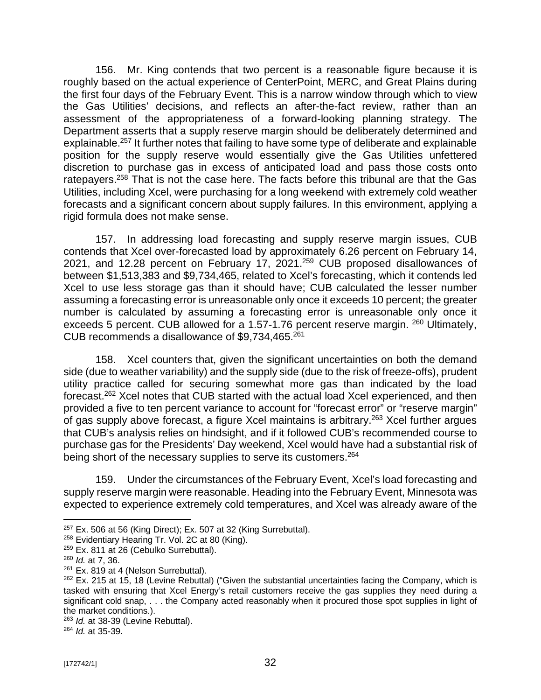156. Mr. King contends that two percent is a reasonable figure because it is roughly based on the actual experience of CenterPoint, MERC, and Great Plains during the first four days of the February Event. This is a narrow window through which to view the Gas Utilities' decisions, and reflects an after-the-fact review, rather than an assessment of the appropriateness of a forward-looking planning strategy. The Department asserts that a supply reserve margin should be deliberately determined and explainable.<sup>257</sup> It further notes that failing to have some type of deliberate and explainable position for the supply reserve would essentially give the Gas Utilities unfettered discretion to purchase gas in excess of anticipated load and pass those costs onto ratepayers.<sup>258</sup> That is not the case here. The facts before this tribunal are that the Gas Utilities, including Xcel, were purchasing for a long weekend with extremely cold weather forecasts and a significant concern about supply failures. In this environment, applying a rigid formula does not make sense.

157. In addressing load forecasting and supply reserve margin issues, CUB contends that Xcel over-forecasted load by approximately 6.26 percent on February 14, 2021, and 12.28 percent on February 17, 2021.<sup>259</sup> CUB proposed disallowances of between \$1,513,383 and \$9,734,465, related to Xcel's forecasting, which it contends led Xcel to use less storage gas than it should have; CUB calculated the lesser number assuming a forecasting error is unreasonable only once it exceeds 10 percent; the greater number is calculated by assuming a forecasting error is unreasonable only once it exceeds 5 percent. CUB allowed for a 1.57-1.76 percent reserve margin. <sup>260</sup> Ultimately, CUB recommends a disallowance of \$9,734,465.<sup>261</sup>

158. Xcel counters that, given the significant uncertainties on both the demand side (due to weather variability) and the supply side (due to the risk of freeze-offs), prudent utility practice called for securing somewhat more gas than indicated by the load forecast.<sup>262</sup> Xcel notes that CUB started with the actual load Xcel experienced, and then provided a five to ten percent variance to account for "forecast error" or "reserve margin" of gas supply above forecast, a figure Xcel maintains is arbitrary.<sup>263</sup> Xcel further argues that CUB's analysis relies on hindsight, and if it followed CUB's recommended course to purchase gas for the Presidents' Day weekend, Xcel would have had a substantial risk of being short of the necessary supplies to serve its customers.<sup>264</sup>

159. Under the circumstances of the February Event, Xcel's load forecasting and supply reserve margin were reasonable. Heading into the February Event, Minnesota was expected to experience extremely cold temperatures, and Xcel was already aware of the

 $257$  Ex. 506 at 56 (King Direct); Ex. 507 at 32 (King Surrebuttal).

<sup>&</sup>lt;sup>258</sup> Evidentiary Hearing Tr. Vol. 2C at 80 (King).

<sup>&</sup>lt;sup>259</sup> Ex. 811 at 26 (Cebulko Surrebuttal).

<sup>260</sup> *Id.* at 7, 36.

<sup>&</sup>lt;sup>261</sup> Ex. 819 at 4 (Nelson Surrebuttal).

 $262$  Ex. 215 at 15, 18 (Levine Rebuttal) ("Given the substantial uncertainties facing the Company, which is tasked with ensuring that Xcel Energy's retail customers receive the gas supplies they need during a significant cold snap, . . . the Company acted reasonably when it procured those spot supplies in light of the market conditions.).

<sup>263</sup> *Id.* at 38-39 (Levine Rebuttal).

<sup>264</sup> *Id.* at 35-39.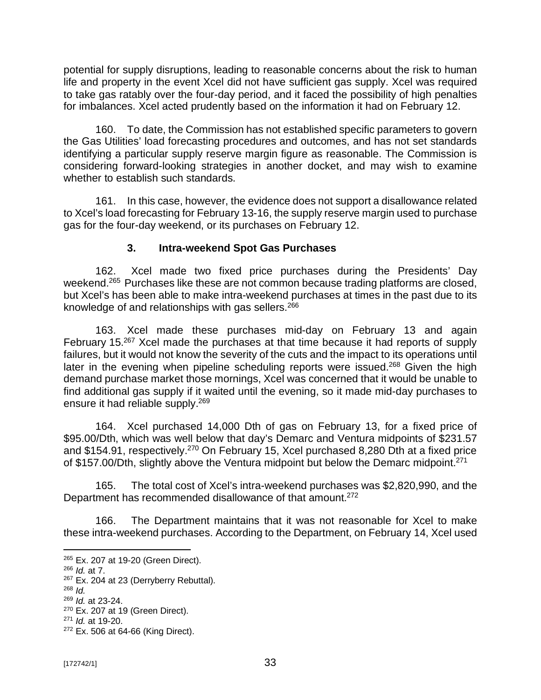potential for supply disruptions, leading to reasonable concerns about the risk to human life and property in the event Xcel did not have sufficient gas supply. Xcel was required to take gas ratably over the four-day period, and it faced the possibility of high penalties for imbalances. Xcel acted prudently based on the information it had on February 12.

160. To date, the Commission has not established specific parameters to govern the Gas Utilities' load forecasting procedures and outcomes, and has not set standards identifying a particular supply reserve margin figure as reasonable. The Commission is considering forward-looking strategies in another docket, and may wish to examine whether to establish such standards.

161. In this case, however, the evidence does not support a disallowance related to Xcel's load forecasting for February 13-16, the supply reserve margin used to purchase gas for the four-day weekend, or its purchases on February 12.

## **3. Intra-weekend Spot Gas Purchases**

162. Xcel made two fixed price purchases during the Presidents' Day weekend.<sup>265</sup> Purchases like these are not common because trading platforms are closed, but Xcel's has been able to make intra-weekend purchases at times in the past due to its knowledge of and relationships with gas sellers.<sup>266</sup>

163. Xcel made these purchases mid-day on February 13 and again February 15.<sup>267</sup> Xcel made the purchases at that time because it had reports of supply failures, but it would not know the severity of the cuts and the impact to its operations until later in the evening when pipeline scheduling reports were issued.<sup>268</sup> Given the high demand purchase market those mornings, Xcel was concerned that it would be unable to find additional gas supply if it waited until the evening, so it made mid-day purchases to ensure it had reliable supply.<sup>269</sup>

164. Xcel purchased 14,000 Dth of gas on February 13, for a fixed price of \$95.00/Dth, which was well below that day's Demarc and Ventura midpoints of \$231.57 and \$154.91, respectively.<sup>270</sup> On February 15, Xcel purchased 8,280 Dth at a fixed price of \$157.00/Dth, slightly above the Ventura midpoint but below the Demarc midpoint.<sup>271</sup>

165. The total cost of Xcel's intra-weekend purchases was \$2,820,990, and the Department has recommended disallowance of that amount.<sup>272</sup>

166. The Department maintains that it was not reasonable for Xcel to make these intra-weekend purchases. According to the Department, on February 14, Xcel used

<sup>265</sup> Ex. 207 at 19-20 (Green Direct).

<sup>266</sup> *Id.* at 7.

<sup>&</sup>lt;sup>267</sup> Ex. 204 at 23 (Derryberry Rebuttal).

<sup>268</sup> *Id.*

<sup>269</sup> *Id.* at 23-24.

<sup>270</sup> Ex. 207 at 19 (Green Direct).

<sup>271</sup> *Id.* at 19-20.

<sup>272</sup> Ex. 506 at 64-66 (King Direct).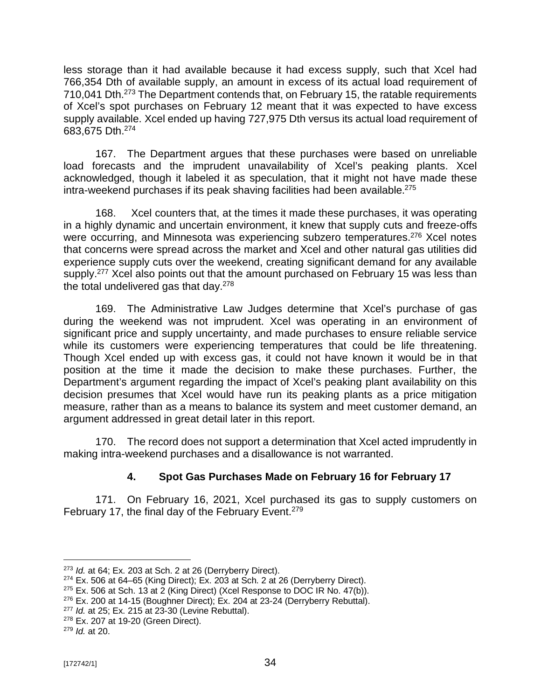less storage than it had available because it had excess supply, such that Xcel had 766,354 Dth of available supply, an amount in excess of its actual load requirement of 710,041 Dth.<sup>273</sup> The Department contends that, on February 15, the ratable requirements of Xcel's spot purchases on February 12 meant that it was expected to have excess supply available. Xcel ended up having 727,975 Dth versus its actual load requirement of 683,675 Dth.<sup>274</sup>

167. The Department argues that these purchases were based on unreliable load forecasts and the imprudent unavailability of Xcel's peaking plants. Xcel acknowledged, though it labeled it as speculation, that it might not have made these intra-weekend purchases if its peak shaving facilities had been available. $275$ 

168. Xcel counters that, at the times it made these purchases, it was operating in a highly dynamic and uncertain environment, it knew that supply cuts and freeze-offs were occurring, and Minnesota was experiencing subzero temperatures.<sup>276</sup> Xcel notes that concerns were spread across the market and Xcel and other natural gas utilities did experience supply cuts over the weekend, creating significant demand for any available supply.<sup>277</sup> Xcel also points out that the amount purchased on February 15 was less than the total undelivered gas that day.<sup>278</sup>

169. The Administrative Law Judges determine that Xcel's purchase of gas during the weekend was not imprudent. Xcel was operating in an environment of significant price and supply uncertainty, and made purchases to ensure reliable service while its customers were experiencing temperatures that could be life threatening. Though Xcel ended up with excess gas, it could not have known it would be in that position at the time it made the decision to make these purchases. Further, the Department's argument regarding the impact of Xcel's peaking plant availability on this decision presumes that Xcel would have run its peaking plants as a price mitigation measure, rather than as a means to balance its system and meet customer demand, an argument addressed in great detail later in this report.

170. The record does not support a determination that Xcel acted imprudently in making intra-weekend purchases and a disallowance is not warranted.

# **4. Spot Gas Purchases Made on February 16 for February 17**

171. On February 16, 2021, Xcel purchased its gas to supply customers on February 17, the final day of the February Event.<sup>279</sup>

<sup>273</sup> *Id.* at 64; Ex. 203 at Sch. 2 at 26 (Derryberry Direct).

 $274$  Ex. 506 at 64–65 (King Direct); Ex. 203 at Sch. 2 at 26 (Derryberry Direct).

 $275$  Ex. 506 at Sch. 13 at 2 (King Direct) (Xcel Response to DOC IR No. 47(b)).

 $276$  Ex. 200 at 14-15 (Boughner Direct); Ex. 204 at 23-24 (Derryberry Rebuttal).

<sup>277</sup> *Id.* at 25; Ex. 215 at 23-30 (Levine Rebuttal).

<sup>278</sup> Ex. 207 at 19-20 (Green Direct).

<sup>279</sup> *Id.* at 20.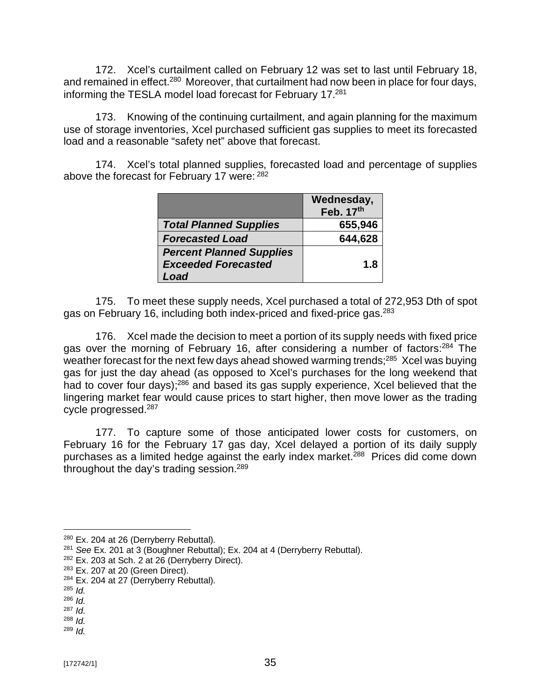172. Xcel's curtailment called on February 12 was set to last until February 18, and remained in effect.<sup>280</sup> Moreover, that curtailment had now been in place for four days, informing the TESLA model load forecast for February 17.<sup>281</sup>

173. Knowing of the continuing curtailment, and again planning for the maximum use of storage inventories, Xcel purchased sufficient gas supplies to meet its forecasted load and a reasonable "safety net" above that forecast.

174. Xcel's total planned supplies, forecasted load and percentage of supplies above the forecast for February 17 were: <sup>282</sup>

|                                                               | Wednesday,<br>Feb. 17th |
|---------------------------------------------------------------|-------------------------|
| <b>Total Planned Supplies</b>                                 | 655,946                 |
| <b>Forecasted Load</b>                                        | 644,628                 |
| <b>Percent Planned Supplies</b><br><b>Exceeded Forecasted</b> | 1.8                     |
| Load                                                          |                         |

175. To meet these supply needs, Xcel purchased a total of 272,953 Dth of spot gas on February 16, including both index-priced and fixed-price gas.<sup>283</sup>

176. Xcel made the decision to meet a portion of its supply needs with fixed price gas over the morning of February 16, after considering a number of factors:<sup>284</sup> The weather forecast for the next few days ahead showed warming trends;<sup>285</sup> Xcel was buying gas for just the day ahead (as opposed to Xcel's purchases for the long weekend that had to cover four days);<sup>286</sup> and based its gas supply experience, Xcel believed that the lingering market fear would cause prices to start higher, then move lower as the trading cycle progressed.<sup>287</sup>

177. To capture some of those anticipated lower costs for customers, on February 16 for the February 17 gas day, Xcel delayed a portion of its daily supply purchases as a limited hedge against the early index market.<sup>288</sup> Prices did come down throughout the day's trading session.<sup>289</sup>

<sup>&</sup>lt;sup>280</sup> Ex. 204 at 26 (Derryberry Rebuttal).

<sup>281</sup> *See* Ex. 201 at 3 (Boughner Rebuttal); Ex. 204 at 4 (Derryberry Rebuttal).

 $282$  Ex. 203 at Sch. 2 at 26 (Derryberry Direct).

<sup>283</sup> Ex. 207 at 20 (Green Direct).

 $284$  Ex. 204 at 27 (Derryberry Rebuttal).

<sup>285</sup> *Id.*

<sup>286</sup> *Id.*

<sup>287</sup> *Id.*

<sup>288</sup> *Id.* <sup>289</sup> *Id.*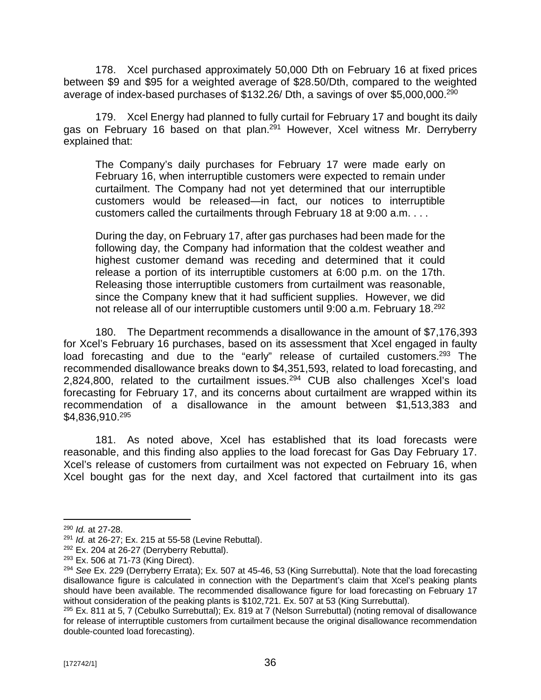178. Xcel purchased approximately 50,000 Dth on February 16 at fixed prices between \$9 and \$95 for a weighted average of \$28.50/Dth, compared to the weighted average of index-based purchases of \$132.26/ Dth, a savings of over \$5,000,000.<sup>290</sup>

179. Xcel Energy had planned to fully curtail for February 17 and bought its daily gas on February 16 based on that plan.<sup>291</sup> However, Xcel witness Mr. Derryberry explained that:

The Company's daily purchases for February 17 were made early on February 16, when interruptible customers were expected to remain under curtailment. The Company had not yet determined that our interruptible customers would be released—in fact, our notices to interruptible customers called the curtailments through February 18 at 9:00 a.m. . . .

During the day, on February 17, after gas purchases had been made for the following day, the Company had information that the coldest weather and highest customer demand was receding and determined that it could release a portion of its interruptible customers at 6:00 p.m. on the 17th. Releasing those interruptible customers from curtailment was reasonable, since the Company knew that it had sufficient supplies. However, we did not release all of our interruptible customers until 9:00 a.m. February 18.<sup>292</sup>

180. The Department recommends a disallowance in the amount of \$7,176,393 for Xcel's February 16 purchases, based on its assessment that Xcel engaged in faulty load forecasting and due to the "early" release of curtailed customers.<sup>293</sup> The recommended disallowance breaks down to \$4,351,593, related to load forecasting, and 2,824,800, related to the curtailment issues.<sup>294</sup> CUB also challenges Xcel's load forecasting for February 17, and its concerns about curtailment are wrapped within its recommendation of a disallowance in the amount between \$1,513,383 and \$4,836,910.<sup>295</sup>

181. As noted above, Xcel has established that its load forecasts were reasonable, and this finding also applies to the load forecast for Gas Day February 17. Xcel's release of customers from curtailment was not expected on February 16, when Xcel bought gas for the next day, and Xcel factored that curtailment into its gas

<sup>290</sup> *Id.* at 27-28.

<sup>291</sup> *Id.* at 26-27; Ex. 215 at 55-58 (Levine Rebuttal).

 $292$  Ex. 204 at 26-27 (Derryberry Rebuttal).

<sup>293</sup> Ex. 506 at 71-73 (King Direct).

<sup>294</sup> *See* Ex. 229 (Derryberry Errata); Ex. 507 at 45-46, 53 (King Surrebuttal). Note that the load forecasting disallowance figure is calculated in connection with the Department's claim that Xcel's peaking plants should have been available. The recommended disallowance figure for load forecasting on February 17 without consideration of the peaking plants is \$102,721. Ex. 507 at 53 (King Surrebuttal).

<sup>295</sup> Ex. 811 at 5, 7 (Cebulko Surrebuttal); Ex. 819 at 7 (Nelson Surrebuttal) (noting removal of disallowance for release of interruptible customers from curtailment because the original disallowance recommendation double-counted load forecasting).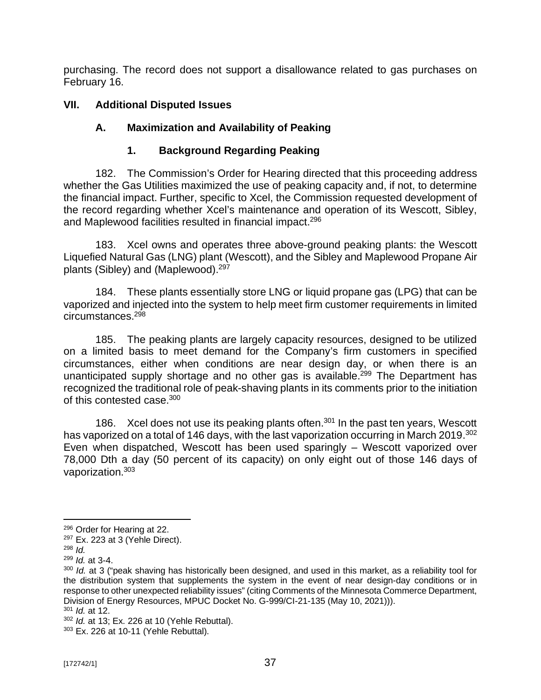purchasing. The record does not support a disallowance related to gas purchases on February 16.

## **VII. Additional Disputed Issues**

## **A. Maximization and Availability of Peaking**

## **1. Background Regarding Peaking**

182. The Commission's Order for Hearing directed that this proceeding address whether the Gas Utilities maximized the use of peaking capacity and, if not, to determine the financial impact. Further, specific to Xcel, the Commission requested development of the record regarding whether Xcel's maintenance and operation of its Wescott, Sibley, and Maplewood facilities resulted in financial impact. 296

183. Xcel owns and operates three above-ground peaking plants: the Wescott Liquefied Natural Gas (LNG) plant (Wescott), and the Sibley and Maplewood Propane Air plants (Sibley) and (Maplewood).<sup>297</sup>

184. These plants essentially store LNG or liquid propane gas (LPG) that can be vaporized and injected into the system to help meet firm customer requirements in limited circumstances.<sup>298</sup>

185. The peaking plants are largely capacity resources, designed to be utilized on a limited basis to meet demand for the Company's firm customers in specified circumstances, either when conditions are near design day, or when there is an unanticipated supply shortage and no other gas is available.<sup>299</sup> The Department has recognized the traditional role of peak-shaving plants in its comments prior to the initiation of this contested case.<sup>300</sup>

186. Xcel does not use its peaking plants often.<sup>301</sup> In the past ten years, Wescott has vaporized on a total of 146 days, with the last vaporization occurring in March 2019.<sup>302</sup> Even when dispatched, Wescott has been used sparingly – Wescott vaporized over 78,000 Dth a day (50 percent of its capacity) on only eight out of those 146 days of vaporization. 303

<sup>296</sup> Order for Hearing at 22.

<sup>297</sup> Ex. 223 at 3 (Yehle Direct).

<sup>298</sup> *Id.*

<sup>299</sup> *Id.* at 3-4.

<sup>&</sup>lt;sup>300</sup> *Id.* at 3 ("peak shaving has historically been designed, and used in this market, as a reliability tool for the distribution system that supplements the system in the event of near design-day conditions or in response to other unexpected reliability issues" (citing Comments of the Minnesota Commerce Department, Division of Energy Resources, MPUC Docket No. G-999/CI-21-135 (May 10, 2021))). <sup>301</sup> *Id.* at 12.

<sup>302</sup> *Id.* at 13; Ex. 226 at 10 (Yehle Rebuttal).

<sup>303</sup> Ex. 226 at 10-11 (Yehle Rebuttal).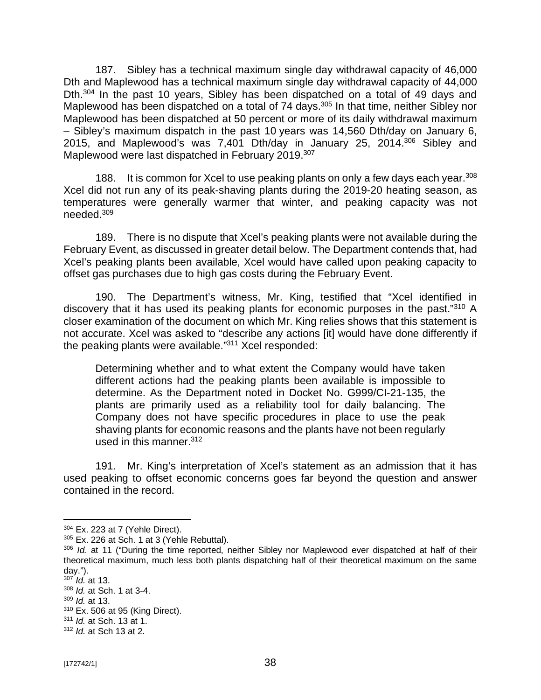187. Sibley has a technical maximum single day withdrawal capacity of 46,000 Dth and Maplewood has a technical maximum single day withdrawal capacity of 44,000 Dth.<sup>304</sup> In the past 10 years, Sibley has been dispatched on a total of 49 days and Maplewood has been dispatched on a total of 74 days.<sup>305</sup> In that time, neither Sibley nor Maplewood has been dispatched at 50 percent or more of its daily withdrawal maximum – Sibley's maximum dispatch in the past 10 years was 14,560 Dth/day on January 6, 2015, and Maplewood's was 7,401 Dth/day in January 25, 2014. <sup>306</sup> Sibley and Maplewood were last dispatched in February 2019.<sup>307</sup>

188. It is common for Xcel to use peaking plants on only a few days each year.<sup>308</sup> Xcel did not run any of its peak-shaving plants during the 2019-20 heating season, as temperatures were generally warmer that winter, and peaking capacity was not needed.<sup>309</sup>

189. There is no dispute that Xcel's peaking plants were not available during the February Event, as discussed in greater detail below. The Department contends that, had Xcel's peaking plants been available, Xcel would have called upon peaking capacity to offset gas purchases due to high gas costs during the February Event.

190. The Department's witness, Mr. King, testified that "Xcel identified in discovery that it has used its peaking plants for economic purposes in the past."310 A closer examination of the document on which Mr. King relies shows that this statement is not accurate. Xcel was asked to "describe any actions [it] would have done differently if the peaking plants were available."<sup>311</sup> Xcel responded:

Determining whether and to what extent the Company would have taken different actions had the peaking plants been available is impossible to determine. As the Department noted in Docket No. G999/CI-21-135, the plants are primarily used as a reliability tool for daily balancing. The Company does not have specific procedures in place to use the peak shaving plants for economic reasons and the plants have not been regularly used in this manner.<sup>312</sup>

191. Mr. King's interpretation of Xcel's statement as an admission that it has used peaking to offset economic concerns goes far beyond the question and answer contained in the record.

<sup>304</sup> Ex. 223 at 7 (Yehle Direct).

<sup>305</sup> Ex. 226 at Sch. 1 at 3 (Yehle Rebuttal).

<sup>306</sup> *Id.* at 11 ("During the time reported, neither Sibley nor Maplewood ever dispatched at half of their theoretical maximum, much less both plants dispatching half of their theoretical maximum on the same day.").

<sup>307</sup> *Id.* at 13.

<sup>308</sup> *Id.* at Sch. 1 at 3-4.

<sup>309</sup> *Id.* at 13.

<sup>310</sup> Ex. 506 at 95 (King Direct).

<sup>311</sup> *Id.* at Sch. 13 at 1.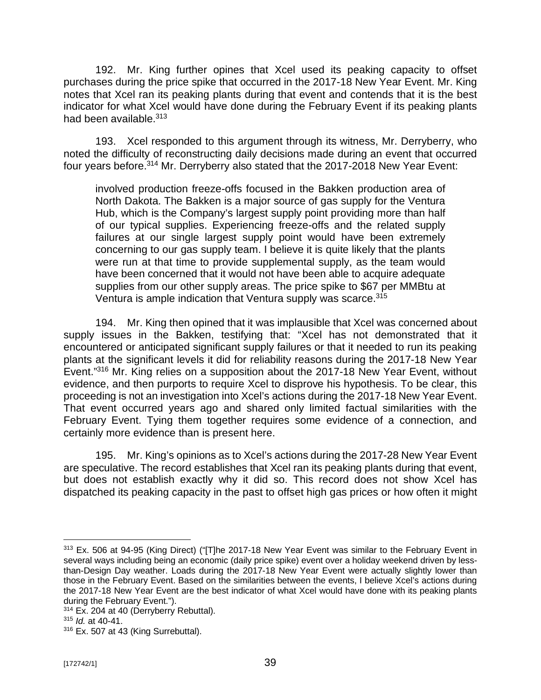192. Mr. King further opines that Xcel used its peaking capacity to offset purchases during the price spike that occurred in the 2017-18 New Year Event. Mr. King notes that Xcel ran its peaking plants during that event and contends that it is the best indicator for what Xcel would have done during the February Event if its peaking plants had been available.<sup>313</sup>

193. Xcel responded to this argument through its witness, Mr. Derryberry, who noted the difficulty of reconstructing daily decisions made during an event that occurred four years before.<sup>314</sup> Mr. Derryberry also stated that the 2017-2018 New Year Event:

involved production freeze-offs focused in the Bakken production area of North Dakota. The Bakken is a major source of gas supply for the Ventura Hub, which is the Company's largest supply point providing more than half of our typical supplies. Experiencing freeze-offs and the related supply failures at our single largest supply point would have been extremely concerning to our gas supply team. I believe it is quite likely that the plants were run at that time to provide supplemental supply, as the team would have been concerned that it would not have been able to acquire adequate supplies from our other supply areas. The price spike to \$67 per MMBtu at Ventura is ample indication that Ventura supply was scarce.<sup>315</sup>

194. Mr. King then opined that it was implausible that Xcel was concerned about supply issues in the Bakken, testifying that: "Xcel has not demonstrated that it encountered or anticipated significant supply failures or that it needed to run its peaking plants at the significant levels it did for reliability reasons during the 2017-18 New Year Event."<sup>316</sup> Mr. King relies on a supposition about the 2017-18 New Year Event, without evidence, and then purports to require Xcel to disprove his hypothesis. To be clear, this proceeding is not an investigation into Xcel's actions during the 2017-18 New Year Event. That event occurred years ago and shared only limited factual similarities with the February Event. Tying them together requires some evidence of a connection, and certainly more evidence than is present here.

195. Mr. King's opinions as to Xcel's actions during the 2017-28 New Year Event are speculative. The record establishes that Xcel ran its peaking plants during that event, but does not establish exactly why it did so. This record does not show Xcel has dispatched its peaking capacity in the past to offset high gas prices or how often it might

<sup>&</sup>lt;sup>313</sup> Ex. 506 at 94-95 (King Direct) ("[T]he 2017-18 New Year Event was similar to the February Event in several ways including being an economic (daily price spike) event over a holiday weekend driven by lessthan-Design Day weather. Loads during the 2017-18 New Year Event were actually slightly lower than those in the February Event. Based on the similarities between the events, I believe Xcel's actions during the 2017-18 New Year Event are the best indicator of what Xcel would have done with its peaking plants during the February Event.").

<sup>&</sup>lt;sup>314</sup> Ex. 204 at 40 (Derryberry Rebuttal).

<sup>315</sup> *Id.* at 40-41.

<sup>316</sup> Ex. 507 at 43 (King Surrebuttal).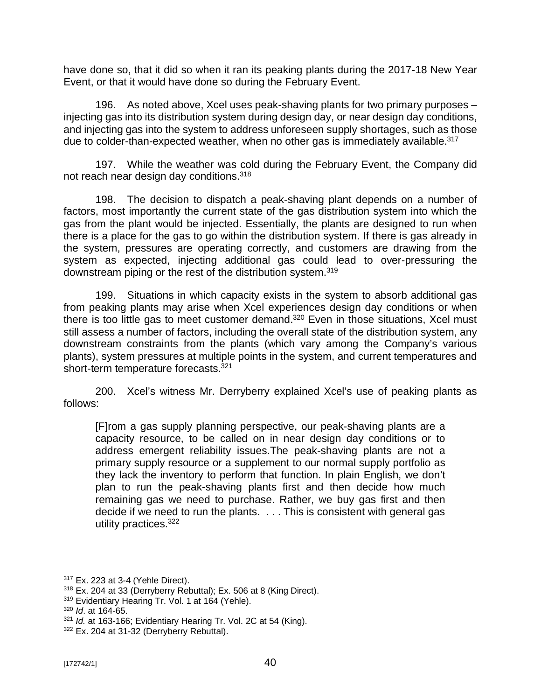have done so, that it did so when it ran its peaking plants during the 2017-18 New Year Event, or that it would have done so during the February Event.

196. As noted above, Xcel uses peak-shaving plants for two primary purposes – injecting gas into its distribution system during design day, or near design day conditions, and injecting gas into the system to address unforeseen supply shortages, such as those due to colder-than-expected weather, when no other gas is immediately available.<sup>317</sup>

197. While the weather was cold during the February Event, the Company did not reach near design day conditions.<sup>318</sup>

198. The decision to dispatch a peak-shaving plant depends on a number of factors, most importantly the current state of the gas distribution system into which the gas from the plant would be injected. Essentially, the plants are designed to run when there is a place for the gas to go within the distribution system. If there is gas already in the system, pressures are operating correctly, and customers are drawing from the system as expected, injecting additional gas could lead to over-pressuring the downstream piping or the rest of the distribution system.<sup>319</sup>

199. Situations in which capacity exists in the system to absorb additional gas from peaking plants may arise when Xcel experiences design day conditions or when there is too little gas to meet customer demand.<sup>320</sup> Even in those situations, Xcel must still assess a number of factors, including the overall state of the distribution system, any downstream constraints from the plants (which vary among the Company's various plants), system pressures at multiple points in the system, and current temperatures and short-term temperature forecasts.<sup>321</sup>

200. Xcel's witness Mr. Derryberry explained Xcel's use of peaking plants as follows:

[F]rom a gas supply planning perspective, our peak-shaving plants are a capacity resource, to be called on in near design day conditions or to address emergent reliability issues.The peak-shaving plants are not a primary supply resource or a supplement to our normal supply portfolio as they lack the inventory to perform that function. In plain English, we don't plan to run the peak-shaving plants first and then decide how much remaining gas we need to purchase. Rather, we buy gas first and then decide if we need to run the plants. . . . This is consistent with general gas utility practices.<sup>322</sup>

<sup>317</sup> Ex. 223 at 3-4 (Yehle Direct).

<sup>318</sup> Ex. 204 at 33 (Derryberry Rebuttal); Ex. 506 at 8 (King Direct).

<sup>&</sup>lt;sup>319</sup> Evidentiary Hearing Tr. Vol. 1 at 164 (Yehle).

<sup>320</sup> *Id*. at 164-65.

<sup>321</sup> *Id.* at 163-166; Evidentiary Hearing Tr. Vol. 2C at 54 (King).

<sup>322</sup> Ex. 204 at 31-32 (Derryberry Rebuttal).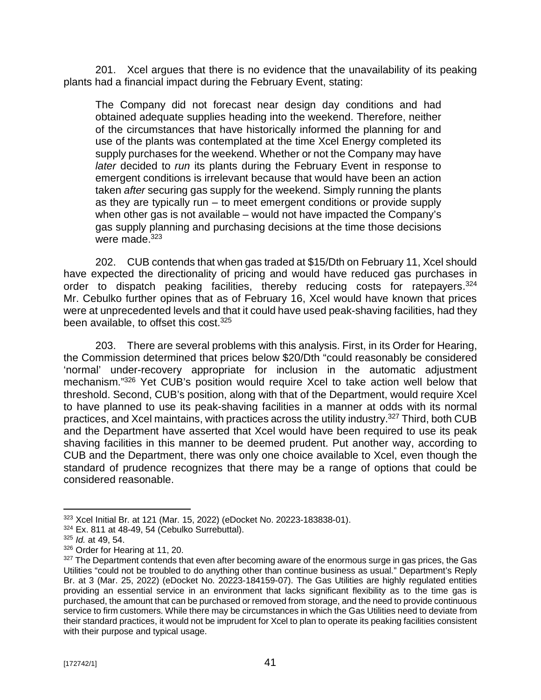201. Xcel argues that there is no evidence that the unavailability of its peaking plants had a financial impact during the February Event, stating:

The Company did not forecast near design day conditions and had obtained adequate supplies heading into the weekend. Therefore, neither of the circumstances that have historically informed the planning for and use of the plants was contemplated at the time Xcel Energy completed its supply purchases for the weekend. Whether or not the Company may have *later* decided to *run* its plants during the February Event in response to emergent conditions is irrelevant because that would have been an action taken *after* securing gas supply for the weekend. Simply running the plants as they are typically run – to meet emergent conditions or provide supply when other gas is not available – would not have impacted the Company's gas supply planning and purchasing decisions at the time those decisions were made. $323$ 

202. CUB contends that when gas traded at \$15/Dth on February 11, Xcel should have expected the directionality of pricing and would have reduced gas purchases in order to dispatch peaking facilities, thereby reducing costs for ratepayers.<sup>324</sup> Mr. Cebulko further opines that as of February 16, Xcel would have known that prices were at unprecedented levels and that it could have used peak-shaving facilities, had they been available, to offset this cost.<sup>325</sup>

203. There are several problems with this analysis. First, in its Order for Hearing, the Commission determined that prices below \$20/Dth "could reasonably be considered 'normal' under-recovery appropriate for inclusion in the automatic adjustment mechanism."<sup>326</sup> Yet CUB's position would require Xcel to take action well below that threshold. Second, CUB's position, along with that of the Department, would require Xcel to have planned to use its peak-shaving facilities in a manner at odds with its normal practices, and Xcel maintains, with practices across the utility industry.<sup>327</sup> Third, both CUB and the Department have asserted that Xcel would have been required to use its peak shaving facilities in this manner to be deemed prudent. Put another way, according to CUB and the Department, there was only one choice available to Xcel, even though the standard of prudence recognizes that there may be a range of options that could be considered reasonable.

<sup>323</sup> Xcel Initial Br. at 121 (Mar. 15, 2022) (eDocket No. 20223-183838-01).

 $324$  Ex. 811 at 48-49, 54 (Cebulko Surrebuttal).

<sup>325</sup> *Id.* at 49, 54.

<sup>326</sup> Order for Hearing at 11, 20.

<sup>&</sup>lt;sup>327</sup> The Department contends that even after becoming aware of the enormous surge in gas prices, the Gas Utilities "could not be troubled to do anything other than continue business as usual." Department's Reply Br. at 3 (Mar. 25, 2022) (eDocket No. 20223-184159-07). The Gas Utilities are highly regulated entities providing an essential service in an environment that lacks significant flexibility as to the time gas is purchased, the amount that can be purchased or removed from storage, and the need to provide continuous service to firm customers. While there may be circumstances in which the Gas Utilities need to deviate from their standard practices, it would not be imprudent for Xcel to plan to operate its peaking facilities consistent with their purpose and typical usage.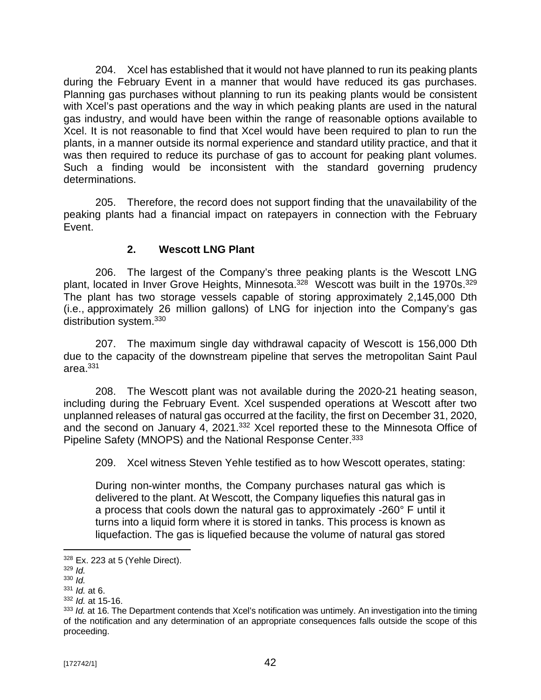204. Xcel has established that it would not have planned to run its peaking plants during the February Event in a manner that would have reduced its gas purchases. Planning gas purchases without planning to run its peaking plants would be consistent with Xcel's past operations and the way in which peaking plants are used in the natural gas industry, and would have been within the range of reasonable options available to Xcel. It is not reasonable to find that Xcel would have been required to plan to run the plants, in a manner outside its normal experience and standard utility practice, and that it was then required to reduce its purchase of gas to account for peaking plant volumes. Such a finding would be inconsistent with the standard governing prudency determinations.

205. Therefore, the record does not support finding that the unavailability of the peaking plants had a financial impact on ratepayers in connection with the February Event.

## **2. Wescott LNG Plant**

206. The largest of the Company's three peaking plants is the Wescott LNG plant, located in Inver Grove Heights, Minnesota.<sup>328</sup> Wescott was built in the 1970s.<sup>329</sup> The plant has two storage vessels capable of storing approximately 2,145,000 Dth (i.e., approximately 26 million gallons) of LNG for injection into the Company's gas distribution system.<sup>330</sup>

207. The maximum single day withdrawal capacity of Wescott is 156,000 Dth due to the capacity of the downstream pipeline that serves the metropolitan Saint Paul area. $331$ 

208. The Wescott plant was not available during the 2020-21 heating season, including during the February Event. Xcel suspended operations at Wescott after two unplanned releases of natural gas occurred at the facility, the first on December 31, 2020, and the second on January 4, 2021.<sup>332</sup> Xcel reported these to the Minnesota Office of Pipeline Safety (MNOPS) and the National Response Center.<sup>333</sup>

209. Xcel witness Steven Yehle testified as to how Wescott operates, stating:

During non-winter months, the Company purchases natural gas which is delivered to the plant. At Wescott, the Company liquefies this natural gas in a process that cools down the natural gas to approximately -260° F until it turns into a liquid form where it is stored in tanks. This process is known as liquefaction. The gas is liquefied because the volume of natural gas stored

 $328$  Ex. 223 at 5 (Yehle Direct).

<sup>329</sup> *Id.*

<sup>330</sup> *Id.*

<sup>331</sup> *Id.* at 6. <sup>332</sup> *Id.* at 15-16.

<sup>&</sup>lt;sup>333</sup> *Id.* at 16. The Department contends that Xcel's notification was untimely. An investigation into the timing of the notification and any determination of an appropriate consequences falls outside the scope of this proceeding.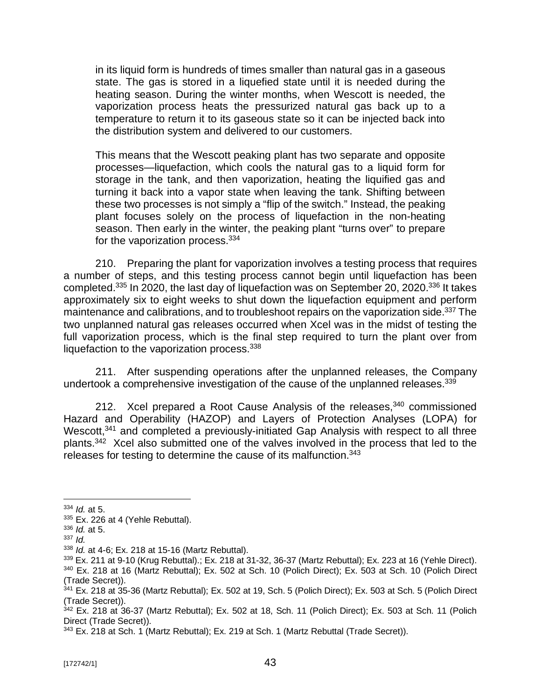in its liquid form is hundreds of times smaller than natural gas in a gaseous state. The gas is stored in a liquefied state until it is needed during the heating season. During the winter months, when Wescott is needed, the vaporization process heats the pressurized natural gas back up to a temperature to return it to its gaseous state so it can be injected back into the distribution system and delivered to our customers.

This means that the Wescott peaking plant has two separate and opposite processes—liquefaction, which cools the natural gas to a liquid form for storage in the tank, and then vaporization, heating the liquified gas and turning it back into a vapor state when leaving the tank. Shifting between these two processes is not simply a "flip of the switch." Instead, the peaking plant focuses solely on the process of liquefaction in the non-heating season. Then early in the winter, the peaking plant "turns over" to prepare for the vaporization process.<sup>334</sup>

210. Preparing the plant for vaporization involves a testing process that requires a number of steps, and this testing process cannot begin until liquefaction has been completed.<sup>335</sup> In 2020, the last day of liquefaction was on September 20, 2020.<sup>336</sup> It takes approximately six to eight weeks to shut down the liquefaction equipment and perform maintenance and calibrations, and to troubleshoot repairs on the vaporization side.<sup>337</sup> The two unplanned natural gas releases occurred when Xcel was in the midst of testing the full vaporization process, which is the final step required to turn the plant over from liquefaction to the vaporization process.<sup>338</sup>

211. After suspending operations after the unplanned releases, the Company undertook a comprehensive investigation of the cause of the unplanned releases. 339

212. Xcel prepared a Root Cause Analysis of the releases,<sup>340</sup> commissioned Hazard and Operability (HAZOP) and Layers of Protection Analyses (LOPA) for Wescott,<sup>341</sup> and completed a previously-initiated Gap Analysis with respect to all three plants.<sup>342</sup> Xcel also submitted one of the valves involved in the process that led to the releases for testing to determine the cause of its malfunction.<sup>343</sup>

<sup>339</sup> Ex. 211 at 9-10 (Krug Rebuttal).; Ex. 218 at 31-32, 36-37 (Martz Rebuttal); Ex. 223 at 16 (Yehle Direct). <sup>340</sup> Ex. 218 at 16 (Martz Rebuttal); Ex. 502 at Sch. 10 (Polich Direct); Ex. 503 at Sch. 10 (Polich Direct (Trade Secret)).

<sup>334</sup> *Id.* at 5.

 $335$  Ex. 226 at 4 (Yehle Rebuttal).

<sup>336</sup> *Id.* at 5.

<sup>337</sup> *Id.*

<sup>338</sup> *Id.* at 4-6; Ex. 218 at 15-16 (Martz Rebuttal).

 $341$  Ex. 218 at 35-36 (Martz Rebuttal); Ex. 502 at 19, Sch. 5 (Polich Direct); Ex. 503 at Sch. 5 (Polich Direct (Trade Secret)).

 $342$  Ex. 218 at 36-37 (Martz Rebuttal); Ex. 502 at 18, Sch. 11 (Polich Direct); Ex. 503 at Sch. 11 (Polich Direct (Trade Secret)).

<sup>343</sup> Ex. 218 at Sch. 1 (Martz Rebuttal); Ex. 219 at Sch. 1 (Martz Rebuttal (Trade Secret)).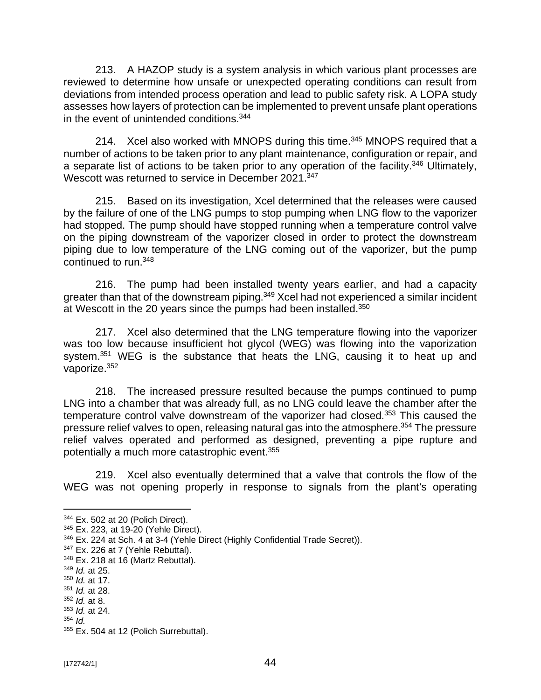213. A HAZOP study is a system analysis in which various plant processes are reviewed to determine how unsafe or unexpected operating conditions can result from deviations from intended process operation and lead to public safety risk. A LOPA study assesses how layers of protection can be implemented to prevent unsafe plant operations in the event of unintended conditions.<sup>344</sup>

214. Xcel also worked with MNOPS during this time.<sup>345</sup> MNOPS required that a number of actions to be taken prior to any plant maintenance, configuration or repair, and a separate list of actions to be taken prior to any operation of the facility.<sup>346</sup> Ultimately, Wescott was returned to service in December 2021.<sup>347</sup>

215. Based on its investigation, Xcel determined that the releases were caused by the failure of one of the LNG pumps to stop pumping when LNG flow to the vaporizer had stopped. The pump should have stopped running when a temperature control valve on the piping downstream of the vaporizer closed in order to protect the downstream piping due to low temperature of the LNG coming out of the vaporizer, but the pump continued to run.<sup>348</sup>

216. The pump had been installed twenty years earlier, and had a capacity greater than that of the downstream piping.<sup>349</sup> Xcel had not experienced a similar incident at Wescott in the 20 years since the pumps had been installed.<sup>350</sup>

217. Xcel also determined that the LNG temperature flowing into the vaporizer was too low because insufficient hot glycol (WEG) was flowing into the vaporization system.<sup>351</sup> WEG is the substance that heats the LNG, causing it to heat up and vaporize.<sup>352</sup>

218. The increased pressure resulted because the pumps continued to pump LNG into a chamber that was already full, as no LNG could leave the chamber after the temperature control valve downstream of the vaporizer had closed.<sup>353</sup> This caused the pressure relief valves to open, releasing natural gas into the atmosphere.<sup>354</sup> The pressure relief valves operated and performed as designed, preventing a pipe rupture and potentially a much more catastrophic event.<sup>355</sup>

219. Xcel also eventually determined that a valve that controls the flow of the WEG was not opening properly in response to signals from the plant's operating

<sup>344</sup> Ex. 502 at 20 (Polich Direct).

<sup>345</sup> Ex. 223, at 19-20 (Yehle Direct).

<sup>346</sup> Ex. 224 at Sch. 4 at 3-4 (Yehle Direct (Highly Confidential Trade Secret)).

<sup>347</sup> Ex. 226 at 7 (Yehle Rebuttal).

<sup>348</sup> Ex. 218 at 16 (Martz Rebuttal).

<sup>349</sup> *Id.* at 25.

<sup>350</sup> *Id.* at 17.

<sup>351</sup> *Id.* at 28.

<sup>352</sup> *Id.* at 8. <sup>353</sup> *Id.* at 24.

<sup>354</sup> *Id.*

<sup>355</sup> Ex. 504 at 12 (Polich Surrebuttal).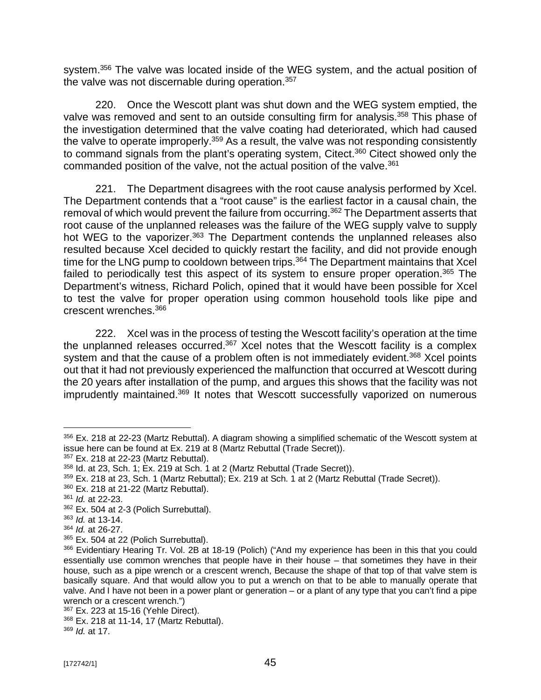system.<sup>356</sup> The valve was located inside of the WEG system, and the actual position of the valve was not discernable during operation.<sup>357</sup>

220. Once the Wescott plant was shut down and the WEG system emptied, the valve was removed and sent to an outside consulting firm for analysis.<sup>358</sup> This phase of the investigation determined that the valve coating had deteriorated, which had caused the valve to operate improperly.<sup>359</sup> As a result, the valve was not responding consistently to command signals from the plant's operating system, Citect.<sup>360</sup> Citect showed only the commanded position of the valve, not the actual position of the valve.<sup>361</sup>

221. The Department disagrees with the root cause analysis performed by Xcel. The Department contends that a "root cause" is the earliest factor in a causal chain, the removal of which would prevent the failure from occurring.<sup>362</sup> The Department asserts that root cause of the unplanned releases was the failure of the WEG supply valve to supply hot WEG to the vaporizer.<sup>363</sup> The Department contends the unplanned releases also resulted because Xcel decided to quickly restart the facility, and did not provide enough time for the LNG pump to cooldown between trips.<sup>364</sup> The Department maintains that Xcel failed to periodically test this aspect of its system to ensure proper operation.<sup>365</sup> The Department's witness, Richard Polich, opined that it would have been possible for Xcel to test the valve for proper operation using common household tools like pipe and crescent wrenches.<sup>366</sup>

222. Xcel was in the process of testing the Wescott facility's operation at the time the unplanned releases occurred.<sup>367</sup> Xcel notes that the Wescott facility is a complex system and that the cause of a problem often is not immediately evident.<sup>368</sup> Xcel points out that it had not previously experienced the malfunction that occurred at Wescott during the 20 years after installation of the pump, and argues this shows that the facility was not imprudently maintained.<sup>369</sup> It notes that Wescott successfully vaporized on numerous

<sup>356</sup> Ex. 218 at 22-23 (Martz Rebuttal). A diagram showing a simplified schematic of the Wescott system at issue here can be found at Ex. 219 at 8 (Martz Rebuttal (Trade Secret)).

<sup>357</sup> Ex. 218 at 22-23 (Martz Rebuttal).

<sup>358</sup> Id. at 23, Sch. 1; Ex. 219 at Sch. 1 at 2 (Martz Rebuttal (Trade Secret)).

<sup>359</sup> Ex. 218 at 23, Sch. 1 (Martz Rebuttal); Ex. 219 at Sch. 1 at 2 (Martz Rebuttal (Trade Secret)).

<sup>360</sup> Ex. 218 at 21-22 (Martz Rebuttal).

<sup>361</sup> *Id.* at 22-23.

<sup>362</sup> Ex. 504 at 2-3 (Polich Surrebuttal).

<sup>363</sup> *Id.* at 13-14.

<sup>364</sup> *Id.* at 26-27.

<sup>365</sup> Ex. 504 at 22 (Polich Surrebuttal).

<sup>366</sup> Evidentiary Hearing Tr. Vol. 2B at 18-19 (Polich) ("And my experience has been in this that you could essentially use common wrenches that people have in their house – that sometimes they have in their house, such as a pipe wrench or a crescent wrench, Because the shape of that top of that valve stem is basically square. And that would allow you to put a wrench on that to be able to manually operate that valve. And I have not been in a power plant or generation – or a plant of any type that you can't find a pipe wrench or a crescent wrench.")

<sup>367</sup> Ex. 223 at 15-16 (Yehle Direct).

<sup>368</sup> Ex. 218 at 11-14, 17 (Martz Rebuttal).

<sup>369</sup> *Id.* at 17.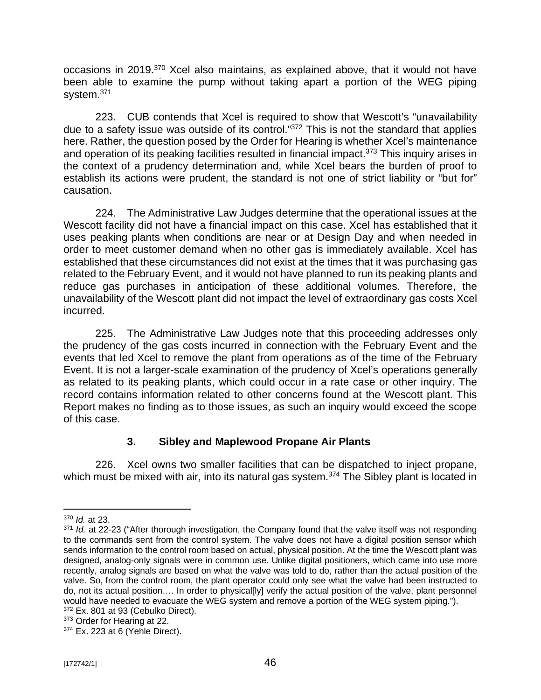occasions in 2019.<sup>370</sup> Xcel also maintains, as explained above, that it would not have been able to examine the pump without taking apart a portion of the WEG piping system.<sup>371</sup>

223. CUB contends that Xcel is required to show that Wescott's "unavailability due to a safety issue was outside of its control."372 This is not the standard that applies here. Rather, the question posed by the Order for Hearing is whether Xcel's maintenance and operation of its peaking facilities resulted in financial impact.<sup>373</sup> This inquiry arises in the context of a prudency determination and, while Xcel bears the burden of proof to establish its actions were prudent, the standard is not one of strict liability or "but for" causation.

224. The Administrative Law Judges determine that the operational issues at the Wescott facility did not have a financial impact on this case. Xcel has established that it uses peaking plants when conditions are near or at Design Day and when needed in order to meet customer demand when no other gas is immediately available. Xcel has established that these circumstances did not exist at the times that it was purchasing gas related to the February Event, and it would not have planned to run its peaking plants and reduce gas purchases in anticipation of these additional volumes. Therefore, the unavailability of the Wescott plant did not impact the level of extraordinary gas costs Xcel incurred.

225. The Administrative Law Judges note that this proceeding addresses only the prudency of the gas costs incurred in connection with the February Event and the events that led Xcel to remove the plant from operations as of the time of the February Event. It is not a larger-scale examination of the prudency of Xcel's operations generally as related to its peaking plants, which could occur in a rate case or other inquiry. The record contains information related to other concerns found at the Wescott plant. This Report makes no finding as to those issues, as such an inquiry would exceed the scope of this case.

## **3. Sibley and Maplewood Propane Air Plants**

226. Xcel owns two smaller facilities that can be dispatched to inject propane, which must be mixed with air, into its natural gas system.<sup>374</sup> The Sibley plant is located in

<sup>370</sup> *Id.* at 23.

<sup>&</sup>lt;sup>371</sup> *Id.* at 22-23 ("After thorough investigation, the Company found that the valve itself was not responding to the commands sent from the control system. The valve does not have a digital position sensor which sends information to the control room based on actual, physical position. At the time the Wescott plant was designed, analog-only signals were in common use. Unlike digital positioners, which came into use more recently, analog signals are based on what the valve was told to do, rather than the actual position of the valve. So, from the control room, the plant operator could only see what the valve had been instructed to do, not its actual position…. In order to physical[ly] verify the actual position of the valve, plant personnel would have needed to evacuate the WEG system and remove a portion of the WEG system piping.").

<sup>&</sup>lt;sup>372</sup> Ex. 801 at 93 (Cebulko Direct).

<sup>373</sup> Order for Hearing at 22.

<sup>374</sup> Ex. 223 at 6 (Yehle Direct).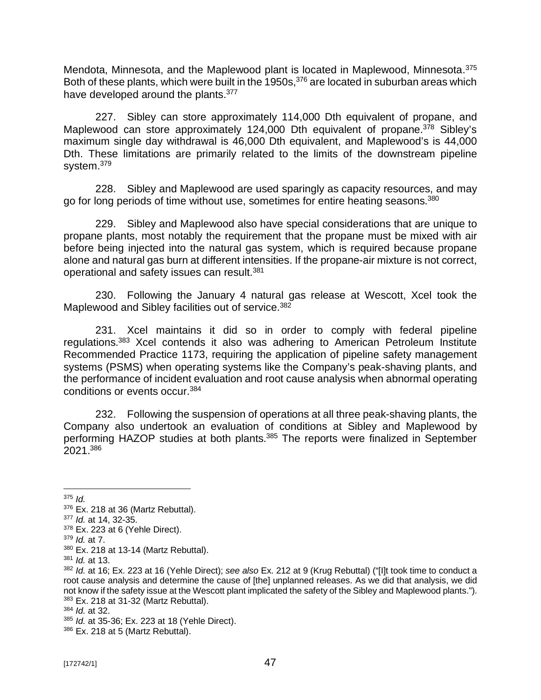Mendota, Minnesota, and the Maplewood plant is located in Maplewood, Minnesota.<sup>375</sup> Both of these plants, which were built in the 1950s,<sup>376</sup> are located in suburban areas which have developed around the plants.<sup>377</sup>

227. Sibley can store approximately 114,000 Dth equivalent of propane, and Maplewood can store approximately 124,000 Dth equivalent of propane.<sup>378</sup> Sibley's maximum single day withdrawal is 46,000 Dth equivalent, and Maplewood's is 44,000 Dth. These limitations are primarily related to the limits of the downstream pipeline system.<sup>379</sup>

228. Sibley and Maplewood are used sparingly as capacity resources, and may go for long periods of time without use, sometimes for entire heating seasons.<sup>380</sup>

229. Sibley and Maplewood also have special considerations that are unique to propane plants, most notably the requirement that the propane must be mixed with air before being injected into the natural gas system, which is required because propane alone and natural gas burn at different intensities. If the propane-air mixture is not correct, operational and safety issues can result.<sup>381</sup>

230. Following the January 4 natural gas release at Wescott, Xcel took the Maplewood and Sibley facilities out of service.<sup>382</sup>

231. Xcel maintains it did so in order to comply with federal pipeline regulations.<sup>383</sup> Xcel contends it also was adhering to American Petroleum Institute Recommended Practice 1173, requiring the application of pipeline safety management systems (PSMS) when operating systems like the Company's peak-shaving plants, and the performance of incident evaluation and root cause analysis when abnormal operating conditions or events occur.<sup>384</sup>

232. Following the suspension of operations at all three peak-shaving plants, the Company also undertook an evaluation of conditions at Sibley and Maplewood by performing HAZOP studies at both plants.<sup>385</sup> The reports were finalized in September 2021.<sup>386</sup>

<sup>379</sup> *Id.* at 7.

<sup>375</sup> *Id.*

<sup>376</sup> Ex. 218 at 36 (Martz Rebuttal).

<sup>377</sup> *Id.* at 14, 32-35.

<sup>378</sup> Ex. 223 at 6 (Yehle Direct).

<sup>380</sup> Ex. 218 at 13-14 (Martz Rebuttal).

<sup>381</sup> *Id.* at 13.

<sup>382</sup> *Id.* at 16; Ex. 223 at 16 (Yehle Direct); *see also* Ex. 212 at 9 (Krug Rebuttal) ("[I]t took time to conduct a root cause analysis and determine the cause of [the] unplanned releases. As we did that analysis, we did not know if the safety issue at the Wescott plant implicated the safety of the Sibley and Maplewood plants."). <sup>383</sup> Ex. 218 at 31-32 (Martz Rebuttal).

<sup>384</sup> *Id.* at 32.

<sup>385</sup> *Id.* at 35-36; Ex. 223 at 18 (Yehle Direct).

<sup>386</sup> Ex. 218 at 5 (Martz Rebuttal).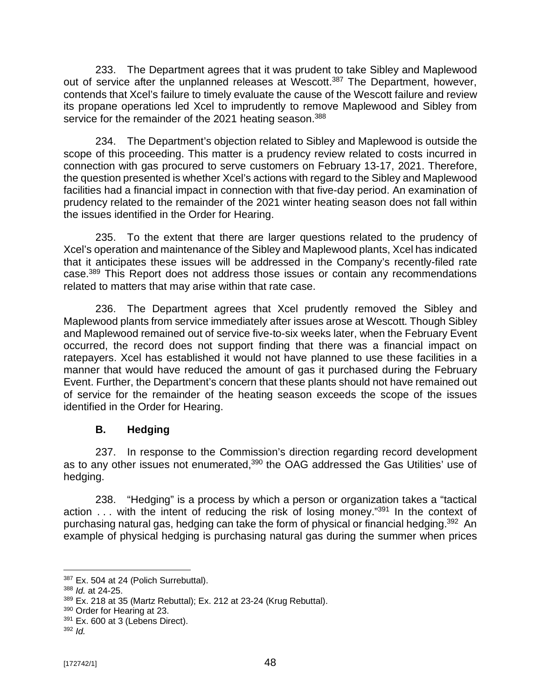233. The Department agrees that it was prudent to take Sibley and Maplewood out of service after the unplanned releases at Wescott.<sup>387</sup> The Department, however, contends that Xcel's failure to timely evaluate the cause of the Wescott failure and review its propane operations led Xcel to imprudently to remove Maplewood and Sibley from service for the remainder of the 2021 heating season.<sup>388</sup>

234. The Department's objection related to Sibley and Maplewood is outside the scope of this proceeding. This matter is a prudency review related to costs incurred in connection with gas procured to serve customers on February 13-17, 2021. Therefore, the question presented is whether Xcel's actions with regard to the Sibley and Maplewood facilities had a financial impact in connection with that five-day period. An examination of prudency related to the remainder of the 2021 winter heating season does not fall within the issues identified in the Order for Hearing.

235. To the extent that there are larger questions related to the prudency of Xcel's operation and maintenance of the Sibley and Maplewood plants, Xcel has indicated that it anticipates these issues will be addressed in the Company's recently-filed rate case.<sup>389</sup> This Report does not address those issues or contain any recommendations related to matters that may arise within that rate case.

236. The Department agrees that Xcel prudently removed the Sibley and Maplewood plants from service immediately after issues arose at Wescott. Though Sibley and Maplewood remained out of service five-to-six weeks later, when the February Event occurred, the record does not support finding that there was a financial impact on ratepayers. Xcel has established it would not have planned to use these facilities in a manner that would have reduced the amount of gas it purchased during the February Event. Further, the Department's concern that these plants should not have remained out of service for the remainder of the heating season exceeds the scope of the issues identified in the Order for Hearing.

## **B. Hedging**

237. In response to the Commission's direction regarding record development as to any other issues not enumerated,<sup>390</sup> the OAG addressed the Gas Utilities' use of hedging.

238. "Hedging" is a process by which a person or organization takes a "tactical action . . . with the intent of reducing the risk of losing money."<sup>391</sup> In the context of purchasing natural gas, hedging can take the form of physical or financial hedging.<sup>392</sup> An example of physical hedging is purchasing natural gas during the summer when prices

<sup>387</sup> Ex. 504 at 24 (Polich Surrebuttal).

<sup>388</sup> *Id.* at 24-25.

 $389$  Ex. 218 at 35 (Martz Rebuttal); Ex. 212 at 23-24 (Krug Rebuttal).

<sup>390</sup> Order for Hearing at 23.

 $391$  Ex. 600 at 3 (Lebens Direct).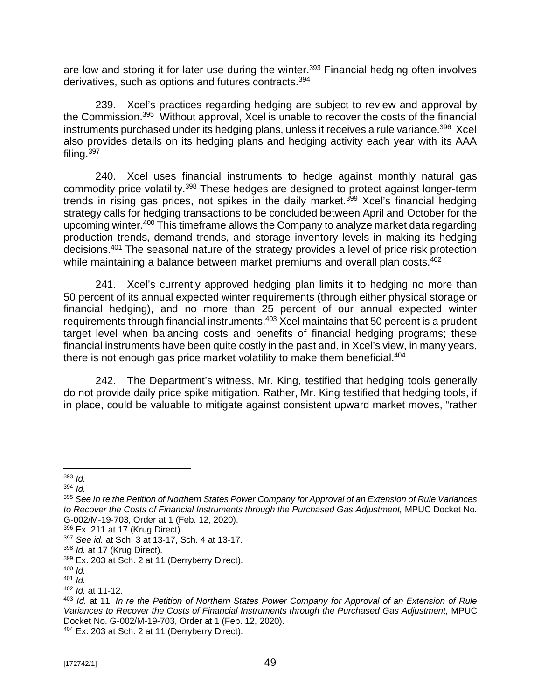are low and storing it for later use during the winter.<sup>393</sup> Financial hedging often involves derivatives, such as options and futures contracts.<sup>394</sup>

239. Xcel's practices regarding hedging are subject to review and approval by the Commission.<sup>395</sup> Without approval, Xcel is unable to recover the costs of the financial instruments purchased under its hedging plans, unless it receives a rule variance.<sup>396</sup> Xcel also provides details on its hedging plans and hedging activity each year with its AAA filing.<sup>397</sup>

240. Xcel uses financial instruments to hedge against monthly natural gas commodity price volatility.<sup>398</sup> These hedges are designed to protect against longer-term trends in rising gas prices, not spikes in the daily market.<sup>399</sup> Xcel's financial hedging strategy calls for hedging transactions to be concluded between April and October for the upcoming winter.<sup>400</sup> This timeframe allows the Company to analyze market data regarding production trends, demand trends, and storage inventory levels in making its hedging decisions.<sup>401</sup> The seasonal nature of the strategy provides a level of price risk protection while maintaining a balance between market premiums and overall plan costs.<sup>402</sup>

241. Xcel's currently approved hedging plan limits it to hedging no more than 50 percent of its annual expected winter requirements (through either physical storage or financial hedging), and no more than 25 percent of our annual expected winter requirements through financial instruments.<sup>403</sup> Xcel maintains that 50 percent is a prudent target level when balancing costs and benefits of financial hedging programs; these financial instruments have been quite costly in the past and, in Xcel's view, in many years, there is not enough gas price market volatility to make them beneficial.<sup>404</sup>

242. The Department's witness, Mr. King, testified that hedging tools generally do not provide daily price spike mitigation. Rather, Mr. King testified that hedging tools, if in place, could be valuable to mitigate against consistent upward market moves, "rather

<sup>404</sup> Ex. 203 at Sch. 2 at 11 (Derryberry Direct).

<sup>393</sup> *Id.*

<sup>394</sup> *Id.*

<sup>395</sup> *See In re the Petition of Northern States Power Company for Approval of an Extension of Rule Variances to Recover the Costs of Financial Instruments through the Purchased Gas Adjustment,* MPUC Docket No. G-002/M-19-703, Order at 1 (Feb. 12, 2020).

<sup>396</sup> Ex. 211 at 17 (Krug Direct).

<sup>397</sup> *See id.* at Sch. 3 at 13-17, Sch. 4 at 13-17.

<sup>398</sup> *Id.* at 17 (Krug Direct).

<sup>399</sup> Ex. 203 at Sch. 2 at 11 (Derryberry Direct).

<sup>400</sup> *Id.*

<sup>401</sup> *Id.*

<sup>402</sup> *Id.* at 11-12.

<sup>403</sup> *Id.* at 11; *In re the Petition of Northern States Power Company for Approval of an Extension of Rule Variances to Recover the Costs of Financial Instruments through the Purchased Gas Adjustment,* MPUC Docket No. G-002/M-19-703, Order at 1 (Feb. 12, 2020).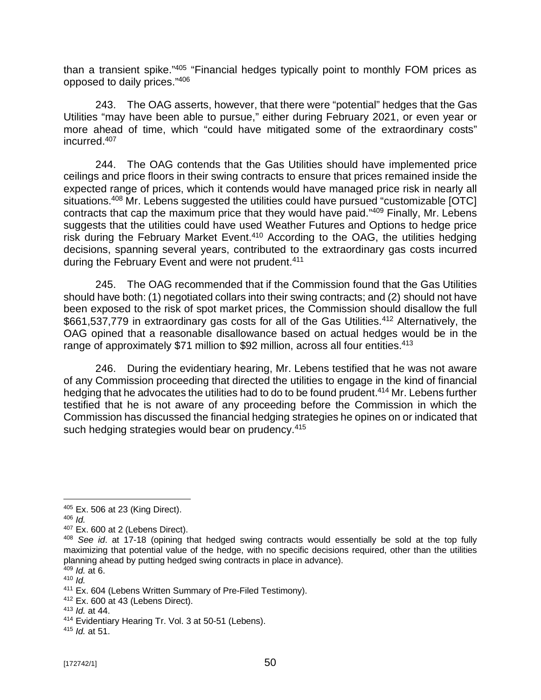than a transient spike."<sup>405</sup> "Financial hedges typically point to monthly FOM prices as opposed to daily prices."<sup>406</sup>

243. The OAG asserts, however, that there were "potential" hedges that the Gas Utilities "may have been able to pursue," either during February 2021, or even year or more ahead of time, which "could have mitigated some of the extraordinary costs" incurred.<sup>407</sup>

244. The OAG contends that the Gas Utilities should have implemented price ceilings and price floors in their swing contracts to ensure that prices remained inside the expected range of prices, which it contends would have managed price risk in nearly all situations.<sup>408</sup> Mr. Lebens suggested the utilities could have pursued "customizable [OTC] contracts that cap the maximum price that they would have paid."<sup>409</sup> Finally, Mr. Lebens suggests that the utilities could have used Weather Futures and Options to hedge price risk during the February Market Event.<sup>410</sup> According to the OAG, the utilities hedging decisions, spanning several years, contributed to the extraordinary gas costs incurred during the February Event and were not prudent.<sup>411</sup>

245. The OAG recommended that if the Commission found that the Gas Utilities should have both: (1) negotiated collars into their swing contracts; and (2) should not have been exposed to the risk of spot market prices, the Commission should disallow the full \$661,537,779 in extraordinary gas costs for all of the Gas Utilities.<sup>412</sup> Alternatively, the OAG opined that a reasonable disallowance based on actual hedges would be in the range of approximately \$71 million to \$92 million, across all four entities.<sup>413</sup>

246. During the evidentiary hearing, Mr. Lebens testified that he was not aware of any Commission proceeding that directed the utilities to engage in the kind of financial hedging that he advocates the utilities had to do to be found prudent.<sup>414</sup> Mr. Lebens further testified that he is not aware of any proceeding before the Commission in which the Commission has discussed the financial hedging strategies he opines on or indicated that such hedging strategies would bear on prudency.<sup>415</sup>

<sup>405</sup> Ex. 506 at 23 (King Direct).

<sup>406</sup> *Id.*

<sup>407</sup> Ex. 600 at 2 (Lebens Direct).

<sup>408</sup> *See id*. at 17-18 (opining that hedged swing contracts would essentially be sold at the top fully maximizing that potential value of the hedge, with no specific decisions required, other than the utilities planning ahead by putting hedged swing contracts in place in advance).

<sup>409</sup> *Id.* at 6.

<sup>410</sup> *Id.*

<sup>411</sup> Ex. 604 (Lebens Written Summary of Pre-Filed Testimony).

<sup>412</sup> Ex. 600 at 43 (Lebens Direct).

<sup>413</sup> *Id.* at 44.

<sup>414</sup> Evidentiary Hearing Tr. Vol. 3 at 50-51 (Lebens).

<sup>415</sup> *Id.* at 51.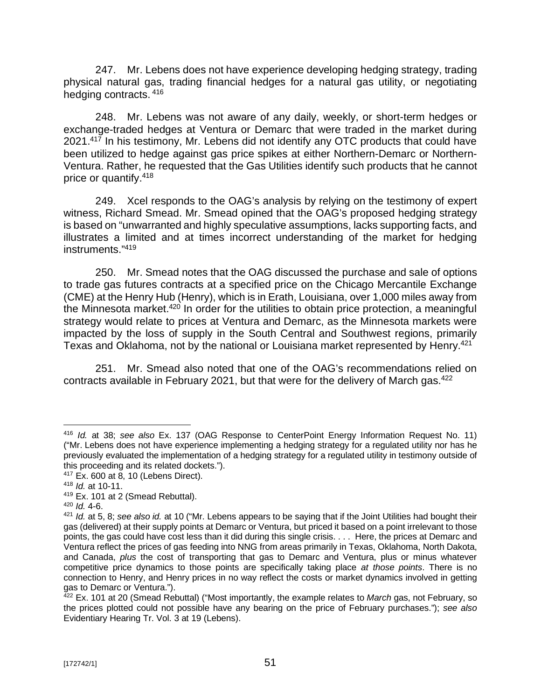247. Mr. Lebens does not have experience developing hedging strategy, trading physical natural gas, trading financial hedges for a natural gas utility, or negotiating hedging contracts. <sup>416</sup>

248. Mr. Lebens was not aware of any daily, weekly, or short-term hedges or exchange-traded hedges at Ventura or Demarc that were traded in the market during 2021.<sup>417</sup> In his testimony, Mr. Lebens did not identify any OTC products that could have been utilized to hedge against gas price spikes at either Northern-Demarc or Northern-Ventura. Rather, he requested that the Gas Utilities identify such products that he cannot price or quantify.<sup>418</sup>

249. Xcel responds to the OAG's analysis by relying on the testimony of expert witness, Richard Smead. Mr. Smead opined that the OAG's proposed hedging strategy is based on "unwarranted and highly speculative assumptions, lacks supporting facts, and illustrates a limited and at times incorrect understanding of the market for hedging instruments."<sup>419</sup>

250. Mr. Smead notes that the OAG discussed the purchase and sale of options to trade gas futures contracts at a specified price on the Chicago Mercantile Exchange (CME) at the Henry Hub (Henry), which is in Erath, Louisiana, over 1,000 miles away from the Minnesota market.<sup>420</sup> In order for the utilities to obtain price protection, a meaningful strategy would relate to prices at Ventura and Demarc, as the Minnesota markets were impacted by the loss of supply in the South Central and Southwest regions, primarily Texas and Oklahoma, not by the national or Louisiana market represented by Henry.<sup>421</sup>

251. Mr. Smead also noted that one of the OAG's recommendations relied on contracts available in February 2021, but that were for the delivery of March gas.<sup>422</sup>

<sup>416</sup> *Id.* at 38; *see also* Ex. 137 (OAG Response to CenterPoint Energy Information Request No. 11) ("Mr. Lebens does not have experience implementing a hedging strategy for a regulated utility nor has he previously evaluated the implementation of a hedging strategy for a regulated utility in testimony outside of this proceeding and its related dockets.").

<sup>417</sup> Ex. 600 at 8, 10 (Lebens Direct).

<sup>418</sup> *Id.* at 10-11.

<sup>419</sup> Ex. 101 at 2 (Smead Rebuttal).

<sup>420</sup> *Id.* 4-6.

<sup>421</sup> *Id.* at 5, 8; *see also id.* at 10 ("Mr. Lebens appears to be saying that if the Joint Utilities had bought their gas (delivered) at their supply points at Demarc or Ventura, but priced it based on a point irrelevant to those points, the gas could have cost less than it did during this single crisis. . . . Here, the prices at Demarc and Ventura reflect the prices of gas feeding into NNG from areas primarily in Texas, Oklahoma, North Dakota, and Canada, *plus* the cost of transporting that gas to Demarc and Ventura, plus or minus whatever competitive price dynamics to those points are specifically taking place *at those points*. There is no connection to Henry, and Henry prices in no way reflect the costs or market dynamics involved in getting gas to Demarc or Ventura.").

<sup>422</sup> Ex. 101 at 20 (Smead Rebuttal) ("Most importantly, the example relates to *March* gas, not February, so the prices plotted could not possible have any bearing on the price of February purchases."); *see also*  Evidentiary Hearing Tr. Vol. 3 at 19 (Lebens).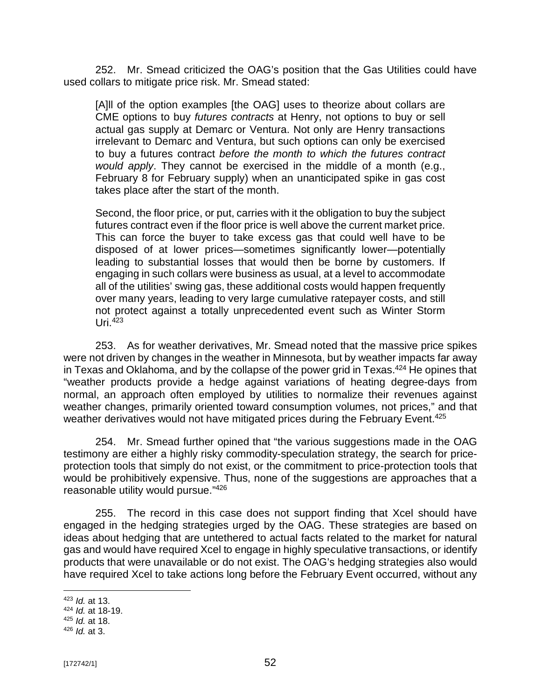252. Mr. Smead criticized the OAG's position that the Gas Utilities could have used collars to mitigate price risk. Mr. Smead stated:

[A]ll of the option examples [the OAG] uses to theorize about collars are CME options to buy *futures contracts* at Henry, not options to buy or sell actual gas supply at Demarc or Ventura. Not only are Henry transactions irrelevant to Demarc and Ventura, but such options can only be exercised to buy a futures contract *before the month to which the futures contract would apply*. They cannot be exercised in the middle of a month (e.g., February 8 for February supply) when an unanticipated spike in gas cost takes place after the start of the month.

Second, the floor price, or put, carries with it the obligation to buy the subject futures contract even if the floor price is well above the current market price. This can force the buyer to take excess gas that could well have to be disposed of at lower prices—sometimes significantly lower—potentially leading to substantial losses that would then be borne by customers. If engaging in such collars were business as usual, at a level to accommodate all of the utilities' swing gas, these additional costs would happen frequently over many years, leading to very large cumulative ratepayer costs, and still not protect against a totally unprecedented event such as Winter Storm Uri $.423$ 

253. As for weather derivatives, Mr. Smead noted that the massive price spikes were not driven by changes in the weather in Minnesota, but by weather impacts far away in Texas and Oklahoma, and by the collapse of the power grid in Texas.<sup>424</sup> He opines that "weather products provide a hedge against variations of heating degree-days from normal, an approach often employed by utilities to normalize their revenues against weather changes, primarily oriented toward consumption volumes, not prices," and that weather derivatives would not have mitigated prices during the February Event.<sup>425</sup>

254. Mr. Smead further opined that "the various suggestions made in the OAG testimony are either a highly risky commodity-speculation strategy, the search for priceprotection tools that simply do not exist, or the commitment to price-protection tools that would be prohibitively expensive. Thus, none of the suggestions are approaches that a reasonable utility would pursue."<sup>426</sup>

255. The record in this case does not support finding that Xcel should have engaged in the hedging strategies urged by the OAG. These strategies are based on ideas about hedging that are untethered to actual facts related to the market for natural gas and would have required Xcel to engage in highly speculative transactions, or identify products that were unavailable or do not exist. The OAG's hedging strategies also would have required Xcel to take actions long before the February Event occurred, without any

<sup>423</sup> *Id.* at 13.

<sup>424</sup> *Id.* at 18-19.

<sup>425</sup> *Id.* at 18.

<sup>426</sup> *Id.* at 3.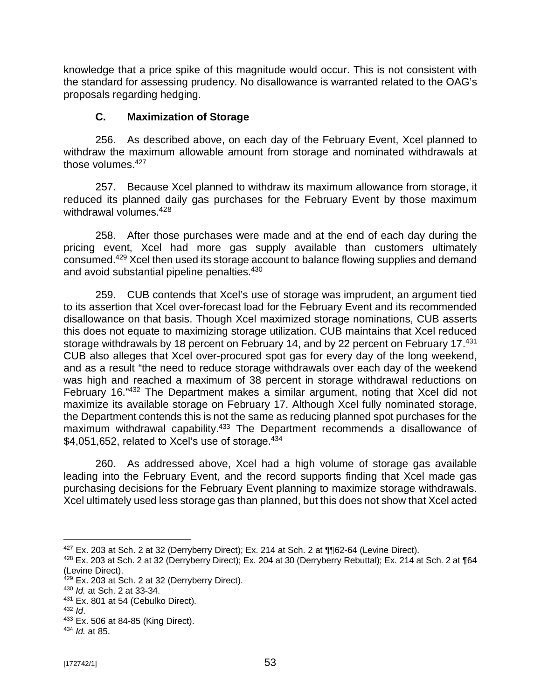knowledge that a price spike of this magnitude would occur. This is not consistent with the standard for assessing prudency. No disallowance is warranted related to the OAG's proposals regarding hedging.

## **C. Maximization of Storage**

256. As described above, on each day of the February Event, Xcel planned to withdraw the maximum allowable amount from storage and nominated withdrawals at those volumes.<sup>427</sup>

257. Because Xcel planned to withdraw its maximum allowance from storage, it reduced its planned daily gas purchases for the February Event by those maximum withdrawal volumes.<sup>428</sup>

258. After those purchases were made and at the end of each day during the pricing event, Xcel had more gas supply available than customers ultimately consumed.<sup>429</sup> Xcel then used its storage account to balance flowing supplies and demand and avoid substantial pipeline penalties.<sup>430</sup>

259. CUB contends that Xcel's use of storage was imprudent, an argument tied to its assertion that Xcel over-forecast load for the February Event and its recommended disallowance on that basis. Though Xcel maximized storage nominations, CUB asserts this does not equate to maximizing storage utilization. CUB maintains that Xcel reduced storage withdrawals by 18 percent on February 14, and by 22 percent on February 17.<sup>431</sup> CUB also alleges that Xcel over-procured spot gas for every day of the long weekend, and as a result "the need to reduce storage withdrawals over each day of the weekend was high and reached a maximum of 38 percent in storage withdrawal reductions on February 16."<sup>432</sup> The Department makes a similar argument, noting that Xcel did not maximize its available storage on February 17. Although Xcel fully nominated storage, the Department contends this is not the same as reducing planned spot purchases for the maximum withdrawal capability.<sup>433</sup> The Department recommends a disallowance of \$4,051,652, related to Xcel's use of storage. $434$ 

260. As addressed above, Xcel had a high volume of storage gas available leading into the February Event, and the record supports finding that Xcel made gas purchasing decisions for the February Event planning to maximize storage withdrawals. Xcel ultimately used less storage gas than planned, but this does not show that Xcel acted

 $427$  Ex. 203 at Sch. 2 at 32 (Derryberry Direct); Ex. 214 at Sch. 2 at  $\P$  $62$ -64 (Levine Direct).

<sup>428</sup> Ex. 203 at Sch. 2 at 32 (Derryberry Direct); Ex. 204 at 30 (Derryberry Rebuttal); Ex. 214 at Sch. 2 at ¶64 (Levine Direct).

 $429$  Ex. 203 at Sch. 2 at 32 (Derryberry Direct).

<sup>430</sup> *Id.* at Sch. 2 at 33-34.

<sup>431</sup> Ex. 801 at 54 (Cebulko Direct).

<sup>432</sup> *Id*.

<sup>433</sup> Ex. 506 at 84-85 (King Direct).

<sup>434</sup> *Id.* at 85.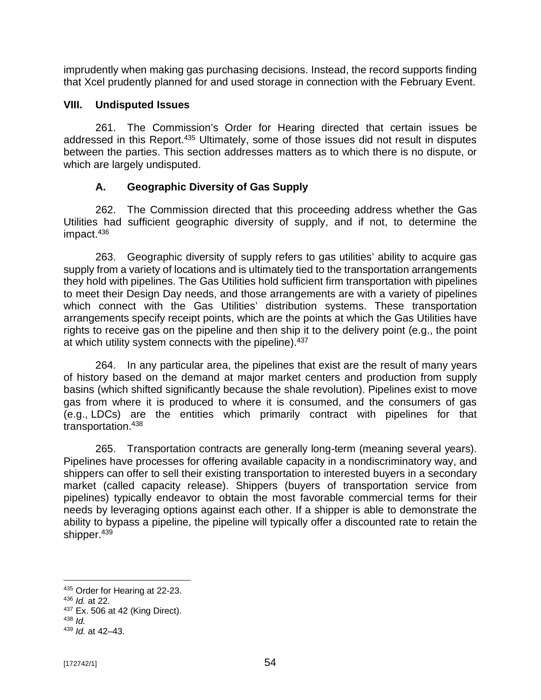imprudently when making gas purchasing decisions. Instead, the record supports finding that Xcel prudently planned for and used storage in connection with the February Event.

### **VIII. Undisputed Issues**

261. The Commission's Order for Hearing directed that certain issues be addressed in this Report.<sup>435</sup> Ultimately, some of those issues did not result in disputes between the parties. This section addresses matters as to which there is no dispute, or which are largely undisputed.

## **A. Geographic Diversity of Gas Supply**

262. The Commission directed that this proceeding address whether the Gas Utilities had sufficient geographic diversity of supply, and if not, to determine the impact.<sup>436</sup>

263. Geographic diversity of supply refers to gas utilities' ability to acquire gas supply from a variety of locations and is ultimately tied to the transportation arrangements they hold with pipelines. The Gas Utilities hold sufficient firm transportation with pipelines to meet their Design Day needs, and those arrangements are with a variety of pipelines which connect with the Gas Utilities' distribution systems. These transportation arrangements specify receipt points, which are the points at which the Gas Utilities have rights to receive gas on the pipeline and then ship it to the delivery point (e.g., the point at which utility system connects with the pipeline). 437

264. In any particular area, the pipelines that exist are the result of many years of history based on the demand at major market centers and production from supply basins (which shifted significantly because the shale revolution). Pipelines exist to move gas from where it is produced to where it is consumed, and the consumers of gas (e.g., LDCs) are the entities which primarily contract with pipelines for that transportation.<sup>438</sup>

265. Transportation contracts are generally long-term (meaning several years). Pipelines have processes for offering available capacity in a nondiscriminatory way, and shippers can offer to sell their existing transportation to interested buyers in a secondary market (called capacity release). Shippers (buyers of transportation service from pipelines) typically endeavor to obtain the most favorable commercial terms for their needs by leveraging options against each other. If a shipper is able to demonstrate the ability to bypass a pipeline, the pipeline will typically offer a discounted rate to retain the shipper.<sup>439</sup>

<sup>435</sup> Order for Hearing at 22-23.

<sup>436</sup> *Id.* at 22.

<sup>437</sup> Ex. 506 at 42 (King Direct).

<sup>438</sup> *Id.*

<sup>439</sup> *Id.* at 42–43.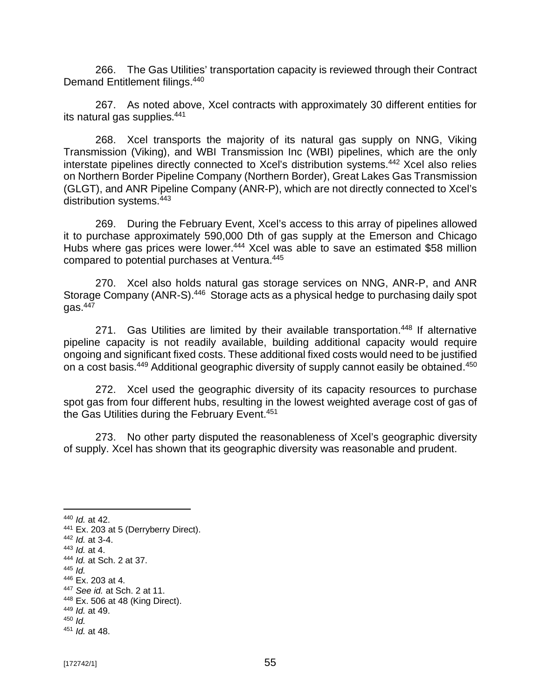266. The Gas Utilities' transportation capacity is reviewed through their Contract Demand Entitlement filings.<sup>440</sup>

267. As noted above, Xcel contracts with approximately 30 different entities for its natural gas supplies.<sup>441</sup>

268. Xcel transports the majority of its natural gas supply on NNG, Viking Transmission (Viking), and WBI Transmission Inc (WBI) pipelines, which are the only interstate pipelines directly connected to Xcel's distribution systems.<sup>442</sup> Xcel also relies on Northern Border Pipeline Company (Northern Border), Great Lakes Gas Transmission (GLGT), and ANR Pipeline Company (ANR-P), which are not directly connected to Xcel's distribution systems.<sup>443</sup>

269. During the February Event, Xcel's access to this array of pipelines allowed it to purchase approximately 590,000 Dth of gas supply at the Emerson and Chicago Hubs where gas prices were lower.<sup>444</sup> Xcel was able to save an estimated \$58 million compared to potential purchases at Ventura.<sup>445</sup>

270. Xcel also holds natural gas storage services on NNG, ANR-P, and ANR Storage Company (ANR-S).<sup>446</sup> Storage acts as a physical hedge to purchasing daily spot  $a$ as.  $447$ 

271. Gas Utilities are limited by their available transportation.<sup>448</sup> If alternative pipeline capacity is not readily available, building additional capacity would require ongoing and significant fixed costs. These additional fixed costs would need to be justified on a cost basis.<sup>449</sup> Additional geographic diversity of supply cannot easily be obtained.<sup>450</sup>

272. Xcel used the geographic diversity of its capacity resources to purchase spot gas from four different hubs, resulting in the lowest weighted average cost of gas of the Gas Utilities during the February Event.<sup>451</sup>

273. No other party disputed the reasonableness of Xcel's geographic diversity of supply. Xcel has shown that its geographic diversity was reasonable and prudent.

- <sup>446</sup> Ex. 203 at 4.
- <sup>447</sup> *See id.* at Sch. 2 at 11. <sup>448</sup> Ex. 506 at 48 (King Direct).
- <sup>449</sup> *Id.* at 49.

<sup>440</sup> *Id.* at 42.

<sup>&</sup>lt;sup>441</sup> Ex. 203 at 5 (Derryberry Direct).

<sup>442</sup> *Id.* at 3-4.

<sup>443</sup> *Id.* at 4.

<sup>444</sup> *Id.* at Sch. 2 at 37.

<sup>445</sup> *Id.*

<sup>450</sup> *Id.*

<sup>451</sup> *Id.* at 48.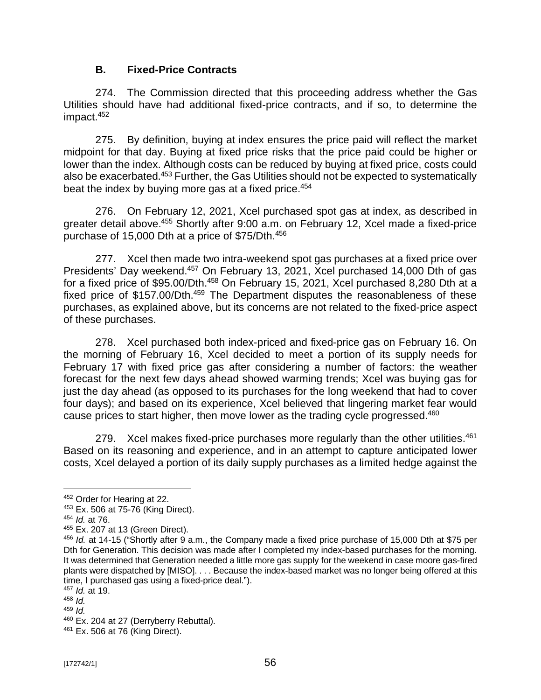## **B. Fixed-Price Contracts**

274. The Commission directed that this proceeding address whether the Gas Utilities should have had additional fixed-price contracts, and if so, to determine the impact.<sup>452</sup>

275. By definition, buying at index ensures the price paid will reflect the market midpoint for that day. Buying at fixed price risks that the price paid could be higher or lower than the index. Although costs can be reduced by buying at fixed price, costs could also be exacerbated.<sup>453</sup> Further, the Gas Utilities should not be expected to systematically beat the index by buying more gas at a fixed price.<sup>454</sup>

276. On February 12, 2021, Xcel purchased spot gas at index, as described in greater detail above. <sup>455</sup> Shortly after 9:00 a.m. on February 12, Xcel made a fixed-price purchase of 15,000 Dth at a price of \$75/Dth.<sup>456</sup>

277. Xcel then made two intra-weekend spot gas purchases at a fixed price over Presidents' Day weekend.<sup>457</sup> On February 13, 2021, Xcel purchased 14,000 Dth of gas for a fixed price of \$95.00/Dth.<sup>458</sup> On February 15, 2021, Xcel purchased 8,280 Dth at a fixed price of \$157.00/Dth.<sup>459</sup> The Department disputes the reasonableness of these purchases, as explained above, but its concerns are not related to the fixed-price aspect of these purchases.

278. Xcel purchased both index-priced and fixed-price gas on February 16. On the morning of February 16, Xcel decided to meet a portion of its supply needs for February 17 with fixed price gas after considering a number of factors: the weather forecast for the next few days ahead showed warming trends; Xcel was buying gas for just the day ahead (as opposed to its purchases for the long weekend that had to cover four days); and based on its experience, Xcel believed that lingering market fear would cause prices to start higher, then move lower as the trading cycle progressed.<sup>460</sup>

279. Xcel makes fixed-price purchases more regularly than the other utilities.<sup>461</sup> Based on its reasoning and experience, and in an attempt to capture anticipated lower costs, Xcel delayed a portion of its daily supply purchases as a limited hedge against the

<sup>452</sup> Order for Hearing at 22.

<sup>453</sup> Ex. 506 at 75-76 (King Direct).

<sup>454</sup> *Id.* at 76.

<sup>455</sup> Ex. 207 at 13 (Green Direct).

<sup>456</sup> *Id.* at 14-15 ("Shortly after 9 a.m., the Company made a fixed price purchase of 15,000 Dth at \$75 per Dth for Generation. This decision was made after I completed my index-based purchases for the morning. It was determined that Generation needed a little more gas supply for the weekend in case moore gas-fired plants were dispatched by [MISO]. . . . Because the index-based market was no longer being offered at this time, I purchased gas using a fixed-price deal.").

<sup>457</sup> *Id.* at 19.

<sup>458</sup> *Id.*

<sup>459</sup> *Id.*

<sup>&</sup>lt;sup>460</sup> Ex. 204 at 27 (Derryberry Rebuttal).

<sup>461</sup> Ex. 506 at 76 (King Direct).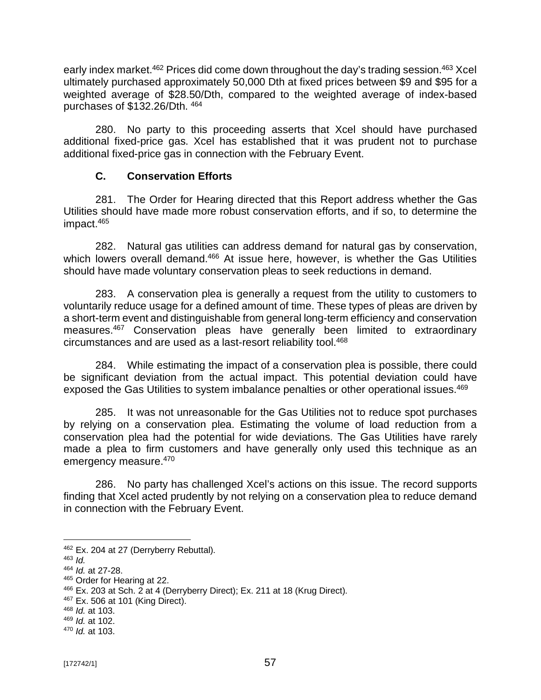early index market.<sup>462</sup> Prices did come down throughout the day's trading session.<sup>463</sup> Xcel ultimately purchased approximately 50,000 Dth at fixed prices between \$9 and \$95 for a weighted average of \$28.50/Dth, compared to the weighted average of index-based purchases of \$132.26/Dth. <sup>464</sup>

280. No party to this proceeding asserts that Xcel should have purchased additional fixed-price gas. Xcel has established that it was prudent not to purchase additional fixed-price gas in connection with the February Event.

## **C. Conservation Efforts**

281. The Order for Hearing directed that this Report address whether the Gas Utilities should have made more robust conservation efforts, and if so, to determine the impact.<sup>465</sup>

282. Natural gas utilities can address demand for natural gas by conservation, which lowers overall demand.<sup>466</sup> At issue here, however, is whether the Gas Utilities should have made voluntary conservation pleas to seek reductions in demand.

283. A conservation plea is generally a request from the utility to customers to voluntarily reduce usage for a defined amount of time. These types of pleas are driven by a short-term event and distinguishable from general long-term efficiency and conservation measures.<sup>467</sup> Conservation pleas have generally been limited to extraordinary circumstances and are used as a last-resort reliability tool.<sup>468</sup>

284. While estimating the impact of a conservation plea is possible, there could be significant deviation from the actual impact. This potential deviation could have exposed the Gas Utilities to system imbalance penalties or other operational issues.<sup>469</sup>

285. It was not unreasonable for the Gas Utilities not to reduce spot purchases by relying on a conservation plea. Estimating the volume of load reduction from a conservation plea had the potential for wide deviations. The Gas Utilities have rarely made a plea to firm customers and have generally only used this technique as an emergency measure.<sup>470</sup>

286. No party has challenged Xcel's actions on this issue. The record supports finding that Xcel acted prudently by not relying on a conservation plea to reduce demand in connection with the February Event.

<sup>462</sup> Ex. 204 at 27 (Derryberry Rebuttal).

<sup>463</sup> *Id.*

<sup>464</sup> *Id.* at 27-28.

<sup>465</sup> Order for Hearing at 22.

 $466$  Ex. 203 at Sch. 2 at 4 (Derryberry Direct); Ex. 211 at 18 (Krug Direct).

<sup>467</sup> Ex. 506 at 101 (King Direct).

<sup>468</sup> *Id.* at 103.

<sup>469</sup> *Id.* at 102.

<sup>470</sup> *Id.* at 103.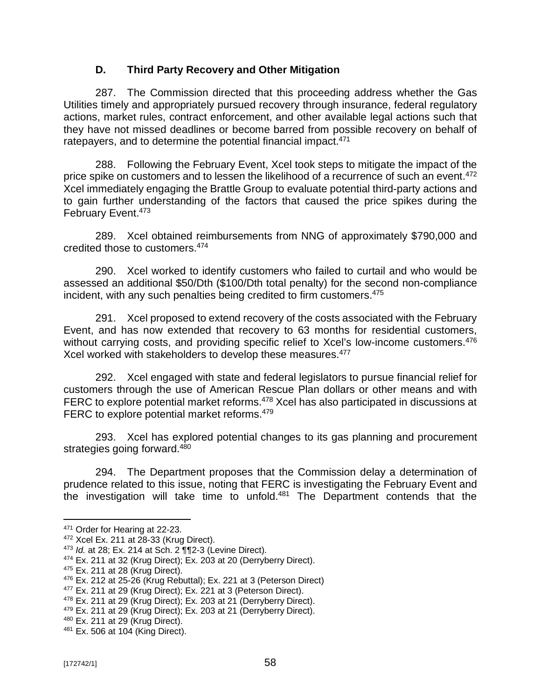## **D. Third Party Recovery and Other Mitigation**

287. The Commission directed that this proceeding address whether the Gas Utilities timely and appropriately pursued recovery through insurance, federal regulatory actions, market rules, contract enforcement, and other available legal actions such that they have not missed deadlines or become barred from possible recovery on behalf of ratepayers, and to determine the potential financial impact.<sup>471</sup>

288. Following the February Event, Xcel took steps to mitigate the impact of the price spike on customers and to lessen the likelihood of a recurrence of such an event.<sup>472</sup> Xcel immediately engaging the Brattle Group to evaluate potential third-party actions and to gain further understanding of the factors that caused the price spikes during the February Event.<sup>473</sup>

289. Xcel obtained reimbursements from NNG of approximately \$790,000 and credited those to customers.<sup>474</sup>

290. Xcel worked to identify customers who failed to curtail and who would be assessed an additional \$50/Dth (\$100/Dth total penalty) for the second non-compliance incident, with any such penalties being credited to firm customers.<sup>475</sup>

291. Xcel proposed to extend recovery of the costs associated with the February Event, and has now extended that recovery to 63 months for residential customers, without carrying costs, and providing specific relief to Xcel's low-income customers.<sup>476</sup> Xcel worked with stakeholders to develop these measures.<sup>477</sup>

292. Xcel engaged with state and federal legislators to pursue financial relief for customers through the use of American Rescue Plan dollars or other means and with FERC to explore potential market reforms.<sup>478</sup> Xcel has also participated in discussions at FERC to explore potential market reforms.<sup>479</sup>

293. Xcel has explored potential changes to its gas planning and procurement strategies going forward.<sup>480</sup>

294. The Department proposes that the Commission delay a determination of prudence related to this issue, noting that FERC is investigating the February Event and the investigation will take time to unfold.<sup>481</sup> The Department contends that the

<sup>471</sup> Order for Hearing at 22-23.

<sup>472</sup> Xcel Ex. 211 at 28-33 (Krug Direct).

<sup>473</sup> *Id.* at 28; Ex. 214 at Sch. 2 ¶¶2-3 (Levine Direct).

<sup>&</sup>lt;sup>474</sup> Ex. 211 at 32 (Krug Direct); Ex. 203 at 20 (Derryberry Direct).

<sup>475</sup> Ex. 211 at 28 (Krug Direct).

 $476$  Ex. 212 at 25-26 (Krug Rebuttal); Ex. 221 at 3 (Peterson Direct)

<sup>&</sup>lt;sup>477</sup> Ex. 211 at 29 (Krug Direct); Ex. 221 at 3 (Peterson Direct).

<sup>478</sup> Ex. 211 at 29 (Krug Direct); Ex. 203 at 21 (Derryberry Direct).

<sup>479</sup> Ex. 211 at 29 (Krug Direct); Ex. 203 at 21 (Derryberry Direct).

<sup>480</sup> Ex. 211 at 29 (Krug Direct).

<sup>481</sup> Ex. 506 at 104 (King Direct).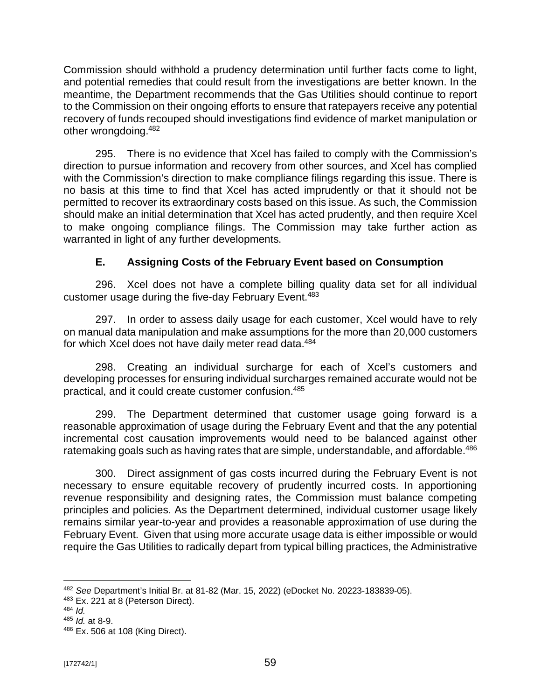Commission should withhold a prudency determination until further facts come to light, and potential remedies that could result from the investigations are better known. In the meantime, the Department recommends that the Gas Utilities should continue to report to the Commission on their ongoing efforts to ensure that ratepayers receive any potential recovery of funds recouped should investigations find evidence of market manipulation or other wrongdoing.<sup>482</sup>

295. There is no evidence that Xcel has failed to comply with the Commission's direction to pursue information and recovery from other sources, and Xcel has complied with the Commission's direction to make compliance filings regarding this issue. There is no basis at this time to find that Xcel has acted imprudently or that it should not be permitted to recover its extraordinary costs based on this issue. As such, the Commission should make an initial determination that Xcel has acted prudently, and then require Xcel to make ongoing compliance filings. The Commission may take further action as warranted in light of any further developments.

# **E. Assigning Costs of the February Event based on Consumption**

296. Xcel does not have a complete billing quality data set for all individual customer usage during the five-day February Event.<sup>483</sup>

297. In order to assess daily usage for each customer, Xcel would have to rely on manual data manipulation and make assumptions for the more than 20,000 customers for which Xcel does not have daily meter read data.<sup>484</sup>

298. Creating an individual surcharge for each of Xcel's customers and developing processes for ensuring individual surcharges remained accurate would not be practical, and it could create customer confusion.<sup>485</sup>

299. The Department determined that customer usage going forward is a reasonable approximation of usage during the February Event and that the any potential incremental cost causation improvements would need to be balanced against other ratemaking goals such as having rates that are simple, understandable, and affordable.<sup>486</sup>

300. Direct assignment of gas costs incurred during the February Event is not necessary to ensure equitable recovery of prudently incurred costs. In apportioning revenue responsibility and designing rates, the Commission must balance competing principles and policies. As the Department determined, individual customer usage likely remains similar year-to-year and provides a reasonable approximation of use during the February Event. Given that using more accurate usage data is either impossible or would require the Gas Utilities to radically depart from typical billing practices, the Administrative

<sup>482</sup> *See* Department's Initial Br. at 81-82 (Mar. 15, 2022) (eDocket No. 20223-183839-05).

<sup>&</sup>lt;sup>483</sup> Ex. 221 at 8 (Peterson Direct).

<sup>484</sup> *Id.*

<sup>485</sup> *Id.* at 8-9.

<sup>486</sup> Ex. 506 at 108 (King Direct).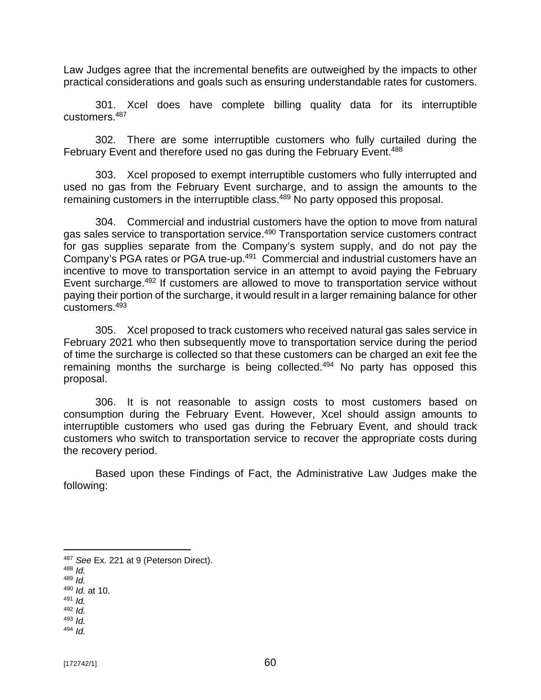Law Judges agree that the incremental benefits are outweighed by the impacts to other practical considerations and goals such as ensuring understandable rates for customers.

301. Xcel does have complete billing quality data for its interruptible customers.<sup>487</sup>

302. There are some interruptible customers who fully curtailed during the February Event and therefore used no gas during the February Event.<sup>488</sup>

303. Xcel proposed to exempt interruptible customers who fully interrupted and used no gas from the February Event surcharge, and to assign the amounts to the remaining customers in the interruptible class.<sup>489</sup> No party opposed this proposal.

304. Commercial and industrial customers have the option to move from natural gas sales service to transportation service.<sup>490</sup> Transportation service customers contract for gas supplies separate from the Company's system supply, and do not pay the Company's PGA rates or PGA true-up.<sup>491</sup> Commercial and industrial customers have an incentive to move to transportation service in an attempt to avoid paying the February Event surcharge.<sup>492</sup> If customers are allowed to move to transportation service without paying their portion of the surcharge, it would result in a larger remaining balance for other customers.<sup>493</sup>

305. Xcel proposed to track customers who received natural gas sales service in February 2021 who then subsequently move to transportation service during the period of time the surcharge is collected so that these customers can be charged an exit fee the remaining months the surcharge is being collected.<sup>494</sup> No party has opposed this proposal.

306. It is not reasonable to assign costs to most customers based on consumption during the February Event. However, Xcel should assign amounts to interruptible customers who used gas during the February Event, and should track customers who switch to transportation service to recover the appropriate costs during the recovery period.

Based upon these Findings of Fact, the Administrative Law Judges make the following:

<sup>489</sup> *Id.*

<sup>494</sup> *Id.*

<sup>487</sup> *See* Ex. 221 at 9 (Peterson Direct).

<sup>488</sup> *Id.*

<sup>490</sup> *Id.* at 10.

<sup>491</sup> *Id.* <sup>492</sup> *Id.*

<sup>493</sup> *Id.*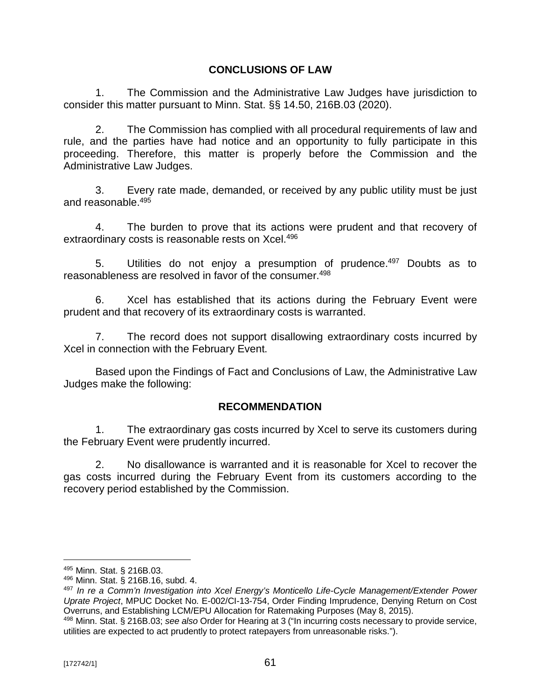## **CONCLUSIONS OF LAW**

1. The Commission and the Administrative Law Judges have jurisdiction to consider this matter pursuant to Minn. Stat. §§ 14.50, 216B.03 (2020).

2. The Commission has complied with all procedural requirements of law and rule, and the parties have had notice and an opportunity to fully participate in this proceeding. Therefore, this matter is properly before the Commission and the Administrative Law Judges.

3. Every rate made, demanded, or received by any public utility must be just and reasonable.<sup>495</sup>

4. The burden to prove that its actions were prudent and that recovery of extraordinary costs is reasonable rests on Xcel.<sup>496</sup>

5. Utilities do not enjoy a presumption of prudence.<sup>497</sup> Doubts as to reasonableness are resolved in favor of the consumer.<sup>498</sup>

6. Xcel has established that its actions during the February Event were prudent and that recovery of its extraordinary costs is warranted.

7. The record does not support disallowing extraordinary costs incurred by Xcel in connection with the February Event.

Based upon the Findings of Fact and Conclusions of Law, the Administrative Law Judges make the following:

## **RECOMMENDATION**

1. The extraordinary gas costs incurred by Xcel to serve its customers during the February Event were prudently incurred.

2. No disallowance is warranted and it is reasonable for Xcel to recover the gas costs incurred during the February Event from its customers according to the recovery period established by the Commission.

<sup>495</sup> Minn. Stat. § 216B.03.

<sup>496</sup> Minn. Stat. § 216B.16, subd. 4.

<sup>497</sup> *In re a Comm'n Investigation into Xcel Energy's Monticello Life-Cycle Management/Extender Power Uprate Project*, MPUC Docket No. E-002/CI-13-754, Order Finding Imprudence, Denying Return on Cost Overruns, and Establishing LCM/EPU Allocation for Ratemaking Purposes (May 8, 2015).

<sup>498</sup> Minn. Stat. § 216B.03; *see also* Order for Hearing at 3 ("In incurring costs necessary to provide service, utilities are expected to act prudently to protect ratepayers from unreasonable risks.").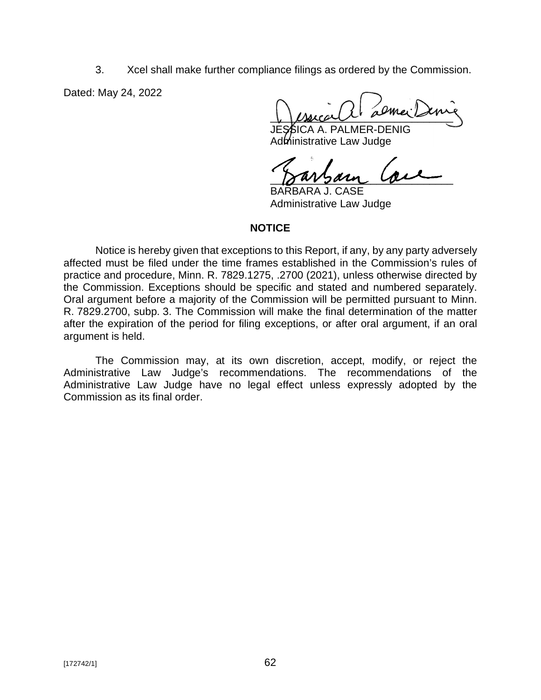3. Xcel shall make further compliance filings as ordered by the Commission.

Dated: May 24, 2022

 $\downarrow$  ) (succession as may some

BICA A. PALMER-DENIG Administrative Law Judge

 $\delta$ uvsan  $\delta$ 

BARBARA J. CASE Administrative Law Judge

#### **NOTICE**

Notice is hereby given that exceptions to this Report, if any, by any party adversely affected must be filed under the time frames established in the Commission's rules of practice and procedure, Minn. R. 7829.1275, .2700 (2021), unless otherwise directed by the Commission. Exceptions should be specific and stated and numbered separately. Oral argument before a majority of the Commission will be permitted pursuant to Minn. R. 7829.2700, subp. 3. The Commission will make the final determination of the matter after the expiration of the period for filing exceptions, or after oral argument, if an oral argument is held.

The Commission may, at its own discretion, accept, modify, or reject the Administrative Law Judge's recommendations. The recommendations of the Administrative Law Judge have no legal effect unless expressly adopted by the Commission as its final order.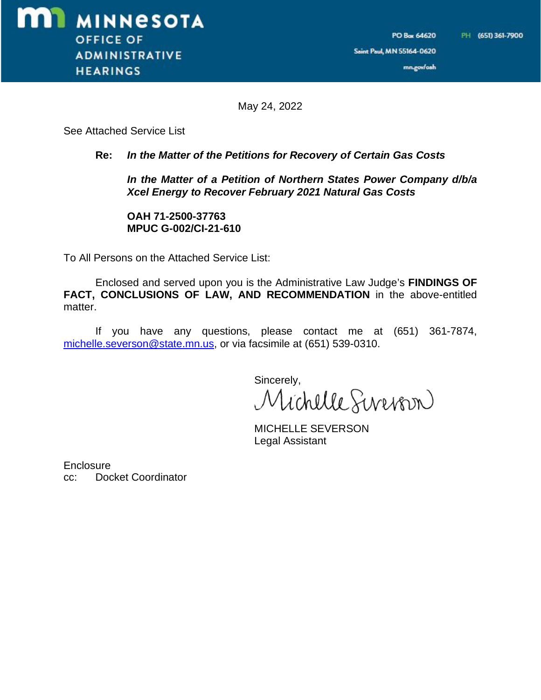Saint Paul, MN 55164-0620

mn.gov/oah

PO Box 64620

May 24, 2022

See Attached Service List

#### **Re:** *In the Matter of the Petitions for Recovery of Certain Gas Costs*

*In the Matter of a Petition of Northern States Power Company d/b/a Xcel Energy to Recover February 2021 Natural Gas Costs*

**OAH 71-2500-37763 MPUC G-002/CI-21-610**

To All Persons on the Attached Service List:

Enclosed and served upon you is the Administrative Law Judge's **FINDINGS OF FACT, CONCLUSIONS OF LAW, AND RECOMMENDATION** in the above-entitled matter.

If you have any questions, please contact me at (651) 361-7874, [michelle.severson@state.mn.us,](mailto:michelle.severson@state.mn.us,) or via facsimile at (651) 539-0310.

> Sincerely, Michelle Sevenson

MICHELLE SEVERSON Legal Assistant

**Enclosure** cc: Docket Coordinator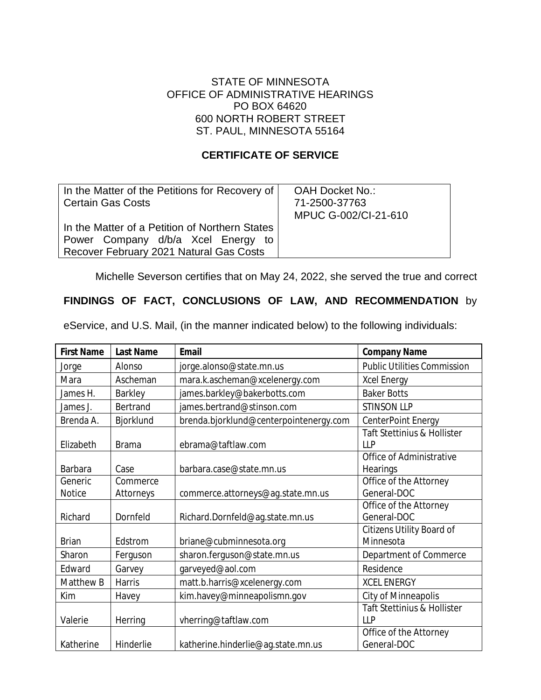### STATE OF MINNESOTA OFFICE OF ADMINISTRATIVE HEARINGS PO BOX 64620 600 NORTH ROBERT STREET ST. PAUL, MINNESOTA 55164

### **CERTIFICATE OF SERVICE**

| In the Matter of the Petitions for Recovery of<br><b>Certain Gas Costs</b>                                                      | OAH Docket No.:<br>71-2500-37763<br>MPUC G-002/CI-21-610 |
|---------------------------------------------------------------------------------------------------------------------------------|----------------------------------------------------------|
| In the Matter of a Petition of Northern States<br>Power Company d/b/a Xcel Energy to<br>Recover February 2021 Natural Gas Costs |                                                          |

Michelle Severson certifies that on May 24, 2022, she served the true and correct

## **FINDINGS OF FACT, CONCLUSIONS OF LAW, AND RECOMMENDATION** by

eService, and U.S. Mail, (in the manner indicated below) to the following individuals:

| <b>First Name</b> | <b>Last Name</b> | <b>Email</b>                           | <b>Company Name</b>                                  |
|-------------------|------------------|----------------------------------------|------------------------------------------------------|
| Jorge             | Alonso           | jorge.alonso@state.mn.us               | <b>Public Utilities Commission</b>                   |
| Mara              | Ascheman         | mara.k.ascheman@xcelenergy.com         | <b>Xcel Energy</b>                                   |
| James H.          | Barkley          | james.barkley@bakerbotts.com           | <b>Baker Botts</b>                                   |
| James J.          | Bertrand         | james.bertrand@stinson.com             | <b>STINSON LLP</b>                                   |
| Brenda A.         | Bjorklund        | brenda.bjorklund@centerpointenergy.com | CenterPoint Energy                                   |
| Elizabeth         | <b>Brama</b>     | ebrama@taftlaw.com                     | <b>Taft Stettinius &amp; Hollister</b><br><b>LLP</b> |
| <b>Barbara</b>    | Case             | barbara.case@state.mn.us               | Office of Administrative<br>Hearings                 |
| Generic           | Commerce         |                                        | Office of the Attorney                               |
| <b>Notice</b>     | Attorneys        | commerce.attorneys@ag.state.mn.us      | General-DOC                                          |
| Richard           | Dornfeld         | Richard.Dornfeld@ag.state.mn.us        | Office of the Attorney<br>General-DOC                |
| <b>Brian</b>      | Edstrom          | briane@cubminnesota.org                | <b>Citizens Utility Board of</b><br>Minnesota        |
| Sharon            | Ferguson         | sharon.ferguson@state.mn.us            | Department of Commerce                               |
| Edward            | Garvey           | garveyed@aol.com                       | Residence                                            |
| Matthew B         | <b>Harris</b>    | matt.b.harris@xcelenergy.com           | <b>XCEL ENERGY</b>                                   |
| Kim               | Havey            | kim.havey@minneapolismn.gov            | <b>City of Minneapolis</b>                           |
| Valerie           | Herring          | vherring@taftlaw.com                   | Taft Stettinius & Hollister<br><b>LLP</b>            |
| Katherine         | Hinderlie        | katherine.hinderlie@ag.state.mn.us     | Office of the Attorney<br>General-DOC                |